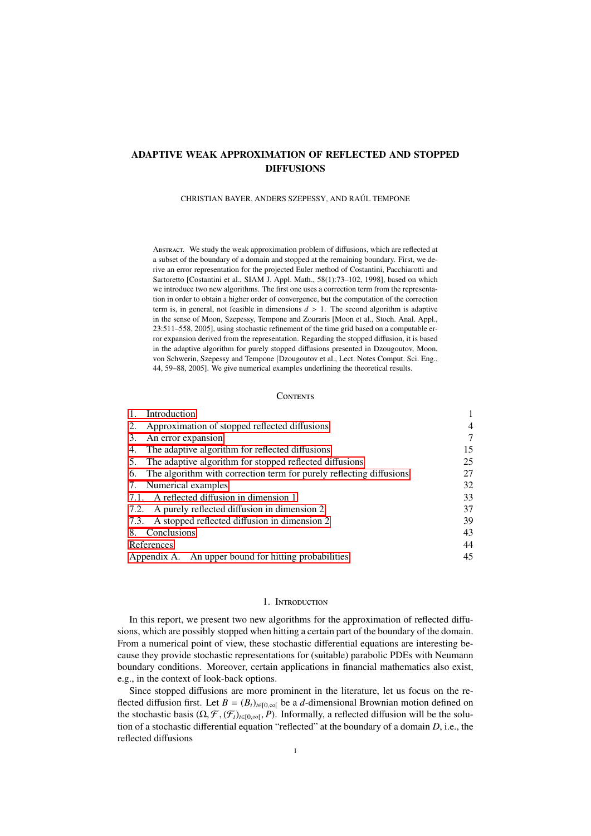# ADAPTIVE WEAK APPROXIMATION OF REFLECTED AND STOPPED DIFFUSIONS

### CHRISTIAN BAYER, ANDERS SZEPESSY, AND RAÚL TEMPONE

ABSTRACT. We study the weak approximation problem of diffusions, which are reflected at a subset of the boundary of a domain and stopped at the remaining boundary. First, we derive an error representation for the projected Euler method of Costantini, Pacchiarotti and Sartoretto [Costantini et al., SIAM J. Appl. Math., 58(1):73–102, 1998], based on which we introduce two new algorithms. The first one uses a correction term from the representation in order to obtain a higher order of convergence, but the computation of the correction term is, in general, not feasible in dimensions  $d > 1$ . The second algorithm is adaptive in the sense of Moon, Szepessy, Tempone and Zouraris [Moon et al., Stoch. Anal. Appl., 23:511–558, 2005], using stochastic refinement of the time grid based on a computable error expansion derived from the representation. Regarding the stopped diffusion, it is based in the adaptive algorithm for purely stopped diffusions presented in Dzougoutov, Moon, von Schwerin, Szepessy and Tempone [Dzougoutov et al., Lect. Notes Comput. Sci. Eng., 44, 59–88, 2005]. We give numerical examples underlining the theoretical results.

# **CONTENTS**

| 1.<br>Introduction                                                     |                |
|------------------------------------------------------------------------|----------------|
| 2. Approximation of stopped reflected diffusions                       | $\overline{4}$ |
| An error expansion<br>3.                                               | 7              |
| 4. The adaptive algorithm for reflected diffusions                     | 15             |
| 5. The adaptive algorithm for stopped reflected diffusions             | 25             |
| 6. The algorithm with correction term for purely reflecting diffusions | 27             |
| 7. Numerical examples                                                  | 32             |
| 7.1. A reflected diffusion in dimension 1                              | 33             |
| 7.2. A purely reflected diffusion in dimension 2                       | 37             |
| 7.3. A stopped reflected diffusion in dimension 2                      | 39             |
| 8. Conclusions                                                         | 43             |
| References                                                             | 44             |
| Appendix A. An upper bound for hitting probabilities                   | 45             |

# 1. INTRODUCTION

<span id="page-0-0"></span>In this report, we present two new algorithms for the approximation of reflected diffusions, which are possibly stopped when hitting a certain part of the boundary of the domain. From a numerical point of view, these stochastic differential equations are interesting because they provide stochastic representations for (suitable) parabolic PDEs with Neumann boundary conditions. Moreover, certain applications in financial mathematics also exist, e.g., in the context of look-back options.

Since stopped diffusions are more prominent in the literature, let us focus on the reflected diffusion first. Let  $B = (B_t)_{t \in [0,\infty]}$  be a *d*-dimensional Brownian motion defined on the stochastic basis  $(\Omega, \mathcal{F}, (\mathcal{F}_t)_{t \in [0,\infty[}, P)$ . Informally, a reflected diffusion will be the solution of a stochastic differential equation "reflected" at the boundary of a domain  $D$  i.e., the tion of a stochastic differential equation "reflected" at the boundary of a domain *D*, i.e., the reflected diffusions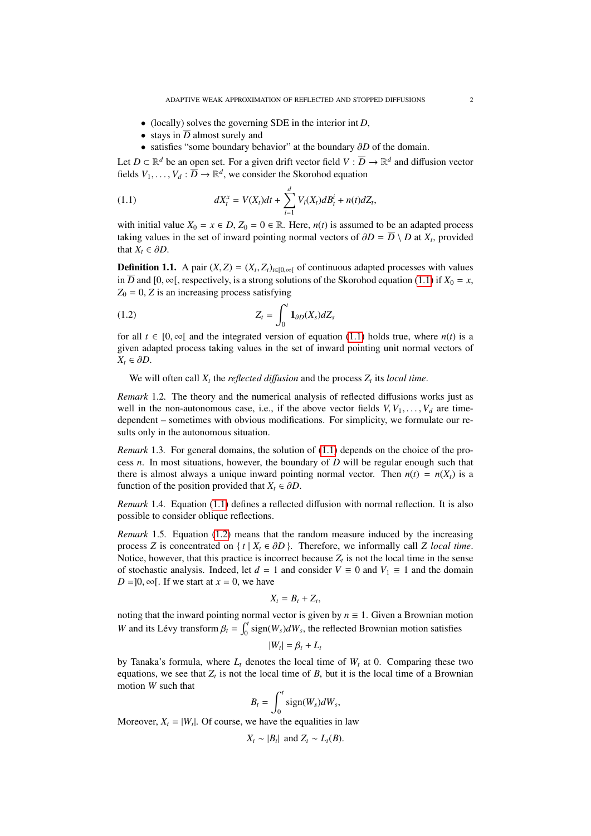- (locally) solves the governing SDE in the interior int *D*,
- stays in  $\overline{D}$  almost surely and
- <span id="page-1-0"></span>• satisfies "some boundary behavior" at the boundary ∂*<sup>D</sup>* of the domain.

Let  $D \subset \mathbb{R}^d$  be an open set. For a given drift vector field  $V : \overline{D} \to \mathbb{R}^d$  and diffusion vector fields  $V_1, \ldots, V_d : \overline{D} \to \mathbb{R}^d$ , we consider the Skorohod equation

(1.1) 
$$
dX_t^x = V(X_t)dt + \sum_{i=1}^d V_i(X_t)dB_t^i + n(t)dZ_t,
$$

with initial value  $X_0 = x \in D$ ,  $Z_0 = 0 \in \mathbb{R}$ . Here,  $n(t)$  is assumed to be an adapted process taking values in the set of inward pointing normal vectors of  $\partial D = D \setminus D$  at  $X_t$ , provided that  $Y \in \partial D$ that  $X_t \in \partial D$ .

**Definition 1.1.** A pair  $(X, Z) = (X_t, Z_t)_{t \in [0, \infty[}$  of continuous adapted processes with values in  $\overline{D}$  and  $[0, \infty[$  respectively is a strong solutions of the Skorobod equation (1.1) if  $X_t = x$ in  $\overline{D}$  and  $[0, \infty)$ , respectively, is a strong solutions of the Skorohod equation [\(1.1\)](#page-1-0) if  $X_0 = x$ ,  $Z_0 = 0$ , *Z* is an increasing process satisfying

<span id="page-1-1"></span>
$$
Z_t = \int_0^t \mathbf{1}_{\partial D}(X_s) dZ_s
$$

for all  $t \in [0, \infty)$  and the integrated version of equation [\(1.1\)](#page-1-0) holds true, where  $n(t)$  is a given adapted process taking values in the set of inward pointing unit normal vectors of  $X_t$  ∈ ∂D.

We will often call  $X_t$  the *reflected diffusion* and the process  $Z_t$  its *local time*.

*Remark* 1.2*.* The theory and the numerical analysis of reflected diffusions works just as well in the non-autonomous case, i.e., if the above vector fields  $V, V_1, \ldots, V_d$  are timedependent – sometimes with obvious modifications. For simplicity, we formulate our results only in the autonomous situation.

*Remark* 1.3. For general domains, the solution of [\(1.1\)](#page-1-0) depends on the choice of the process *n*. In most situations, however, the boundary of *D* will be regular enough such that there is almost always a unique inward pointing normal vector. Then  $n(t) = n(X_t)$  is a function of the position provided that  $X_t \in \partial D$ .

*Remark* 1.4*.* Equation [\(1.1\)](#page-1-0) defines a reflected diffusion with normal reflection. It is also possible to consider oblique reflections.

*Remark* 1.5*.* Equation [\(1.2\)](#page-1-1) means that the random measure induced by the increasing process *Z* is concentrated on {  $t | X_t \in \partial D$  }. Therefore, we informally call *Z* local time. Notice, however, that this practice is incorrect because  $Z_t$  is not the local time in the sense of stochastic analysis. Indeed, let  $d = 1$  and consider  $V \equiv 0$  and  $V_1 \equiv 1$  and the domain  $D = ]0, \infty[$ . If we start at  $x = 0$ , we have

$$
X_t=B_t+Z_t,
$$

noting that the inward pointing normal vector is given by  $n \equiv 1$ . Given a Brownian motion *W* and its Lévy transform  $\beta_t = \int_0^t$  sign(*W<sub>s</sub>*)*dW<sub>s</sub>*, the reflected Brownian motion satisfies

$$
|W_t| = \beta_t + L_t
$$

by Tanaka's formula, where  $L_t$  denotes the local time of  $W_t$  at 0. Comparing these two equations, we see that  $Z_t$  is not the local time of *B*, but it is the local time of a Brownian motion *W* such that

$$
B_t = \int_0^t \text{sign}(W_s) dW_s,
$$

Moreover,  $X_t = |W_t|$ . Of course, we have the equalities in law

$$
X_t \sim |B_t| \text{ and } Z_t \sim L_t(B).
$$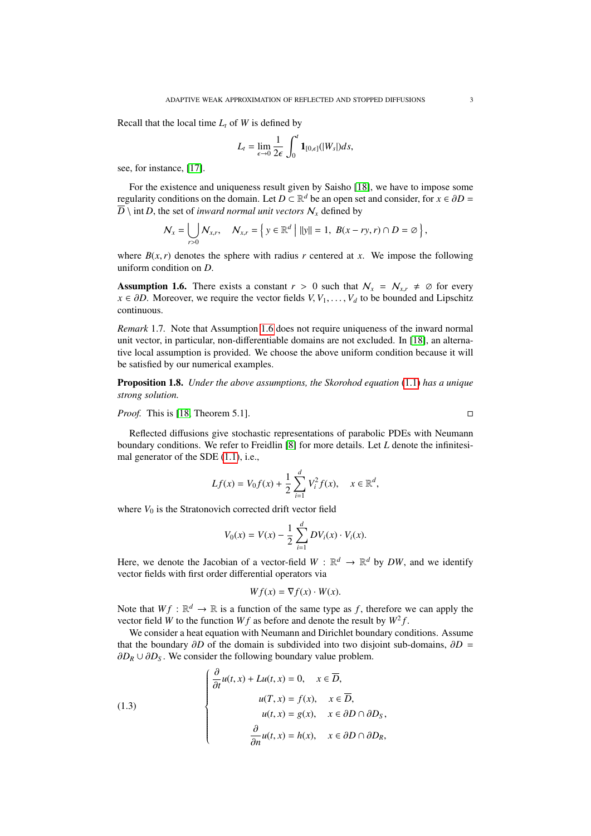Recall that the local time  $L_t$  of *W* is defined by

$$
L_t = \lim_{\epsilon \to 0} \frac{1}{2\epsilon} \int_0^t \mathbf{1}_{[0,\epsilon]}(|W_s|)ds,
$$

see, for instance, [\[17\]](#page-43-1).

For the existence and uniqueness result given by Saisho [\[18\]](#page-43-2), we have to impose some regularity conditions on the domain. Let  $D \subset \mathbb{R}^d$  be an open set and consider, for  $x \in \partial D = \overline{D}$  int *D*, the set of *invard normal unit vectors*  $\mathcal N$ , defined by  $\overline{D}$  \ int *D*, the set of *inward normal unit vectors*  $N_x$  defined by

$$
\mathcal{N}_x = \bigcup_{r>0} \mathcal{N}_{x,r}, \quad \mathcal{N}_{x,r} = \left\{ y \in \mathbb{R}^d \mid ||y|| = 1, \ B(x - ry, r) \cap D = \emptyset \right\},\
$$

where  $B(x, r)$  denotes the sphere with radius *r* centered at *x*. We impose the following uniform condition on *D*.

<span id="page-2-0"></span>**Assumption 1.6.** There exists a constant  $r > 0$  such that  $N_x = N_{x,r} \neq \emptyset$  for every *x* ∈  $\partial D$ . Moreover, we require the vector fields *V*, *V*<sub>1</sub>, . . . , *V<sub>d</sub>* to be bounded and Lipschitz continuous.

*Remark* 1.7*.* Note that Assumption [1.6](#page-2-0) does not require uniqueness of the inward normal unit vector, in particular, non-differentiable domains are not excluded. In [\[18\]](#page-43-2), an alternative local assumption is provided. We choose the above uniform condition because it will be satisfied by our numerical examples.

Proposition 1.8. *Under the above assumptions, the Skorohod equation* [\(1.1\)](#page-1-0) *has a unique strong solution.*

*Proof.* This is [\[18,](#page-43-2) Theorem 5.1]. □

Reflected diffusions give stochastic representations of parabolic PDEs with Neumann boundary conditions. We refer to Freidlin [\[8\]](#page-43-3) for more details. Let *L* denote the infinitesimal generator of the SDE [\(1.1\)](#page-1-0), i.e.,

$$
Lf(x) = V_0 f(x) + \frac{1}{2} \sum_{i=1}^{d} V_i^2 f(x), \quad x \in \mathbb{R}^d
$$

where  $V_0$  is the Stratonovich corrected drift vector field

$$
V_0(x) = V(x) - \frac{1}{2} \sum_{i=1}^{d} DV_i(x) \cdot V_i(x).
$$

Here, we denote the Jacobian of a vector-field  $W : \mathbb{R}^d \to \mathbb{R}^d$  by DW, and we identify vector fields with first order differential operators via

$$
Wf(x) = \nabla f(x) \cdot W(x).
$$

Note that  $Wf : \mathbb{R}^d \to \mathbb{R}$  is a function of the same type as f, therefore we can apply the vector field *W* to the function *Wf* as before and denote the result by  $W^2 f$ .

We consider a heat equation with Neumann and Dirichlet boundary conditions. Assume that the boundary  $\partial D$  of the domain is subdivided into two disjoint sub-domains,  $\partial D =$  $\partial D_R \cup \partial D_S$ . We consider the following boundary value problem.

<span id="page-2-1"></span>(1.3)  

$$
\begin{cases}\n\frac{\partial}{\partial t}u(t, x) + Lu(t, x) = 0, & x \in \overline{D}, \\
u(T, x) = f(x), & x \in \overline{D}, \\
u(t, x) = g(x), & x \in \partial D \cap \partial D_S, \\
\frac{\partial}{\partial n}u(t, x) = h(x), & x \in \partial D \cap \partial D_R,\n\end{cases}
$$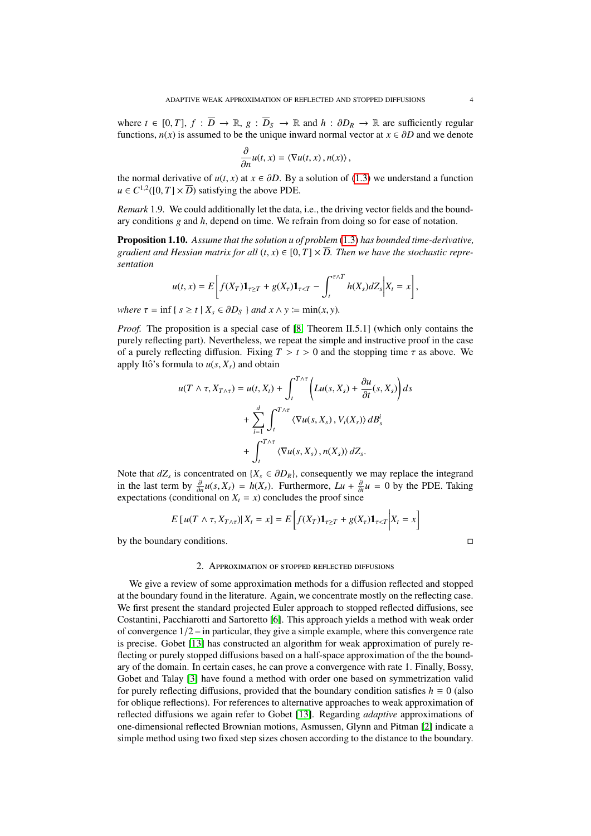where  $t \in [0, T]$ ,  $f : \overline{D} \to \mathbb{R}$ ,  $g : \overline{D}_S \to \mathbb{R}$  and  $h : \partial D_R \to \mathbb{R}$  are sufficiently regular functions,  $n(x)$  is assumed to be the unique inward normal vector at  $x \in \partial D$  and we denote

$$
\frac{\partial}{\partial n}u(t,x) = \langle \nabla u(t,x), n(x) \rangle,
$$

the normal derivative of  $u(t, x)$  at  $x \in \partial D$ . By a solution of [\(1.3\)](#page-2-1) we understand a function  $u \in C^{1,2}([0, T] \times \overline{D})$  satisfying the above PDE  $u \in C^{1,2}([0, T] \times \overline{D})$  satisfying the above PDE.

*Remark* 1.9*.* We could additionally let the data, i.e., the driving vector fields and the boundary conditions *g* and *h*, depend on time. We refrain from doing so for ease of notation.

<span id="page-3-1"></span>Proposition 1.10. *Assume that the solution u of problem* [\(1.3\)](#page-2-1) *has bounded time-derivative, gradient and Hessian matrix for all*  $(t, x) \in [0, T] \times \overline{D}$ . Then we have the stochastic repre*sentation*

$$
u(t,x)=E\bigg[f(X_T)\mathbf{1}_{\tau\geq T}+g(X_\tau)\mathbf{1}_{\tau
$$

*where*  $\tau = \inf \{ s \ge t \mid X_s \in \partial D_s \}$  *and*  $x \wedge y := \min(x, y)$ .

*Proof.* The proposition is a special case of [\[8,](#page-43-3) Theorem II.5.1] (which only contains the purely reflecting part). Nevertheless, we repeat the simple and instructive proof in the case of a purely reflecting diffusion. Fixing  $T > t > 0$  and the stopping time  $\tau$  as above. We apply Itô's formula to  $u(s, X_s)$  and obtain

$$
u(T \wedge \tau, X_{T \wedge \tau}) = u(t, X_t) + \int_t^{T \wedge \tau} \left( Lu(s, X_s) + \frac{\partial u}{\partial t}(s, X_s) \right) ds
$$
  
+ 
$$
\sum_{i=1}^d \int_t^{T \wedge \tau} \langle \nabla u(s, X_s), V_i(X_s) \rangle dB_s^i
$$
  
+ 
$$
\int_t^{T \wedge \tau} \langle \nabla u(s, X_s), n(X_s) \rangle dZ_s.
$$

Note that  $dZ_s$  is concentrated on  $\{X_s \in \partial D_R\}$ , consequently we may replace the integrand<br>in the last term by  $\frac{\partial u(s, X) - h(X)}{\partial T}$ . Furthermore,  $I u + \frac{\partial u}{\partial T} = 0$  by the PDF. Taking in the last term by  $\frac{\partial}{\partial n}u(s, X_s) = h(X_s)$ . Furthermore,  $Lu + \frac{\partial}{\partial t}u = 0$  by the PDE. Taking expectations (conditional on  $X = x$ ) concludes the proof since  $\frac{d}{dt} \text{erper}(\cos(\cos(\theta)) - \sin(\cos(\theta)) - \sin(\cos(\theta)) - \sin(\cos(\theta))$ <br>expectations (conditional on *X<sub>t</sub>* = *x*) concludes the proof since

$$
E[u(T \wedge \tau, X_{T \wedge \tau})|X_t = x] = E\left[f(X_T)\mathbf{1}_{\tau \ge T} + g(X_{\tau})\mathbf{1}_{\tau < T}\bigg|X_t = x\right]
$$

by the boundary conditions.

### 2. APPROXIMATION OF STOPPED REFLECTED DIFFUSIONS

<span id="page-3-0"></span>We give a review of some approximation methods for a diffusion reflected and stopped at the boundary found in the literature. Again, we concentrate mostly on the reflecting case. We first present the standard projected Euler approach to stopped reflected diffusions, see Costantini, Pacchiarotti and Sartoretto [\[6\]](#page-43-4). This approach yields a method with weak order of convergence 1/2 – in particular, they give a simple example, where this convergence rate is precise. Gobet [\[13\]](#page-43-5) has constructed an algorithm for weak approximation of purely reflecting or purely stopped diffusions based on a half-space approximation of the the boundary of the domain. In certain cases, he can prove a convergence with rate 1. Finally, Bossy, Gobet and Talay [\[3\]](#page-43-6) have found a method with order one based on symmetrization valid for purely reflecting diffusions, provided that the boundary condition satisfies  $h \equiv 0$  (also for oblique reflections). For references to alternative approaches to weak approximation of reflected diffusions we again refer to Gobet [\[13\]](#page-43-5). Regarding *adaptive* approximations of one-dimensional reflected Brownian motions, Asmussen, Glynn and Pitman [\[2\]](#page-43-7) indicate a simple method using two fixed step sizes chosen according to the distance to the boundary.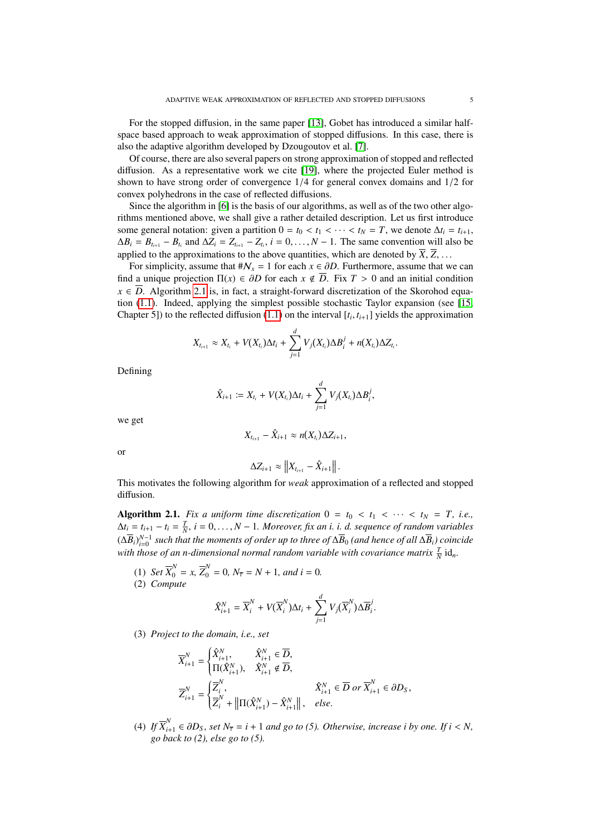For the stopped diffusion, in the same paper [\[13\]](#page-43-5), Gobet has introduced a similar halfspace based approach to weak approximation of stopped diffusions. In this case, there is also the adaptive algorithm developed by Dzougoutov et al. [\[7\]](#page-43-8).

Of course, there are also several papers on strong approximation of stopped and reflected diffusion. As a representative work we cite [\[19\]](#page-44-1), where the projected Euler method is shown to have strong order of convergence 1/4 for general convex domains and 1/2 for convex polyhedrons in the case of reflected diffusions.

Since the algorithm in [\[6\]](#page-43-4) is the basis of our algorithms, as well as of the two other algorithms mentioned above, we shall give a rather detailed description. Let us first introduce some general notation: given a partition  $0 = t_0 < t_1 < \cdots < t_N = T$ , we denote  $\Delta t_i = t_{i+1}$ ,  $\Delta B_i = B_{t_{i+1}} - B_{t_i}$  and  $\Delta Z_i = Z_{t_{i+1}} - Z_{t_i}$ ,  $i = 0, \ldots, N - 1$ . The same convention will also be applied to the approximations to the above quantities, which are denoted by  $\overline{Y}$ ,  $\overline{Z}$ applied to the approximations to the above quantities, which are denoted by  $\overline{X}$ ,  $\overline{Z}$ , ...

For simplicity, assume that  $\#\mathcal{N}_x = 1$  for each  $x \in \partial D$ . Furthermore, assume that we can find a unique projection  $\Pi(x) \in \partial D$  for each  $x \notin \overline{D}$ . Fix  $T > 0$  and an initial condition  $x \in \overline{D}$ . Algorithm [2.1](#page-4-0) is, in fact, a straight-forward discretization of the Skorohod equation [\(1.1\)](#page-1-0). Indeed, applying the simplest possible stochastic Taylor expansion (see [\[15,](#page-43-9) Chapter 5]) to the reflected diffusion [\(1.1\)](#page-1-0) on the interval  $[t_i, t_{i+1}]$  yields the approximation

$$
X_{t_{i+1}} \approx X_{t_i} + V(X_{t_i})\Delta t_i + \sum_{j=1}^d V_j(X_{t_i})\Delta B_i^j + n(X_{t_i})\Delta Z_{t_i}.
$$

Defining

$$
\hat{X}_{i+1} := X_{t_i} + V(X_{t_i})\Delta t_i + \sum_{j=1}^d V_j(X_{t_i})\Delta B_i^j,
$$

we get

$$
X_{t_{i+1}}-\hat{X}_{i+1}\approx n(X_{t_i})\Delta Z_{i+1},
$$

or

$$
\Delta Z_{i+1} \approx \|X_{t_{i+1}} - \hat{X}_{i+1}\|.
$$

This motivates the following algorithm for *weak* approximation of a reflected and stopped diffusion.

<span id="page-4-0"></span>Algorithm 2.1. *Fix a uniform time discretization*  $0 = t_0 < t_1 < \cdots < t_N = T$ , *i.e.*,  $\Delta t_i = t_{i+1} - t_i = \frac{T}{N}$ ,  $i = 0, \ldots, N-1$ . Moreover, fix an *i. i. d. sequence of random variables*<br> $(\sqrt{D})^{N-1}$  and that the mean varie of radominity thuse of  $\sqrt{D}$  (and have of  $\epsilon^{II}(\sqrt{D})$  eximiles  $(\Delta \overline{B}_i)_{i=0}^{N-1}$  such that the moments of order up to three of  $\Delta \overline{B}_0$  (and hence of all  $\Delta \overline{B}_i$ ) coincide with those of an n-dimensional normal random variable with covariance matrix  $\frac{T}{N}$  id<sub>n</sub>.

- (1) *Set*  $\overline{X}_0^N = x$ ,  $\overline{Z}_0^N = 0$ ,  $N_{\overline{\tau}} = N + 1$ , and  $i = 0$ .<br>(2) Compute (2) *Compute*
- 

$$
\hat{X}_{i+1}^N = \overline{X}_i^N + V(\overline{X}_i^N)\Delta t_i + \sum_{j=1}^d V_j(\overline{X}_i^N)\Delta \overline{B}_i^j.
$$

(3) *Project to the domain, i.e., set*

$$
\begin{aligned} & \overline{X}_{i+1}^N = \begin{cases} \hat{X}_{i+1}^N, \quad & \hat{X}_{i+1}^N \in \overline{D}, \\ & \Pi(\hat{X}_{i+1}^N), \quad \hat{X}_{i+1}^N \notin \overline{D}, \end{cases} \\ & \overline{Z}_{i+1}^N = \begin{cases} \overline{Z}_i^N, \quad & \hat{X}_{i+1}^N \in \overline{D} \text{ or } \overline{X}_{i+1}^N \in \partial D_S, \\ \overline{Z}_i^N + \left\| \Pi(\hat{X}_{i+1}^N) - \hat{X}_{i+1}^N \right\|, \quad else. \end{cases} \end{aligned}
$$

(4) *If*  $\overline{X}_{i+1}^N \in \partial D_S$ , set  $N_{\overline{\tau}} = i + 1$  *and go to (5). Otherwise, increase i by one. If*  $i < N$ , *go back to (2), else go to (5).*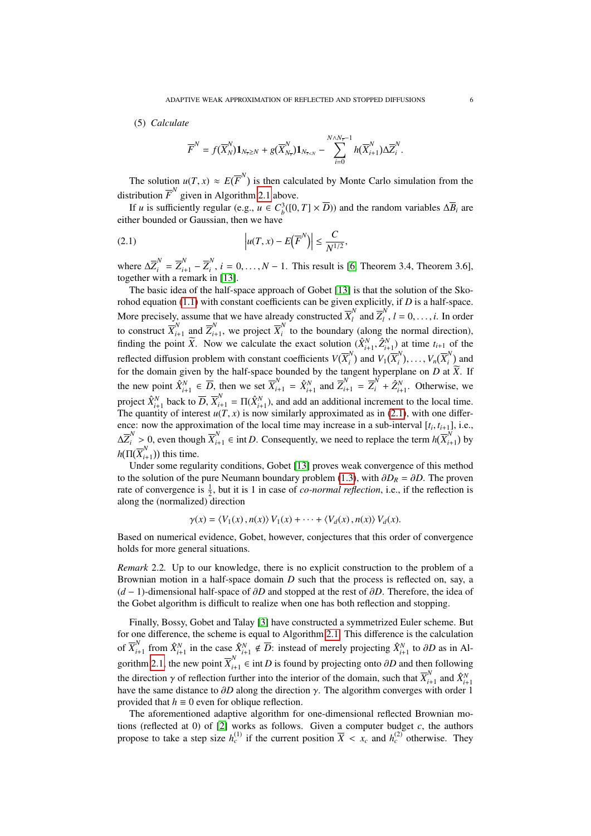### (5) *Calculate*

<span id="page-5-0"></span>
$$
\overline{F}^N = f(\overline{X}_N^N) \mathbf{1}_{N_{\overline{r}} \geq N} + g(\overline{X}_{N_{\overline{r}}}^N) \mathbf{1}_{N_{\overline{r} < N}} - \sum_{i=0}^{N \wedge N_{\overline{r}}-1} h(\overline{X}_{i+1}^N) \Delta \overline{Z}_i^N.
$$

The solution  $u(T, x) \approx E(\overline{F}^N)$  is then calculated by Monte Carlo simulation from the distribution  $\overline{F}^N$  given in Algorithm [2.1](#page-4-0) above.

If *u* is sufficiently regular (e.g., *u* ∈  $C_b^3([0, T] \times \overline{D})$ ) and the random variables  $\Delta \overline{B}_i$  are bounded or Gaussian, then we have either bounded or Gaussian, then we have

$$
(2.1) \t\t\t  $\left| u(T, x) - E(\overline{F}^N) \right| \le \frac{C}{N^{1/2}},$
$$

where  $\Delta \overline{Z}_i^N = \overline{Z}_{i+1}^N - \overline{Z}_i^N$  $i<sub>i</sub>$ ,  $i = 0, ..., N - 1$ . This result is [\[6,](#page-43-4) Theorem 3.4, Theorem 3.6], in [13] together with a remark in [\[13\]](#page-43-5).

The basic idea of the half-space approach of Gobet [\[13\]](#page-43-5) is that the solution of the Skorohod equation [\(1.1\)](#page-1-0) with constant coefficients can be given explicitly, if *D* is a half-space. More precisely, assume that we have already constructed  $\overline{X}_l^N$  $\overline{Z}_l^N$  and  $\overline{Z}_l^N$ More precisely, assume that we have already constructed  $X_l^{\dagger}$  and  $Z_l^{\dagger}$ ,  $l = 0, ..., i$ . In order to construct  $\overline{X}_{l+1}^N$  and  $\overline{Z}_{l+1}^N$ , we project  $\overline{X}_l^N$  to the boundary (along the normal direction),  $\sum_{i=1}^{N}$  and  $\overline{Z}_{i+1}^{N}$  $\overline{X}_{i+1}^N$ , we project  $\overline{X}_i^N$  $\hat{i}$  to the boundary (along the normal direction), finding the point  $\widetilde{X}$ . Now we calculate the exact solution  $(\hat{X}_{i+1}^N, \hat{Z}_{i+1}^N)$  at time  $t_{i+1}$  of the reflected diffusion problem with constant coefficients  $V(\overline{X}_i^N)$  $V_i^N$  and  $V_1(\overline{X}_i^N)$  $V_n$ ,  $V_n(\overline{X}_i^N)$  $\binom{n}{i}$  and for the domain given by the half-space bounded by the tangent hyperplane on *D* at *X*. If the new point  $\hat{X}_{i+1}^N \in \overline{D}$ , then we set  $\overline{X}_{i+1}^N = \hat{X}_{i+1}^N$  and  $\overline{Z}_{i+1}^N = \overline{Z}_i^N + \hat{Z}_{i+1}^N$ . Otherwise, we project  $\hat{X}_{i+1}^N$  back to  $\overline{D}$ ,  $\overline{X}_{i+1}^N = \Pi(\hat{X}_{i+1}^N)$ , and add an additional increment to the local time. The quantity of interest  $u(T, x)$  is now similarly approximated as in [\(2.1\)](#page-5-0), with one difference: now the approximation of the local time may increase in a sub-interval  $[t_i, t_{i+1}]$ , i.e.,  $\Delta \overline{Z}_{i}^{N} > 0$ , even though  $\overline{X}_{i+1}^{N}$  ∈ int *D*. Consequently, we need to replace the term  $h(\overline{X}_{i+1}^{N})$  $\binom{1}{i+1}$  by  $h(\Pi(\overline{X}_i^N))$  $\binom{r}{i+1}$ ) this time.

Under some regularity conditions, Gobet [\[13\]](#page-43-5) proves weak convergence of this method to the solution of the pure Neumann boundary problem [\(1.3\)](#page-2-1), with  $\partial D_R = \partial D$ . The proven rate of convergence is  $\frac{1}{2}$ , but it is 1 in case of *co-normal reflection*, i.e., if the reflection is along the (normalized) direction

$$
\gamma(x) = \langle V_1(x), n(x) \rangle V_1(x) + \cdots + \langle V_d(x), n(x) \rangle V_d(x).
$$

Based on numerical evidence, Gobet, however, conjectures that this order of convergence holds for more general situations.

*Remark* 2.2*.* Up to our knowledge, there is no explicit construction to the problem of a Brownian motion in a half-space domain *D* such that the process is reflected on, say, a (*<sup>d</sup>* <sup>−</sup> 1)-dimensional half-space of ∂*<sup>D</sup>* and stopped at the rest of ∂*D*. Therefore, the idea of the Gobet algorithm is difficult to realize when one has both reflection and stopping.

Finally, Bossy, Gobet and Talay [\[3\]](#page-43-6) have constructed a symmetrized Euler scheme. But for one difference, the scheme is equal to Algorithm [2.1.](#page-4-0) This difference is the calculation of  $\overline{X}_{i}^{N}$ *i*<sup>∤</sup><sub>*i*</sub>+1</sub> from  $\hat{X}_{i+1}^N$  in the case  $\hat{X}_{i+1}^N \notin \overline{D}$ : instead of merely projecting  $\hat{X}_{i+1}^N$  to ∂*D* as in Al-gorithm [2.1,](#page-4-0) the new point  $\overline{X}_{i+1}^N \in \text{int } D$  is found by projecting onto  $\partial D$  and then following the direction  $\gamma$  of reflection further into the interior of the domain, such that  $\overline{X}_{i}^{N}$ <br>have the same distance to  $\partial D$  along the direction  $\gamma$ . The algorithm converges w  $\hat{X}_{i+1}^{N}$  and  $\hat{X}_{i+1}^{N}$ have the same distance to  $\partial D$  along the direction  $\gamma$ . The algorithm converges with order 1 provided that  $h \equiv 0$  even for oblique reflection.

The aforementioned adaptive algorithm for one-dimensional reflected Brownian motions (reflected at 0) of  $[2]$  works as follows. Given a computer budget  $c$ , the authors propose to take a step size  $h_c^{(1)}$  if the current position  $\overline{X} < x_c$  and  $h_c^{(2)}$  otherwise. They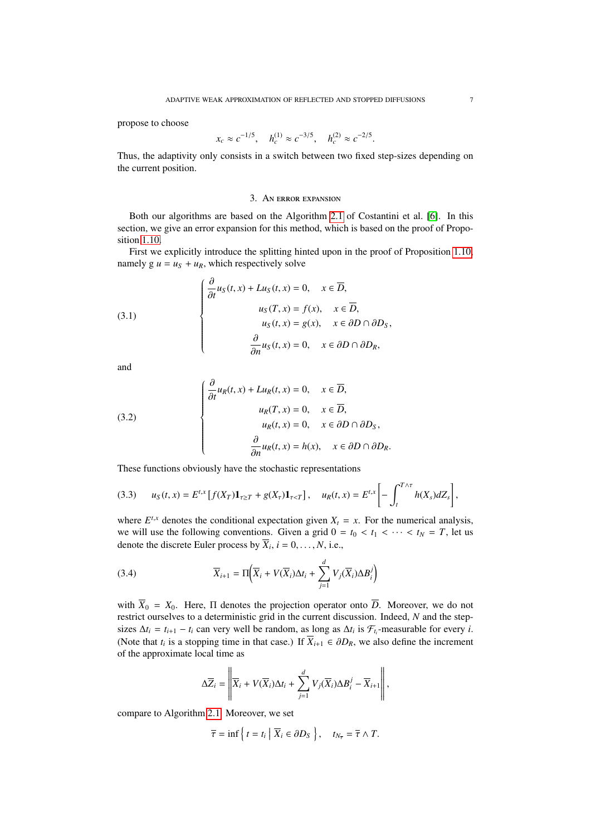propose to choose

$$
x_c \approx c^{-1/5}
$$
,  $h_c^{(1)} \approx c^{-3/5}$ ,  $h_c^{(2)} \approx c^{-2/5}$ .

Thus, the adaptivity only consists in a switch between two fixed step-sizes depending on the current position.

### 3. AN ERROR EXPANSION

<span id="page-6-0"></span>Both our algorithms are based on the Algorithm [2.1](#page-4-0) of Costantini et al. [\[6\]](#page-43-4). In this section, we give an error expansion for this method, which is based on the proof of Proposition [1.10.](#page-3-1)

First we explicitly introduce the splitting hinted upon in the proof of Proposition [1.10,](#page-3-1) namely  $g u = u_S + u_R$ , which respectively solve

(3.1)  

$$
\begin{cases}\n\frac{\partial}{\partial t}u_S(t,x) + Lu_S(t,x) = 0, & x \in \overline{D}, \\
u_S(T,x) = f(x), & x \in \overline{D}, \\
u_S(t,x) = g(x), & x \in \partial D \cap \partial D_S, \\
\frac{\partial}{\partial n}u_S(t,x) = 0, & x \in \partial D \cap \partial D_R,\n\end{cases}
$$

and

(3.2)  

$$
\begin{cases}\n\frac{\partial}{\partial t}u_R(t,x) + Lu_R(t,x) = 0, & x \in \overline{D}, \\
u_R(T,x) = 0, & x \in \overline{D}, \\
u_R(t,x) = 0, & x \in \partial D \cap \partial D_S, \\
\frac{\partial}{\partial n}u_R(t,x) = h(x), & x \in \partial D \cap \partial D_R.\n\end{cases}
$$

These functions obviously have the stochastic representations

 $\sim$  2

$$
(3.3) \t u_S(t,x) = E^{t,x} \left[ f(X_T) \mathbf{1}_{\tau \ge T} + g(X_\tau) \mathbf{1}_{\tau < T} \right], \t u_R(t,x) = E^{t,x} \left[ - \int_t^{T \wedge \tau} h(X_s) dZ_s \right],
$$

where  $E^{t,x}$  denotes the conditional expectation given  $X_t = x$ . For the numerical analysis, we will use the following conventions. Given a grid  $0 = t_0 < t_1 < \cdots < t_N = T$ , let us denote the discrete Euler process by  $X_i$ ,  $i = 0, ..., N$ , i.e.,

<span id="page-6-1"></span>(3.4) 
$$
\overline{X}_{i+1} = \Pi \Big( \overline{X}_i + V(\overline{X}_i) \Delta t_i + \sum_{j=1}^d V_j(\overline{X}_i) \Delta B_i^j \Big)
$$

with  $\overline{X}_0 = X_0$ . Here,  $\Pi$  denotes the projection operator onto  $\overline{D}$ . Moreover, we do not restrict ourselves to a deterministic grid in the current discussion. Indeed, *N* and the stepsizes  $\Delta t_i = t_{i+1} - t_i$  can very well be random, as long as  $\Delta t_i$  is  $\mathcal{F}_{t_i}$ -measurable for every *i*. (Note that  $t_i$  is a stopping time in that case.) If  $\overline{X}_{i+1} \in \partial D_R$ , we also define the increment of the approximate local time as of the approximate local time as

$$
\Delta \overline{Z}_i = \left\| \overline{X}_i + V(\overline{X}_i) \Delta t_i + \sum_{j=1}^d V_j(\overline{X}_i) \Delta B_i^j - \overline{X}_{i+1} \right\|,
$$

compare to Algorithm [2.1.](#page-4-0) Moreover, we set

$$
\overline{\tau} = \inf \left\{ t = t_i \mid \overline{X}_i \in \partial D_S \right\}, \quad t_{N_{\overline{\tau}}} = \overline{\tau} \wedge T.
$$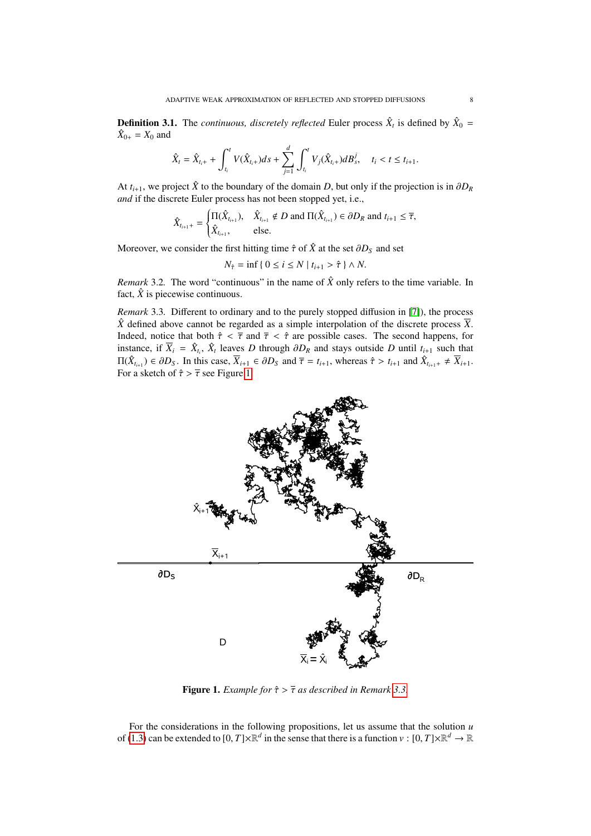**Definition 3.1.** The *continuous, discretely reflected* Euler process  $\hat{X}_t$  is defined by  $\hat{X}_0$  =  $\hat{X}_{0+} = X_0$  and

$$
\hat{X}_t = \hat{X}_{t_i+} + \int_{t_i}^t V(\hat{X}_{t_{i+}})ds + \sum_{j=1}^d \int_{t_i}^t V_j(\hat{X}_{t_{i+}})dB_s^j, \quad t_i < t \leq t_{i+1}.
$$

At  $t_{i+1}$ , we project  $\hat{X}$  to the boundary of the domain *D*, but only if the projection is in  $\partial D_R$ *and* if the discrete Euler process has not been stopped yet, i.e.,

$$
\hat{X}_{t_{i+1}+} = \begin{cases} \Pi(\hat{X}_{t_{i+1}}), & \hat{X}_{t_{i+1}} \notin D \text{ and } \Pi(\hat{X}_{t_{i+1}}) \in \partial D_R \text{ and } t_{i+1} \leq \overline{\tau}, \\ \hat{X}_{t_{i+1}}, & \text{else.} \end{cases}
$$

Moreover, we consider the first hitting time  $\hat{\tau}$  of  $\hat{X}$  at the set  $\partial D_S$  and set

 $N_{\hat{\tau}} = \inf \{ 0 \le i \le N \mid t_{i+1} > \hat{\tau} \} \wedge N.$ 

*Remark* 3.2. The word "continuous" in the name of  $\hat{X}$  only refers to the time variable. In fact,  $\hat{X}$  is piecewise continuous.

<span id="page-7-1"></span>*Remark* 3.3*.* Different to ordinary and to the purely stopped diffusion in [\[7\]](#page-43-8)), the process  $\hat{X}$  defined above cannot be regarded as a simple interpolation of the discrete process  $\overline{X}$ . Indeed, notice that both  $\hat{\tau} < \bar{\tau}$  and  $\bar{\tau} < \hat{\tau}$  are possible cases. The second happens, for instance, if  $\overline{X}_i = \hat{X}_i$ ,  $\hat{X}_i$  leaves *D* through  $\partial D_R$  and stays outside *D* until  $t_{i+1}$  such that  $\Pi(\hat{X}) \subseteq \partial D_i$ . In this case,  $\overline{X} \subseteq \partial D_i$  and  $\overline{\overline{x}} = t$ , whereas  $\hat{\overline{x}} \geq t$ , and  $\hat{X} = t \overline{X}$ .  $\Pi(\hat{X}_{t_{i+1}}) \in \partial D_S$ . In this case,  $\overline{X}_{i+1} \in \partial D_S$  and  $\overline{\tau} = t_{i+1}$ , whereas  $\hat{\tau} > t_{i+1}$  and  $\hat{X}_{t_{i+1}} \neq \overline{X}_{i+1}$ . For a sketch of  $\hat{\tau} > \overline{\tau}$  see Figure [1.](#page-7-0)



<span id="page-7-0"></span>**Figure 1.** *Example for*  $\hat{\tau} > \overline{\tau}$  *as described in Remark [3.3.](#page-7-1)* 

For the considerations in the following propositions, let us assume that the solution *u* of [\(1.3\)](#page-2-1) can be extended to  $[0, T] \times \mathbb{R}^d$  in the sense that there is a function  $v : [0, T] \times \mathbb{R}^d \to \mathbb{R}$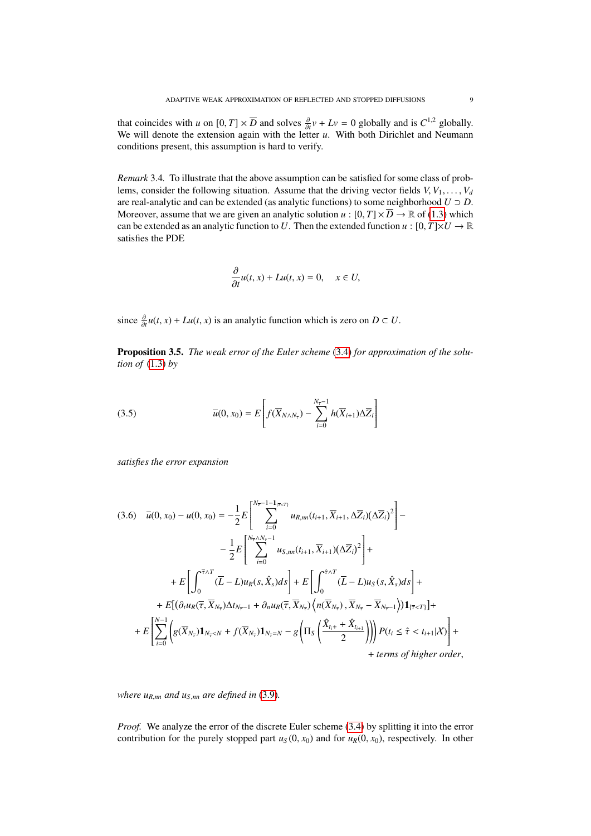that coincides with *u* on  $[0, T] \times \overline{D}$  and solves  $\frac{\partial}{\partial t}v + Lv = 0$  globally and is  $C^{1,2}$  globally.<br>We will denote the extension again with the letter *u*. With both Dirichlet and Neumann We will denote the extension again with the letter *u*. With both Dirichlet and Neumann We will denote the extension again with the letter *u*. With both Dirichlet and Neumann conditions present, this assumption is hard to verify.

*Remark* 3.4*.* To illustrate that the above assumption can be satisfied for some class of problems, consider the following situation. Assume that the driving vector fields  $V, V_1, \ldots, V_d$ are real-analytic and can be extended (as analytic functions) to some neighborhood  $U \supset D$ . Moreover, assume that we are given an analytic solution *u* :  $[0, T] \times \overline{D} \to \mathbb{R}$  of [\(1.3\)](#page-2-1) which can be extended as an analytic function to *U*. Then the extended function  $u : [0, T] \times U \to \mathbb{R}$ satisfies the PDE

$$
\frac{\partial}{\partial t}u(t,x) + Lu(t,x) = 0, \quad x \in U,
$$

since  $\frac{\partial}{\partial t}u(t, x) + Lu(t, x)$  is an analytic function which is zero on  $D \subset U$ .

<span id="page-8-0"></span>Proposition 3.5. *The weak error of the Euler scheme* [\(3.4\)](#page-6-1) *for approximation of the solution of* [\(1.3\)](#page-2-1) *by*

(3.5) 
$$
\overline{u}(0, x_0) = E\left[f(\overline{X}_{N\wedge N_{\overline{r}}}) - \sum_{i=0}^{N_{\overline{r}}-1} h(\overline{X}_{i+1})\Delta \overline{Z}_i\right]
$$

*satisfies the error expansion*

$$
(3.6) \quad \overline{u}(0, x_0) - u(0, x_0) = -\frac{1}{2}E\left[\sum_{i=0}^{N_{\overline{\tau}}-1-1_{\{\overline{\tau}
$$

*where*  $u_{R,nn}$  *and*  $u_{S,nn}$  *are defined in* [\(3.9\)](#page-9-0)*.* 

*Proof.* We analyze the error of the discrete Euler scheme [\(3.4\)](#page-6-1) by splitting it into the error contribution for the purely stopped part  $u_S(0, x_0)$  and for  $u_R(0, x_0)$ , respectively. In other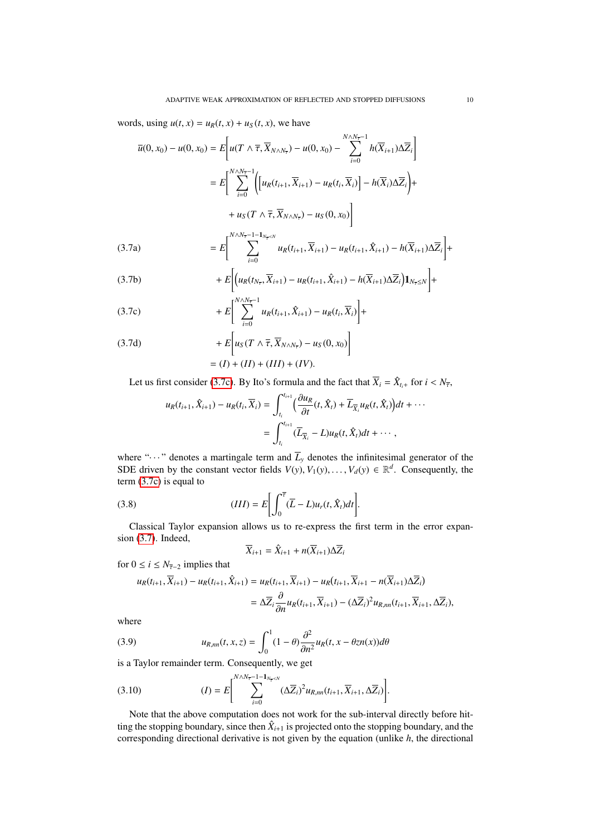words, using  $u(t, x) = u_R(t, x) + u_S(t, x)$ , we have

<span id="page-9-2"></span>
$$
\overline{u}(0, x_0) - u(0, x_0) = E \left[ u(T \wedge \overline{\tau}, \overline{X}_{N \wedge N_{\overline{\tau}}}) - u(0, x_0) - \sum_{i=0}^{N \wedge N_{\overline{\tau}} - 1} h(\overline{X}_{i+1}) \Delta \overline{Z}_i \right]
$$

$$
= E \left[ \sum_{i=0}^{N \wedge N_{\overline{\tau}} - 1} \left( \left[ u_R(t_{i+1}, \overline{X}_{i+1}) - u_R(t_i, \overline{X}_i) \right] - h(\overline{X}_i) \Delta \overline{Z}_i \right) + u_S(T \wedge \overline{\tau}, \overline{X}_{N \wedge N_{\overline{\tau}}}) - u_S(0, x_0) \right]
$$

$$
(3.7a) \qquad \qquad = E\left[\sum_{i=0}^{N\wedge N_{\overline{r}}-1-1_{N_{\overline{r}}
$$

(3.7b) 
$$
+ E\bigg[ (u_R(t_{N_{\overline{r}}}, \overline{X}_{i+1}) - u_R(t_{i+1}, \hat{X}_{i+1}) - h(\overline{X}_{i+1})\Delta \overline{Z}_i) \mathbf{1}_{N_{\overline{r}} \leq N} \bigg] +
$$

<span id="page-9-1"></span>(3.7c) 
$$
+ E \left[ \sum_{i=0}^{N \wedge N_{\overline{r}} - 1} u_R(t_{i+1}, \hat{X}_{i+1}) - u_R(t_i, \overline{X}_i) \right] +
$$

(3.7d) 
$$
+ E\bigg[u_S(T \wedge \overline{\tau}, \overline{X}_{N \wedge N_{\overline{\tau}}}) - u_S(0, x_0)\bigg]
$$

$$
= (I) + (II) + (III) + (IV).
$$

Let us first consider [\(3.7c\)](#page-9-1). By Ito's formula and the fact that  $\overline{X}_i = \hat{X}_{t_i+}$  for  $i < N_{\overline{t}},$ 

$$
u_R(t_{i+1}, \hat{X}_{i+1}) - u_R(t_i, \overline{X}_i) = \int_{t_i}^{t_{i+1}} \left( \frac{\partial u_R}{\partial t}(t, \hat{X}_l) + \overline{L}_{\overline{X}_i} u_R(t, \hat{X}_l) \right) dt + \cdots
$$
  
= 
$$
\int_{t_i}^{t_{i+1}} (\overline{L}_{\overline{X}_i} - L) u_R(t, \hat{X}_i) dt + \cdots,
$$

where " $\cdots$ " denotes a martingale term and  $\overline{L}_y$  denotes the infinitesimal generator of the SDE driven by the constant vector fields  $V(y)$ ,  $V_1(y)$ , ...,  $V_d(y) \in \mathbb{R}^d$ . Consequently, the term (3.7c) is equal to term [\(3.7c\)](#page-9-1) is equal to

(3.8) 
$$
(III) = E\bigg[\int_0^{\overline{\tau}} (\overline{L} - L) u_r(t, \hat{X}_t) dt\bigg].
$$

Classical Taylor expansion allows us to re-express the first term in the error expansion [\(3.7\)](#page-9-2). Indeed,

$$
\overline{X}_{i+1} = \hat{X}_{i+1} + n(\overline{X}_{i+1})\Delta \overline{Z}_i
$$

for  $0 \le i \le N_{\overline{\tau}-2}$  implies that

$$
u_R(t_{i+1}, \overline{X}_{i+1}) - u_R(t_{i+1}, \hat{X}_{i+1}) = u_R(t_{i+1}, \overline{X}_{i+1}) - u_R(t_{i+1}, \overline{X}_{i+1} - n(\overline{X}_{i+1})\Delta \overline{Z}_i)
$$
  
= 
$$
\Delta \overline{Z}_i \frac{\partial}{\partial n} u_R(t_{i+1}, \overline{X}_{i+1}) - (\Delta \overline{Z}_i)^2 u_{R,m}(t_{i+1}, \overline{X}_{i+1}, \Delta \overline{Z}_i),
$$

where

<span id="page-9-0"></span>(3.9) 
$$
u_{R,m}(t, x, z) = \int_0^1 (1 - \theta) \frac{\partial^2}{\partial n^2} u_R(t, x - \theta z n(x)) d\theta
$$
is a Taylor remainder term. Consequently, we get

(3.10) 
$$
(I) = E \left[ \sum_{i=0}^{N \wedge N_{\overline{t}} - 1 - 1_{N_{\overline{t}} < N}} (\Delta \overline{Z}_i)^2 u_{R,m}(t_{i+1}, \overline{X}_{i+1}, \Delta \overline{Z}_i) \right].
$$

Note that the above computation does not work for the sub-interval directly before hitting the stopping boundary, since then  $\hat{X}_{i+1}$  is projected onto the stopping boundary, and the corresponding directional derivative is not given by the equation (unlike *h*, the directional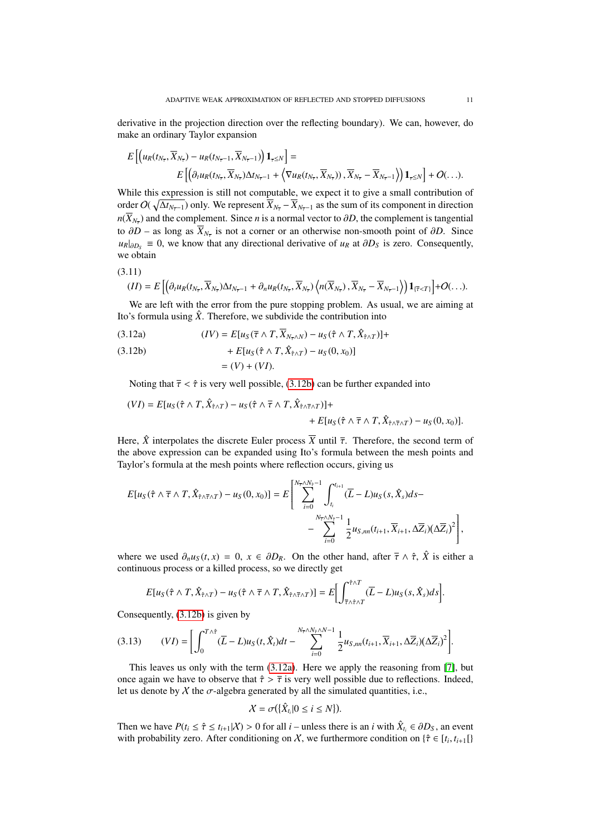derivative in the projection direction over the reflecting boundary). We can, however, do make an ordinary Taylor expansion

$$
E\left[\left(u_R(t_{N_{\overline{\tau}}}, \overline{X}_{N_{\overline{\tau}}}) - u_R(t_{N_{\overline{\tau}}-1}, \overline{X}_{N_{\overline{\tau}}-1})\right)\mathbf{1}_{\tau \leq N}\right] = \nE\left[\left(\partial_t u_R(t_{N_{\overline{\tau}}}, \overline{X}_{N_{\overline{\tau}}})\Delta t_{N_{\overline{\tau}}-1} + \left\langle \nabla u_R(t_{N_{\overline{\tau}}}, \overline{X}_{N_{\overline{\tau}}})\right), \overline{X}_{N_{\overline{\tau}}} - \overline{X}_{N_{\overline{\tau}}-1}\right\rangle\right)\mathbf{1}_{\tau \leq N}\right] + O(\ldots).
$$

While this expression is still not computable, we expect it to give a small contribution of order  $O(\sqrt{\Delta t_{N_{\overline{\tau}}-1}})$  only. We represent  $\overline{X}_{N_{\overline{\tau}}}-\overline{X}_{N_{\overline{\tau}}-1}$  as the sum of its component in direction  $n(X_{N_{\overline{\tau}}})$  and the complement. Since *n* is a normal vector to ∂*D*, the complement is tangential to  $\partial D$  – as long as  $X_{N_{\overline{r}}}$  is not a corner or an otherwise non-smooth point of  $\partial D$ . Since  $u_{\text{max}} = 0$ , we know that any directional derivative of  $u_{\text{max}}$  at  $\partial D_{\text{min}}$  is zero. Consequently  $u_R|_{\partial D_S}$  ≡ 0, we know that any directional derivative of  $u_R$  at  $\partial D_S$  is zero. Consequently, we obtain

$$
(3.11)
$$

$$
(II) = E\left[\left(\partial_t u_R(t_{N_{\overline{\tau}}}, \overline{X}_{N_{\overline{\tau}}}) \Delta t_{N_{\overline{\tau}}-1} + \partial_n u_R(t_{N_{\overline{\tau}}}, \overline{X}_{N_{\overline{\tau}}}) \left\langle n(\overline{X}_{N_{\overline{\tau}}}), \overline{X}_{N_{\overline{\tau}}} - \overline{X}_{N_{\overline{\tau}}-1}\right\rangle\right) \mathbf{1}_{\{\overline{\tau} < T\}}\right] + O(\ldots).
$$

We are left with the error from the pure stopping problem. As usual, we are aiming at Ito's formula using  $\hat{X}$ . Therefore, we subdivide the contribution into

<span id="page-10-1"></span>(*J*, *I*)  $E[u_S(\bar{\tau} \wedge T, \bar{X}_{N_{\bar{\tau}} \wedge N}) - u_S(\hat{\tau} \wedge T, \hat{X}_{\hat{\tau} \wedge T})] +$ 

<span id="page-10-0"></span>(3.12b) 
$$
+ E[u_S(\hat{\tau} \wedge T, \hat{X}_{\hat{\tau} \wedge T}) - u_S(0, x_0)]
$$

$$
= (V) + (VI).
$$

Noting that  $\bar{\tau} < \hat{\tau}$  is very well possible, [\(3.12b\)](#page-10-0) can be further expanded into

$$
(VI) = E[u_S(\hat{\tau} \wedge T, \hat{X}_{\hat{\tau} \wedge T}) - u_S(\hat{\tau} \wedge \overline{\tau} \wedge T, \hat{X}_{\hat{\tau} \wedge \overline{\tau} \wedge T})] + + E[u_S(\hat{\tau} \wedge \overline{\tau} \wedge T, \hat{X}_{\hat{\tau} \wedge \overline{\tau} \wedge T}) - u_S(0, x_0)].
$$

Here,  $\hat{X}$  interpolates the discrete Euler process  $\overline{X}$  until  $\overline{\tau}$ . Therefore, the second term of the above expression can be expanded using Ito's formula between the mesh points and Taylor's formula at the mesh points where reflection occurs, giving us

$$
E[u_S(\hat{\tau} \wedge \overline{\tau} \wedge T, \hat{X}_{\hat{\tau} \wedge \overline{\tau} \wedge T}) - u_S(0, x_0)] = E\left[\sum_{i=0}^{N_{\overline{\tau}} \wedge N_{\hat{\tau}} - 1} \int_{t_i}^{t_{i+1}} (\overline{L} - L) u_S(s, \hat{X}_s) ds - - \sum_{i=0}^{N_{\overline{\tau}} \wedge N_{\hat{\tau}} - 1} \frac{1}{2} u_{S,m}(t_{i+1}, \overline{X}_{i+1}, \Delta \overline{Z}_i) (\Delta \overline{Z}_i)^2\right],
$$

where we used  $\partial_{\eta}u_S(t, x) = 0$ ,  $x \in \partial D_R$ . On the other hand, after  $\overline{\tau} \wedge \hat{\tau}$ ,  $\hat{X}$  is either a continuous process or a killed process, so we directly get

$$
E[u_S(\hat{\tau}\wedge T,\hat{X}_{\hat{\tau}\wedge T})-u_S(\hat{\tau}\wedge \overline{\tau}\wedge T,\hat{X}_{\hat{\tau}\wedge \overline{\tau}\wedge T})]=E\bigg[\int_{\overline{\tau}\wedge\hat{\tau}\wedge T}^{\hat{\tau}\wedge T}(\overline{L}-L)u_S(s,\hat{X}_s)ds\bigg].
$$

Consequently, [\(3.12b\)](#page-10-0) is given by

$$
(3.13) \qquad (VI) = \bigg[\int_0^{T\wedge\hat{\tau}} (\overline{L}-L)u_S(t,\hat{X}_t)dt - \sum_{i=0}^{N_{\bar{\tau}}\wedge N_{\bar{\tau}}\wedge N-1} \frac{1}{2}u_{S,m}(t_{i+1},\overline{X}_{i+1},\Delta\overline{Z}_i)(\Delta\overline{Z}_i)^2\bigg].
$$

This leaves us only with the term [\(3.12a\)](#page-10-1). Here we apply the reasoning from [\[7\]](#page-43-8), but once again we have to observe that  $\hat{\tau} > \overline{\tau}$  is very well possible due to reflections. Indeed, let us denote by X the  $\sigma$ -algebra generated by all the simulated quantities, i.e.,

$$
X=\sigma(\{\hat{X}_{t_i}|0\leq i\leq N\}).
$$

Then we have  $P(t_i \leq \hat{\tau} \leq t_{i+1}|\mathcal{X}) > 0$  for all *i* – unless there is an *i* with  $\hat{X}_{t_i} \in \partial D_S$ , an event with probability zero. After conditioning on *X* we furthermore condition on  $\hat{\tau} \in [t_1, t_2, 1]$ with probability zero. After conditioning on X, we furthermore condition on  $\{\hat{\tau} \in [t_i, t_{i+1}]\}$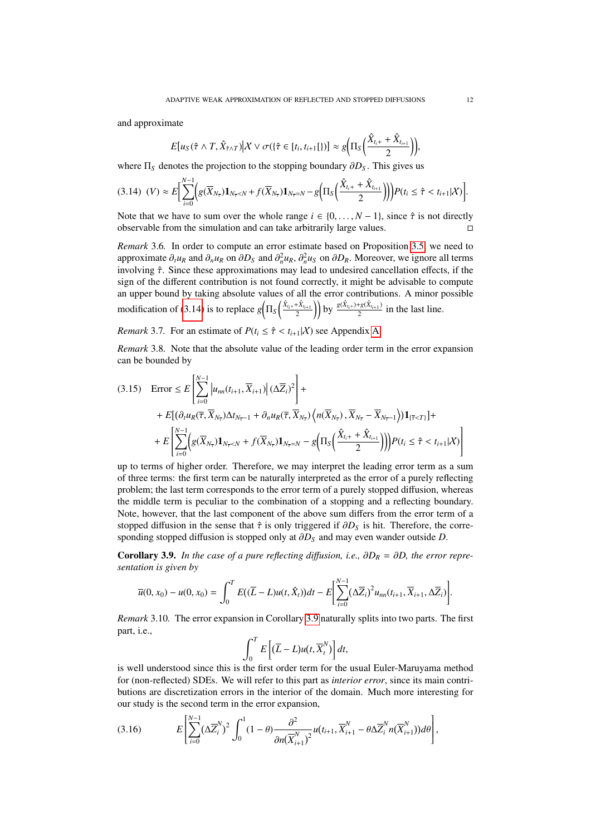and approximate

$$
E[u_S(\hat{\tau} \wedge T, \hat{X}_{\hat{\tau} \wedge T}) \big| X \vee \sigma(\{\hat{\tau} \in [t_i, t_{i+1}[\}) \big] \approx g\Big(\Pi_S\Big(\frac{\hat{X}_{t_i+} + \hat{X}_{t_{i+1}}}{2}\Big)\Big)
$$

where  $\Pi_S$  denotes the projection to the stopping boundary  $\partial D_S$ . This gives us

<span id="page-11-0"></span>
$$
(3.14) \t(V) \approx E \bigg[ \sum_{i=0}^{N-1} \bigg( g(\overline{X}_{N_{\overline{\tau}}}) \mathbf{1}_{N_{\overline{\tau}} < N} + f(\overline{X}_{N_{\overline{\tau}}}) \mathbf{1}_{N_{\overline{\tau}} = N} - g\bigg( \Pi_S \bigg( \frac{\hat{X}_{t_i+} + \hat{X}_{t_{i+1}}}{2} \bigg) \bigg) \bigg) P(t_i \leq \hat{\tau} < t_{i+1} | X) \bigg].
$$

Note that we have to sum over the whole range  $i \in \{0, \ldots, N-1\}$ , since  $\hat{\tau}$  is not directly observable from the simulation and can take arbitrarily large values observable from the simulation and can take arbitrarily large values.

*Remark* 3.6*.* In order to compute an error estimate based on Proposition [3.5,](#page-8-0) we need to approximate  $\partial_t u_R$  and  $\partial_n u_R$  on  $\partial D_S$  and  $\partial_n^2 u_R$ ,  $\partial_n^2 u_S$  on  $\partial D_R$ . Moreover, we ignore all terms involving  $\hat{\tau}$ . Since these approximations may lead to undesired cancellation effects if the involving  $\hat{\tau}$ . Since these approximations may lead to undesired cancellation effects, if the sign of the different contribution is not found correctly, it might be advisable to compute an upper bound by taking absolute values of all the error contributions. A minor possible modification of [\(3.14\)](#page-11-0) is to replace  $g\left(\Pi_S\left(\frac{\hat{X}_{t_i+}+\hat{X}_{t_{i+1}}}{2}\right)\right)$  by  $\frac{g(\hat{X}_{t_i+})+g(\hat{X}_{t_{i+1}})}{2}$  $\frac{1}{2}$  in the last line.

*Remark* 3.7. For an estimate of  $P(t_i \leq \hat{\tau} < t_{i+1}|\mathcal{X})$  see Appendix [A.](#page-44-0)

<span id="page-11-3"></span>*Remark* 3.8*.* Note that the absolute value of the leading order term in the error expansion can be bounded by

$$
(3.15) \quad \text{Error} \leq E\left[\sum_{i=0}^{N-1} \left|u_{nn}(t_{i+1}, \overline{X}_{i+1})\right| (\Delta \overline{Z}_{i})^{2}\right] +
$$
\n
$$
+ E\left[(\partial_{t}u_{R}(\overline{\tau}, \overline{X}_{N_{\overline{\tau}}})\Delta t_{N_{\overline{\tau}-1}} + \partial_{n}u_{R}(\overline{\tau}, \overline{X}_{N_{\overline{\tau}}})\left\langle n(\overline{X}_{N_{\overline{\tau}}}), \overline{X}_{N_{\overline{\tau}}}-\overline{X}_{N_{\overline{\tau}-1}}\right\rangle\right)\mathbf{1}_{\{\overline{\tau}\n
$$
+ E\left[\sum_{i=0}^{N-1} \left(g(\overline{X}_{N_{\overline{\tau}}})\mathbf{1}_{N_{\overline{\tau}}
$$
$$

up to terms of higher order. Therefore, we may interpret the leading error term as a sum of three terms: the first term can be naturally interpreted as the error of a purely reflecting problem; the last term corresponds to the error term of a purely stopped diffusion, whereas the middle term is peculiar to the combination of a stopping and a reflecting boundary. Note, however, that the last component of the above sum differs from the error term of a stopped diffusion in the sense that  $\hat{\tau}$  is only triggered if  $\partial D_{\tilde{S}}$  is hit. Therefore, the corresponding stopped diffusion is stopped only at  $\partial D_S$  and may even wander outside *D*.

<span id="page-11-1"></span>**Corollary 3.9.** *In the case of a pure reflecting diffusion, i.e.,*  $\partial D_R = \partial D$ *, the error representation is given by*

$$
\overline{u}(0,x_0) - u(0,x_0) = \int_0^T E((\overline{L} - L)u(t,\hat{X}_t))dt - E\left[\sum_{i=0}^{N-1} (\Delta \overline{Z}_i)^2 u_{nn}(t_{i+1},\overline{X}_{i+1},\Delta \overline{Z}_i)\right].
$$

<span id="page-11-4"></span>*Remark* 3.10*.* The error expansion in Corollary [3.9](#page-11-1) naturally splits into two parts. The first part, i.e.,

$$
\int_0^T E\left[(\overline{L}-L)u(t,\overline{X}_t^N)\right]dt,
$$

is well understood since this is the first order term for the usual Euler-Maruyama method for (non-reflected) SDEs. We will refer to this part as *interior error*, since its main contributions are discretization errors in the interior of the domain. Much more interesting for our study is the second term in the error expansion,

<span id="page-11-2"></span>
$$
(3.16) \t E \left[ \sum_{i=0}^{N-1} (\Delta \overline{Z}_{i}^{N})^{2} \int_{0}^{1} (1-\theta) \frac{\partial^{2}}{\partial n (\overline{X}_{i+1}^{N})^{2}} u(t_{i+1}, \overline{X}_{i+1}^{N} - \theta \Delta \overline{Z}_{i}^{N} n (\overline{X}_{i+1}^{N})) d\theta \right],
$$

,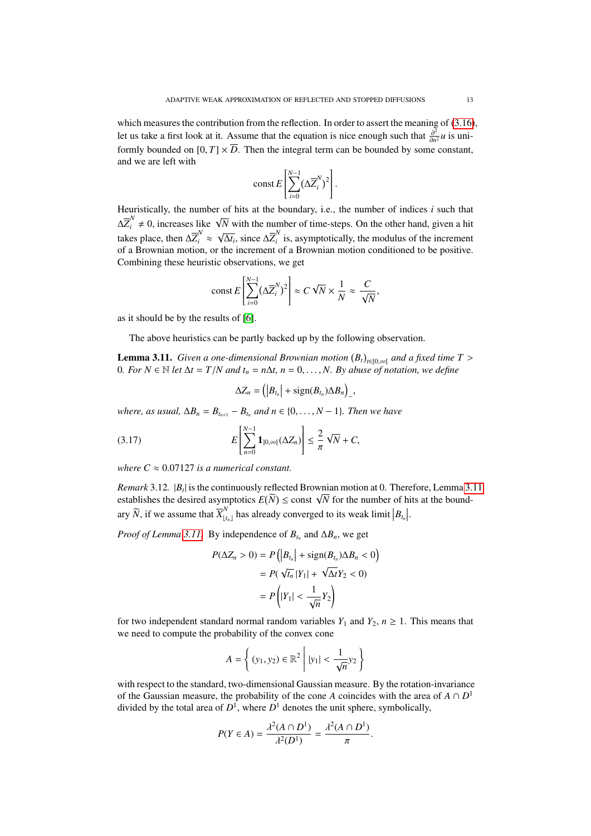which measures the contribution from the reflection. In order to assert the meaning of [\(3.16\)](#page-11-2), let us take a first look at it. Assume that the equation is nice enough such that  $\frac{\partial^2}{\partial n^2}u$  is uniformly bounded on  $[0, T] \times \overline{D}$ . Then the integral term can be bounded by some constant, and we are left with

$$
const \, E\left[\sum_{i=0}^{N-1} (\Delta \overline{Z}_{i}^{N})^{2}\right].
$$

Heuristically, the number of hits at the boundary, i.e., the number of indices *i* such that  $\Delta \overline{Z}_i^N \neq 0$ , increases like  $\sqrt{N}$  with the number of time-steps. On the other hand, given a hit takes place, then  $\Delta \overline{Z}_i^N \approx \sqrt{\overline{Z}_i^N}$  $\overline{\Delta t_i}$ , since  $\Delta \overline{Z}_i^N$  $\hat{i}$  is, asymptotically, the modulus of the increment of a Brownian motion, or the increment of a Brownian motion conditioned to be positive. Combining these heuristic observations, we get

$$
\text{const } E\left[\sum_{i=0}^{N-1} (\Delta \overline{Z}_i^N)^2\right] \approx C \sqrt{N} \times \frac{1}{N} \approx \frac{C}{\sqrt{N}},
$$

as it should be by the results of [\[6\]](#page-43-4).

The above heuristics can be partly backed up by the following observation.

<span id="page-12-0"></span>**Lemma 3.11.** *Given a one-dimensional Brownian motion*  $(B_t)_{t \in [0,\infty[}$  *and a fixed time T* > 0. *For*  $N \in \mathbb{N}$  *let*  $\Delta t = T/N$  and  $t = n\Delta t$ ,  $n = 0$ . *N. By abuse of notation, we define* 0*. For*  $N \in \mathbb{N}$  *let*  $\Delta t = T/N$  *and*  $t_n = n\Delta t$ ,  $n = 0, ..., N$ . By abuse of notation, we define

$$
\Delta Z_n = \left( \left| B_{t_n} \right| + \text{sign}(B_{t_n}) \Delta B_n \right)_-,
$$

*where, as usual,*  $\Delta B_n = B_{t_{n+1}} - B_{t_n}$  *and*  $n \in \{0, \ldots, N-1\}$ *. Then we have* 

(3.17) 
$$
E\left[\sum_{n=0}^{N-1} \mathbf{1}_{]0,\infty[}(\Delta Z_n)\right] \leq \frac{2}{\pi} \sqrt{N} + C,
$$

*where*  $C \approx 0.07127$  *is a numerical constant.* 

*Remark* 3.12*.* |*B<sup>t</sup>* | is the continuously reflected Brownian motion at 0. Therefore, Lemma [3.11](#page-12-0) *Remark 5.12.*  $|B_t|$  is the continuously reflected Browman motion at 0. Therefore, Lemma 5.<br>establishes the desired asymptotics  $E(\widetilde{N}) \leq$  const  $\sqrt{N}$  for the number of hits at the boundary  $\widetilde{N}$ , if we assume that  $\overline{X}_{\lfloor t_n \rfloor}^N$  has already converged to its weak limit  $\left|B_{t_n}\right|$ .

*Proof of Lemma* [3.11.](#page-12-0) By independence of  $B_{t_n}$  and  $\Delta B_n$ , we get

$$
P(\Delta Z_n > 0) = P\left(|B_{t_n}| + \text{sign}(B_{t_n})\Delta B_n < 0\right)
$$

$$
= P(\sqrt{t_n}|Y_1| + \sqrt{\Delta t}Y_2 < 0)
$$

$$
= P\left(|Y_1| < \frac{1}{\sqrt{n}}Y_2\right)
$$

for two independent standard normal random variables  $Y_1$  and  $Y_2$ ,  $n \ge 1$ . This means that we need to compute the probability of the convex cone

$$
A = \left\{ (y_1, y_2) \in \mathbb{R}^2 \middle| |y_1| < \frac{1}{\sqrt{n}} y_2 \right\}
$$

with respect to the standard, two-dimensional Gaussian measure. By the rotation-invariance of the Gaussian measure, the probability of the cone *A* coincides with the area of  $A \cap D^1$ divided by the total area of  $D^1$ , where  $D^1$  denotes the unit sphere, symbolically,

$$
P(Y \in A) = \frac{\lambda^2 (A \cap D^1)}{\lambda^2 (D^1)} = \frac{\lambda^2 (A \cap D^1)}{\pi}.
$$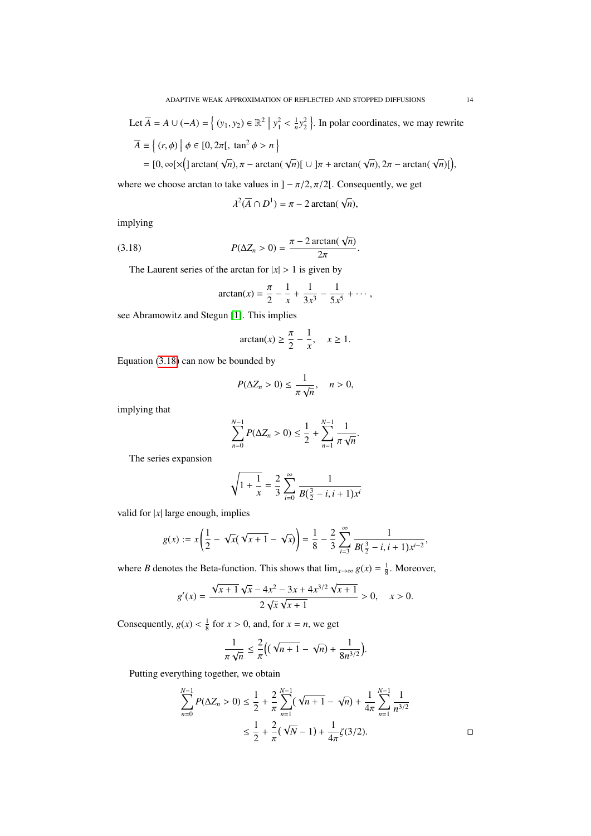Let 
$$
\overline{A} = A \cup (-A) = \left\{ (y_1, y_2) \in \mathbb{R}^2 \mid y_1^2 < \frac{1}{n} y_2^2 \right\}
$$
. In polar coordinates, we may rewrite  
\n
$$
\overline{A} = \left\{ (r, \phi) \mid \phi \in [0, 2\pi[, \tan^2 \phi > n \right\}
$$
\n
$$
= [0, \infty[ \times \left( \left| \arctan(\sqrt{n}), \pi - \arctan(\sqrt{n}) \right| \cup \left| \pi + \arctan(\sqrt{n}), 2\pi - \arctan(\sqrt{n}) \right| \right),
$$

where we choose arctan to take values in  $]-\pi/2, \pi/2[$ . Consequently, we get

$$
\lambda^2(\overline{A}\cap D^1)=\pi-2\arctan(\sqrt{n}),
$$

implying

(3.18) 
$$
P(\Delta Z_n > 0) = \frac{\pi - 2 \arctan(\sqrt{n})}{2\pi}.
$$

The Laurent series of the arctan for  $|x| > 1$  is given by

<span id="page-13-0"></span>
$$
\arctan(x) = \frac{\pi}{2} - \frac{1}{x} + \frac{1}{3x^3} - \frac{1}{5x^5} + \cdots,
$$

see Abramowitz and Stegun [\[1\]](#page-43-0). This implies

$$
\arctan(x) \ge \frac{\pi}{2} - \frac{1}{x}, \quad x \ge 1.
$$

Equation [\(3.18\)](#page-13-0) can now be bounded by

$$
P(\Delta Z_n > 0) \le \frac{1}{\pi \sqrt{n}}, \quad n > 0,
$$

implying that

$$
\sum_{n=0}^{N-1} P(\Delta Z_n > 0) \leq \frac{1}{2} + \sum_{n=1}^{N-1} \frac{1}{\pi \sqrt{n}}.
$$

The series expansion

$$
\sqrt{1+\frac{1}{x}} = \frac{2}{3} \sum_{i=0}^{\infty} \frac{1}{B(\frac{3}{2}-i, i+1)x^{i}}
$$

valid for |*x*| large enough, implies

$$
g(x) := x \left( \frac{1}{2} - \sqrt{x} (\sqrt{x+1} - \sqrt{x}) \right) = \frac{1}{8} - \frac{2}{3} \sum_{i=3}^{\infty} \frac{1}{B(\frac{3}{2} - i, i + 1) x^{i-2}},
$$

where *B* denotes the Beta-function. This shows that  $\lim_{x\to\infty} g(x) = \frac{1}{8}$ . Moreover,

$$
g'(x) = \frac{\sqrt{x+1}\sqrt{x-4x^2-3x+4x^{3/2}\sqrt{x+1}}}{2\sqrt{x}\sqrt{x+1}} > 0, \quad x > 0.
$$

Consequently,  $g(x) < \frac{1}{8}$  for  $x > 0$ , and, for  $x = n$ , we get

$$
\frac{1}{\pi\sqrt{n}} \leq \frac{2}{\pi}\left((\sqrt{n+1} - \sqrt{n}) + \frac{1}{8n^{3/2}}\right).
$$

Putting everything together, we obtain

$$
\sum_{n=0}^{N-1} P(\Delta Z_n > 0) \le \frac{1}{2} + \frac{2}{\pi} \sum_{n=1}^{N-1} (\sqrt{n+1} - \sqrt{n}) + \frac{1}{4\pi} \sum_{n=1}^{N-1} \frac{1}{n^{3/2}}
$$
  

$$
\le \frac{1}{2} + \frac{2}{\pi} (\sqrt{N} - 1) + \frac{1}{4\pi} \zeta(3/2).
$$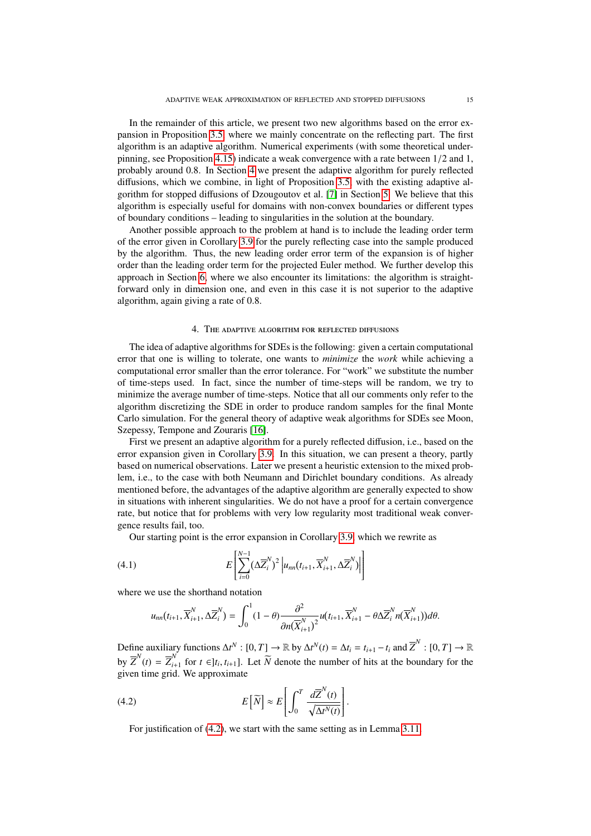In the remainder of this article, we present two new algorithms based on the error expansion in Proposition [3.5,](#page-8-0) where we mainly concentrate on the reflecting part. The first algorithm is an adaptive algorithm. Numerical experiments (with some theoretical underpinning, see Proposition [4.15\)](#page-21-0) indicate a weak convergence with a rate between 1/2 and 1, probably around 0.8. In Section [4](#page-14-0) we present the adaptive algorithm for purely reflected diffusions, which we combine, in light of Proposition [3.5,](#page-8-0) with the existing adaptive algorithm for stopped diffusions of Dzougoutov et al. [\[7\]](#page-43-8) in Section [5.](#page-24-0) We believe that this algorithm is especially useful for domains with non-convex boundaries or different types of boundary conditions – leading to singularities in the solution at the boundary.

Another possible approach to the problem at hand is to include the leading order term of the error given in Corollary [3.9](#page-11-1) for the purely reflecting case into the sample produced by the algorithm. Thus, the new leading order error term of the expansion is of higher order than the leading order term for the projected Euler method. We further develop this approach in Section [6,](#page-26-0) where we also encounter its limitations: the algorithm is straightforward only in dimension one, and even in this case it is not superior to the adaptive algorithm, again giving a rate of 0.8.

# 4. THE ADAPTIVE ALGORITHM FOR REFLECTED DIFFUSIONS

<span id="page-14-0"></span>The idea of adaptive algorithms for SDEs is the following: given a certain computational error that one is willing to tolerate, one wants to *minimize* the *work* while achieving a computational error smaller than the error tolerance. For "work" we substitute the number of time-steps used. In fact, since the number of time-steps will be random, we try to minimize the average number of time-steps. Notice that all our comments only refer to the algorithm discretizing the SDE in order to produce random samples for the final Monte Carlo simulation. For the general theory of adaptive weak algorithms for SDEs see Moon, Szepessy, Tempone and Zouraris [\[16\]](#page-43-10).

First we present an adaptive algorithm for a purely reflected diffusion, i.e., based on the error expansion given in Corollary [3.9.](#page-11-1) In this situation, we can present a theory, partly based on numerical observations. Later we present a heuristic extension to the mixed problem, i.e., to the case with both Neumann and Dirichlet boundary conditions. As already mentioned before, the advantages of the adaptive algorithm are generally expected to show in situations with inherent singularities. We do not have a proof for a certain convergence rate, but notice that for problems with very low regularity most traditional weak convergence results fail, too.

Our starting point is the error expansion in Corollary [3.9,](#page-11-1) which we rewrite as

(4.1) 
$$
E\left[\sum_{i=0}^{N-1} (\Delta \overline{Z}_{i}^{N})^{2} \Big| u_{nn}(t_{i+1}, \overline{X}_{i+1}^{N}, \Delta \overline{Z}_{i}^{N}) \Big| \right]
$$

where we use the shorthand notation

<span id="page-14-2"></span>
$$
u_{nn}(t_{i+1}, \overline{X}_{i+1}^N, \Delta \overline{Z}_i^N) = \int_0^1 (1 - \theta) \frac{\partial^2}{\partial n(\overline{X}_{i+1}^N)^2} u(t_{i+1}, \overline{X}_{i+1}^N - \theta \Delta \overline{Z}_i^N n(\overline{X}_{i+1}^N)) d\theta.
$$

Define auxiliary functions  $\Delta t^N$  :  $[0, T] \rightarrow \mathbb{R}$  by  $\Delta t^N(t) = \Delta t_i = t_{i+1} - t_i$  and  $\overline{Z}^N$  :  $[0, T] \rightarrow \mathbb{R}$ <br>  $\Delta t^N(t) = \overline{Z}^N(t) = \overline{Z}^N(t) = \overline{Z}^N(t) = \overline{Z}^N(t) = \overline{Z}^N(t) = \overline{Z}^N(t) = \overline{Z}^N(t) = \overline{Z}^N(t) = \overline{Z}^$ by  $\overline{Z}^N(t) = \overline{Z}_{i+1}^N$ *i*<sup>∤</sup><sub>*i*</sub>+1</sub> for *t* ∈]*t<sub>i</sub>*, *t*<sub>*i*+1</sub>]. Let  $\overline{N}$  denote the number of hits at the boundary for the  $\overline{M}$  We approximate given time grid. We approximate

(4.2) 
$$
E\left[\widetilde{N}\right] \approx E\left[\int_0^T \frac{d\overline{Z}^N(t)}{\sqrt{\Delta t^N(t)}}\right]
$$

<span id="page-14-1"></span>For justification of [\(4.2\)](#page-14-1), we start with the same setting as in Lemma [3.11.](#page-12-0)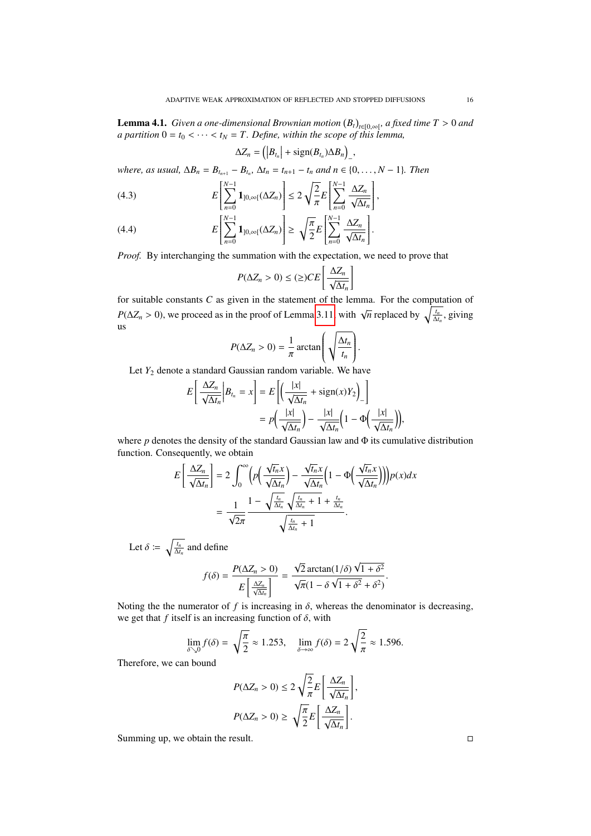**Lemma 4.1.** *Given a one-dimensional Brownian motion*  $(B_t)_{t\in[0,\infty[\cdot]}$  *a fixed time T* > 0 *and a partition*  $0 = t_0 \leq \ldots \leq t_N = T$ . Define, within the scope of this lemma *the partition*  $0 = t_0 < \cdots < t_N = T$ . Define, within the scope of this lemma,

$$
Z_n = \left( \left| B_{t_n} \right| + \text{sign}(B_{t_n}) \Delta B_n \right)_-,
$$

*where, as usual,*  $\Delta B_n = B_{t_{n+1}} - B_{t_n}$ ,  $\Delta t_n = t_{n+1} - t_n$  and  $n \in \{0, ..., N-1\}$ *. Then* 

(4.3) 
$$
E\left[\sum_{n=0}^{N-1} \mathbf{1}_{]0,\infty[}(\Delta Z_n)\right] \leq 2\sqrt{\frac{2}{\pi}} E\left[\sum_{n=0}^{N-1} \frac{\Delta Z_n}{\sqrt{\Delta t_n}}\right],
$$

∆*Z<sup>n</sup>* =

(4.4) 
$$
E\left[\sum_{n=0}^{N-1} \mathbf{1}_{]0,\infty[}(\Delta Z_n)\right] \geq \sqrt{\frac{\pi}{2}} E\left[\sum_{n=0}^{N-1} \frac{\Delta Z_n}{\sqrt{\Delta t_n}}\right].
$$

*Proof.* By interchanging the summation with the expectation, we need to prove that

$$
P(\Delta Z_n > 0) \le (\ge) CE \left[ \frac{\Delta Z_n}{\sqrt{\Delta t_n}} \right]
$$

for suitable constants *C* as given in the statement of the lemma. For the computation of  $P(\Delta Z_n > 0)$ , we proceed as in the proof of Lemma [3.11,](#page-12-0) with  $\sqrt{n}$  replaced by  $\sqrt{\frac{t_n}{\Delta t_n}}$ , giving us

$$
P(\Delta Z_n > 0) = \frac{1}{\pi} \arctan\left(\sqrt{\frac{\Delta t_n}{t_n}}\right).
$$

Let *Y*<sup>2</sup> denote a standard Gaussian random variable. We have

$$
E\left[\frac{\Delta Z_n}{\sqrt{\Delta t_n}}\Big|B_{t_n} = x\right] = E\left[\left(\frac{|x|}{\sqrt{\Delta t_n}} + \text{sign}(x)Y_2\right)_{-}\right]
$$

$$
= p\left(\frac{|x|}{\sqrt{\Delta t_n}}\right) - \frac{|x|}{\sqrt{\Delta t_n}}\left(1 - \Phi\left(\frac{|x|}{\sqrt{\Delta t_n}}\right)\right),
$$

where *p* denotes the density of the standard Gaussian law and Φ its cumulative distribution function. Consequently, we obtain

$$
E\left[\frac{\Delta Z_n}{\sqrt{\Delta t_n}}\right] = 2 \int_0^\infty \left(p\left(\frac{\sqrt{t_n}x}{\sqrt{\Delta t_n}}\right) - \frac{\sqrt{t_n}x}{\sqrt{\Delta t_n}}\left(1 - \Phi\left(\frac{\sqrt{t_n}x}{\sqrt{\Delta t_n}}\right)\right)\right)p(x)dx
$$

$$
= \frac{1}{\sqrt{2\pi}} \frac{1 - \sqrt{\frac{t_n}{\Delta t_n}}\sqrt{\frac{t_n}{\Delta t_n} + 1} + \frac{t_n}{\Delta t_n}}{\sqrt{\frac{t_n}{\Delta t_n} + 1}}.
$$

Let  $\delta \coloneqq \sqrt{\frac{t_n}{\Delta t_n}}$  and define

$$
f(\delta) = \frac{P(\Delta Z_n > 0)}{E\left[\frac{\Delta Z_n}{\sqrt{\Delta t_n}}\right]} = \frac{\sqrt{2}\arctan(1/\delta)\sqrt{1+\delta^2}}{\sqrt{\pi}(1-\delta\sqrt{1+\delta^2}+\delta^2)}
$$

Noting the the numerator of  $f$  is increasing in  $\delta$ , whereas the denominator is decreasing, we get that  $f$  itself is an increasing function of  $\delta$ , with

$$
\lim_{\delta \searrow 0} f(\delta) = \sqrt{\frac{\pi}{2}} \approx 1.253, \quad \lim_{\delta \to \infty} f(\delta) = 2\sqrt{\frac{2}{\pi}} \approx 1.596.
$$

Therefore, we can bound

$$
P(\Delta Z_n > 0) \le 2\sqrt{\frac{2}{\pi}}E\left[\frac{\Delta Z_n}{\sqrt{\Delta t_n}}\right],
$$
  

$$
P(\Delta Z_n > 0) \ge \sqrt{\frac{\pi}{2}}E\left[\frac{\Delta Z_n}{\sqrt{\Delta t_n}}\right].
$$

Summing up, we obtain the result.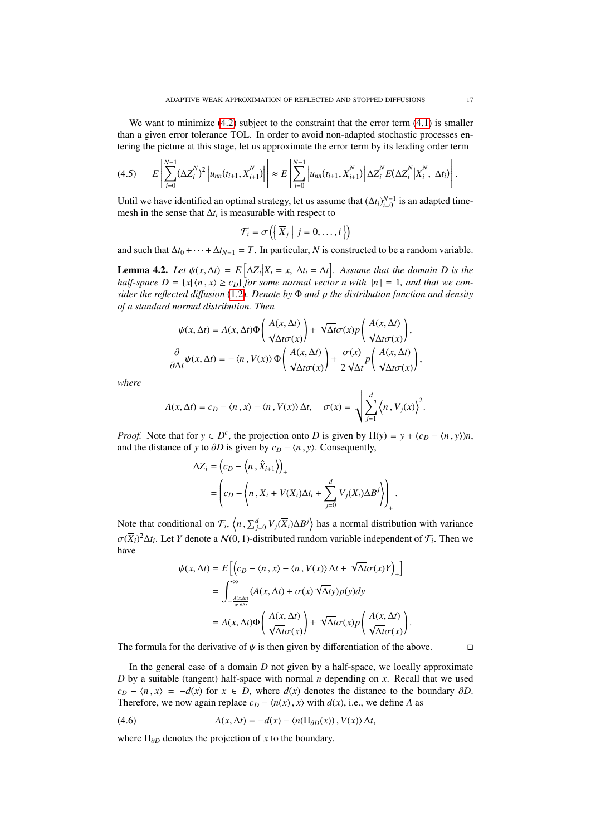We want to minimize  $(4.2)$  subject to the constraint that the error term  $(4.1)$  is smaller than a given error tolerance TOL. In order to avoid non-adapted stochastic processes entering the picture at this stage, let us approximate the error term by its leading order term

<span id="page-16-0"></span>
$$
(4.5) \qquad E\left[\sum_{i=0}^{N-1}(\Delta \overline{Z}_{i}^{N})^{2}\left|u_{nn}(t_{i+1},\overline{X}_{i+1}^{N})\right|\right] \approx E\left[\sum_{i=0}^{N-1}\left|u_{nn}(t_{i+1},\overline{X}_{i+1}^{N})\right|\Delta \overline{Z}_{i}^{N}E(\Delta \overline{Z}_{i}^{N}|\overline{X}_{i}^{N},\Delta t_{i})\right].
$$

Until we have identified an optimal strategy, let us assume that  $(\Delta t_i)_{i=0}^{N-1}$  is an adapted timemesh in the sense that  $\Delta t_i$  is measurable with respect to

$$
\mathcal{F}_i = \sigma\left(\left\{\overline{X}_j \middle| j = 0, \ldots, i\right\}\right)
$$

and such that  $\Delta t_0 + \cdots + \Delta t_{N-1} = T$ . In particular, *N* is constructed to be a random variable.

**Lemma 4.2.** Let  $\psi(x, \Delta t) = E\left[\Delta \overline{Z}_i | \overline{X}_i = x, \Delta t_i = \Delta t\right]$ . Assume that the domain D is the half space  $D = \{x | (n - x) \ge c_1\}$  for some normal vector n with  $||x|| = 1$  and that we can *half-space*  $D = \{x | \langle n, x \rangle \ge c_D\}$  *for some normal vector n with*  $\|n\| = 1$ *, and that we consider the reflected di*ff*usion* [\(1.2\)](#page-1-1)*. Denote by* Φ *and p the distribution function and density of a standard normal distribution. Then*

$$
\psi(x, \Delta t) = A(x, \Delta t) \Phi \left( \frac{A(x, \Delta t)}{\sqrt{\Delta t} \sigma(x)} \right) + \sqrt{\Delta t} \sigma(x) p \left( \frac{A(x, \Delta t)}{\sqrt{\Delta t} \sigma(x)} \right),
$$

$$
\frac{\partial}{\partial \Delta t} \psi(x, \Delta t) = -\langle n, V(x) \rangle \Phi \left( \frac{A(x, \Delta t)}{\sqrt{\Delta t} \sigma(x)} \right) + \frac{\sigma(x)}{2\sqrt{\Delta t}} p \left( \frac{A(x, \Delta t)}{\sqrt{\Delta t} \sigma(x)} \right),
$$

*where*

$$
A(x, \Delta t) = c_D - \langle n, x \rangle - \langle n, V(x) \rangle \, \Delta t, \quad \sigma(x) = \sqrt{\sum_{j=1}^d \langle n, V_j(x) \rangle^2}.
$$

*Proof.* Note that for  $y \in D^c$ , the projection onto *D* is given by  $\Pi(y) = y + (c_D - \langle n, y \rangle)n$ , and the distance of *y* to  $\partial D$  is given by  $c_D - \langle n, y \rangle$ . Consequently,

$$
\Delta \overline{Z}_i = (c_D - \langle n, \hat{X}_{i+1} \rangle)_+ = \left( c_D - \langle n, \overline{X}_i + V(\overline{X}_i) \Delta t_i + \sum_{j=0}^d V_j(\overline{X}_i) \Delta B^j \rangle \right)_+.
$$

Note that conditional on  $\mathcal{F}_i$ ,  $\langle n, \sum_{j=0}^d V_j(\overline{X}_i) \Delta B^j \rangle$  has a normal distribution with variance  $\sigma(\overline{X}_i)^2 \Delta t_i$ . Let *Y* denote a  $\mathcal{N}(0, 1)$ -distributed random variable independent of  $\mathcal{F}_i$ . Then we have

$$
\psi(x, \Delta t) = E\left[\left(c_D - \langle n, x \rangle - \langle n, V(x) \rangle \Delta t + \sqrt{\Delta t} \sigma(x) Y\right)_+\right]
$$
  
\n
$$
= \int_{-\frac{A(x, \Delta t)}{\sigma \sqrt{\Delta t}}}^{\infty} (A(x, \Delta t) + \sigma(x) \sqrt{\Delta t} y) p(y) dy
$$
  
\n
$$
= A(x, \Delta t) \Phi\left(\frac{A(x, \Delta t)}{\sqrt{\Delta t} \sigma(x)}\right) + \sqrt{\Delta t} \sigma(x) p\left(\frac{A(x, \Delta t)}{\sqrt{\Delta t} \sigma(x)}\right).
$$

The formula for the derivative of  $\psi$  is then given by differentiation of the above.

In the general case of a domain *D* not given by a half-space, we locally approximate *D* by a suitable (tangent) half-space with normal *n* depending on *x*. Recall that we used  $c_D - \langle n, x \rangle = -d(x)$  for  $x \in D$ , where  $d(x)$  denotes the distance to the boundary ∂*D*. Therefore, we now again replace  $c_D - \langle n(x), x \rangle$  with  $d(x)$ , i.e., we define *A* as

<span id="page-16-1"></span>(4.6) 
$$
A(x, \Delta t) = -d(x) - \langle n(\Pi_{\partial D}(x)), V(x) \rangle \Delta t,
$$

where  $\Pi_{\partial D}$  denotes the projection of *x* to the boundary.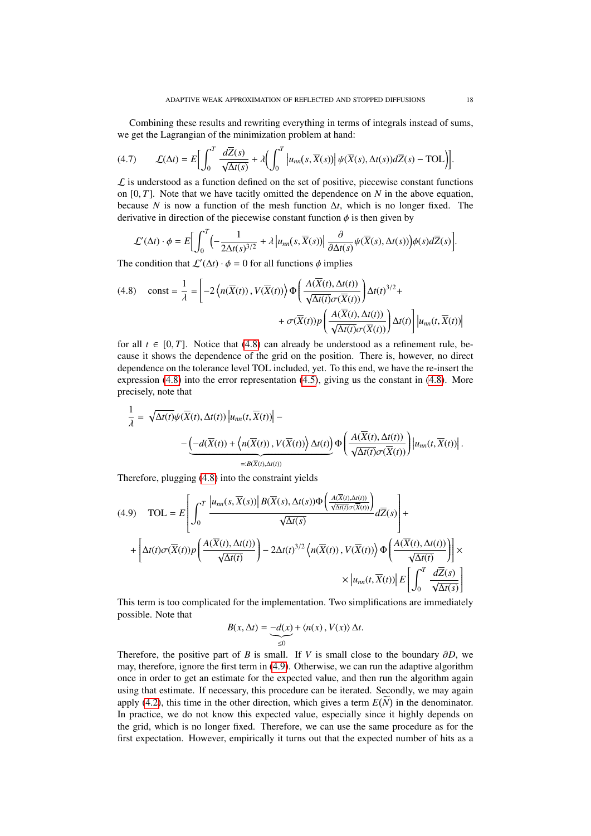Combining these results and rewriting everything in terms of integrals instead of sums, we get the Lagrangian of the minimization problem at hand:

$$
(4.7) \qquad \mathcal{L}(\Delta t) = E \Big[ \int_0^T \frac{d\overline{Z}(s)}{\sqrt{\Delta t(s)}} + \lambda \Big( \int_0^T \Big| u_{nn}(s, \overline{X}(s)) \Big| \, \psi(\overline{X}(s), \Delta t(s)) d\overline{Z}(s) - \text{TOL} \Big) \Big].
$$

 $\mathcal L$  is understood as a function defined on the set of positive, piecewise constant functions on [0, *<sup>T</sup>*]. Note that we have tacitly omitted the dependence on *<sup>N</sup>* in the above equation, because *N* is now a function of the mesh function ∆*t*, which is no longer fixed. The derivative in direction of the piecewise constant function  $\phi$  is then given by

$$
\mathcal{L}'(\Delta t) \cdot \phi = E \Big[ \int_0^T \Big( -\frac{1}{2\Delta t(s)^{3/2}} + \lambda \Big| u_{nn}(s, \overline{X}(s)) \Big| \frac{\partial}{\partial \Delta t(s)} \psi(\overline{X}(s), \Delta t(s)) \Big) \phi(s) d\overline{Z}(s) \Big].
$$
  
The condition that  $\mathcal{L}'(\Delta t) \cdot \phi = 0$  for all functions  $\phi$  implies

<span id="page-17-0"></span>(4.8) 
$$
\text{const} = \frac{1}{\lambda} = \left[ -2 \left\langle n(\overline{X}(t)), V(\overline{X}(t)) \right\rangle \Phi \left( \frac{A(\overline{X}(t), \Delta t(t))}{\sqrt{\Delta t(t)} \sigma(\overline{X}(t))} \right) \Delta t(t)^{3/2} + \right. \\ \left. + \sigma(\overline{X}(t)) p \left( \frac{A(\overline{X}(t), \Delta t(t))}{\sqrt{\Delta t(t)} \sigma(\overline{X}(t))} \right) \Delta t(t) \right] \left| u_{nn}(t, \overline{X}(t)) \right|
$$

for all  $t \in [0, T]$ . Notice that [\(4.8\)](#page-17-0) can already be understood as a refinement rule, be-<br>cause it shows the dependence of the grid on the position. There is however no direct cause it shows the dependence of the grid on the position. There is, however, no direct dependence on the tolerance level TOL included, yet. To this end, we have the re-insert the expression [\(4.8\)](#page-17-0) into the error representation [\(4.5\)](#page-16-0), giving us the constant in [\(4.8\)](#page-17-0). More precisely, note that

$$
\frac{1}{\lambda} = \sqrt{\Delta t(t)} \psi(\overline{X}(t), \Delta t(t)) \left| u_{nn}(t, \overline{X}(t)) \right| -
$$
  
 
$$
- \underbrace{\left( -d(\overline{X}(t)) + \left\langle n(\overline{X}(t)), V(\overline{X}(t)) \right\rangle \Delta t(t)}_{=:B(\overline{X}(t), \Delta t(t))} \right) \Phi\left(\frac{A(\overline{X}(t), \Delta t(t))}{\sqrt{\Delta t(t)} \sigma(\overline{X}(t))} \right) \left| u_{nn}(t, \overline{X}(t)) \right|.
$$

Therefore, plugging [\(4.8\)](#page-17-0) into the constraint yields

<span id="page-17-1"></span>
$$
(4.9) \quad \text{TOL} = E\left[\int_0^T \frac{\left|u_{nn}(s,\overline{X}(s))\right| B(\overline{X}(s),\Delta t(s))\Phi\left(\frac{A(\overline{X}(t),\Delta t(t))}{\sqrt{\Delta t(s)}},\overline{d\overline{X}}(s)\right)}{\sqrt{\Delta t(s)}} d\overline{Z}(s)\right] + \left[\Delta t(t)\sigma(\overline{X}(t))p\left(\frac{A(\overline{X}(t),\Delta t(t))}{\sqrt{\Delta t(t)}}\right) - 2\Delta t(t)^{3/2} \left\langle n(\overline{X}(t)),V(\overline{X}(t))\right\rangle \Phi\left(\frac{A(\overline{X}(t),\Delta t(t))}{\sqrt{\Delta t(t)}}\right)\right] \times \\ \times \left|u_{nn}(t,\overline{X}(t))\right| E\left[\int_0^T \frac{d\overline{Z}(s)}{\sqrt{\Delta t(s)}}\right]
$$

This term is too complicated for the implementation. Two simplifications are immediately possible. Note that

$$
B(x, \Delta t) = -d(x) + \langle n(x), V(x) \rangle \Delta t.
$$

Therefore, the positive part of *B* is small. If *V* is small close to the boundary  $\partial D$ , we may, therefore, ignore the first term in [\(4.9\)](#page-17-1). Otherwise, we can run the adaptive algorithm once in order to get an estimate for the expected value, and then run the algorithm again using that estimate. If necessary, this procedure can be iterated. Secondly, we may again apply  $(4.2)$ , this time in the other direction, which gives a term  $E(N)$  in the denominator. In practice, we do not know this expected value, especially since it highly depends on the grid, which is no longer fixed. Therefore, we can use the same procedure as for the first expectation. However, empirically it turns out that the expected number of hits as a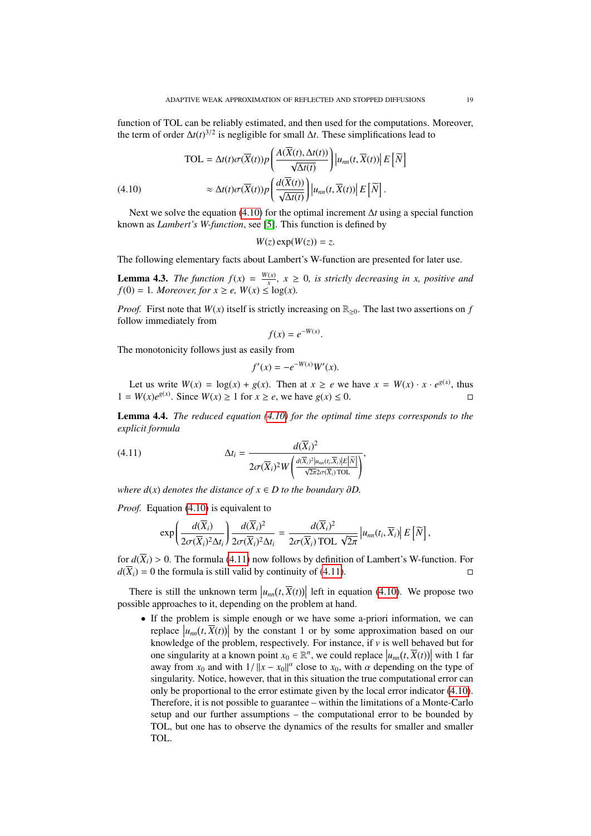function of TOL can be reliably estimated, and then used for the computations. Moreover, the term of order  $\Delta t(t)^{3/2}$  is negligible for small  $\Delta t$ . These simplifications lead to

<span id="page-18-0"></span>(4.10)  
\n
$$
\text{TOL} = \Delta t(t)\sigma(\overline{X}(t))p\left(\frac{A(\overline{X}(t), \Delta t(t))}{\sqrt{\Delta t(t)}}\right)|u_{nn}(t, \overline{X}(t))| E[\overline{N}]
$$
\n
$$
\approx \Delta t(t)\sigma(\overline{X}(t))p\left(\frac{d(\overline{X}(t))}{\sqrt{\Delta t(t)}}\right)|u_{nn}(t, \overline{X}(t))| E[\overline{N}].
$$

Next we solve the equation [\(4.10\)](#page-18-0) for the optimal increment ∆*t* using a special function known as *Lambert's W-function*, see [\[5\]](#page-43-11). This function is defined by

$$
W(z)\exp(W(z))=z.
$$

The following elementary facts about Lambert's W-function are presented for later use.

<span id="page-18-2"></span>**Lemma 4.3.** *The function*  $f(x) = \frac{W(x)}{x}$  $\frac{f(x)}{x}$ ,  $x \ge 0$ , is strictly decreasing in x, positive and  $f(0) = 1$ *. Moreover, for*  $x \ge e$ *,*  $W(x) \le \log(x)$ *.* 

*Proof.* First note that  $W(x)$  itself is strictly increasing on  $\mathbb{R}_{\geq 0}$ . The last two assertions on *f* follow immediately from

$$
f(x) = e^{-W(x)}.
$$

The monotonicity follows just as easily from

<span id="page-18-1"></span>
$$
f'(x) = -e^{-W(x)}W'(x).
$$

Let us write  $W(x) = \log(x) + g(x)$ . Then at  $x \ge e$  we have  $x = W(x) \cdot x \cdot e^{g(x)}$ , thus 1 =  $W(x)e^{g(x)}$ . Since  $W(x) \ge 1$  for  $x \ge e$ , we have  $g(x) \le 0$ . □

<span id="page-18-3"></span>Lemma 4.4. *The reduced equation [\(4.10\)](#page-18-0) for the optimal time steps corresponds to the explicit formula*

(4.11) 
$$
\Delta t_i = \frac{d(\overline{X}_i)^2}{2\sigma(\overline{X}_i)^2 W\left(\frac{d(\overline{X}_i)^2|u_{nn}(t_i,\overline{X}_i)|E[\overline{N}]}{\sqrt{2\pi}2\sigma(\overline{X}_i)\text{ TOL}}\right)},
$$

*where*  $d(x)$  *denotes the distance of*  $x \in D$  *to the boundary* ∂*D*.

*Proof.* Equation [\(4.10\)](#page-18-0) is equivalent to

$$
\exp\left(\frac{d(\overline{X}_i)}{2\sigma(\overline{X}_i)^2\Delta t_i}\right)\frac{d(\overline{X}_i)^2}{2\sigma(\overline{X}_i)^2\Delta t_i}=\frac{d(\overline{X}_i)^2}{2\sigma(\overline{X}_i)\text{TOL }\sqrt{2\pi}}\left|u_{nn}(t_i,\overline{X}_i)\right|E\left[\widetilde{N}\right],
$$

for  $d(\overline{X}_i) > 0$ . The formula [\(4.11\)](#page-18-1) now follows by definition of Lambert's W-function. For  $d(\overline{X}_i) = 0$  the formula is still valid by continuity of (4.11)  $d(\overline{X}_i) = 0$  the formula is still valid by continuity of [\(4.11\)](#page-18-1).

There is still the unknown term  $|u_{nn}(t, \overline{X}(t))|$  left in equation [\(4.10\)](#page-18-0). We propose two essible approaches to it depending on the problem at hand possible approaches to it, depending on the problem at hand.

• If the problem is simple enough or we have some a-priori information, we can replace  $|u_{nn}(t, \overline{X}(t))|$  by the constant 1 or by some approximation based on our knowledge of the problem respectively. For instance if y is well behaved but for knowledge of the problem, respectively. For instance, if *v* is well behaved but for one singularity at a known point  $x_0 \in \mathbb{R}^n$ , we could replace  $|u_{nn}(t, \overline{X}(t))|$  with 1 far away from *x*<sub>0</sub> and with  $1/||x - x_0||^{\alpha}$  close to *x*<sub>0</sub>, with  $\alpha$  depending on the type of singularity. Notice, however, that in this situation the true computational error can singularity. Notice, however, that in this situation the true computational error can only be proportional to the error estimate given by the local error indicator [\(4.10\)](#page-18-0). Therefore, it is not possible to guarantee – within the limitations of a Monte-Carlo setup and our further assumptions – the computational error to be bounded by TOL, but one has to observe the dynamics of the results for smaller and smaller TOL.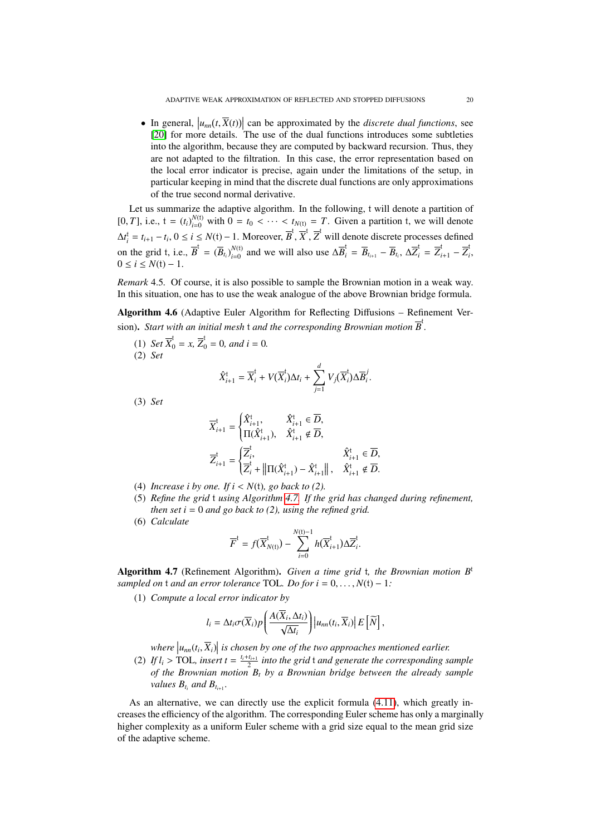• In general,  $|u_{nn}(t, \overline{X}(t))|$  can be approximated by the *discrete dual functions*, see<br>[20] for more details. The use of the dual functions introduces some subtleties [\[20\]](#page-44-2) for more details. The use of the dual functions introduces some subtleties into the algorithm, because they are computed by backward recursion. Thus, they are not adapted to the filtration. In this case, the error representation based on the local error indicator is precise, again under the limitations of the setup, in particular keeping in mind that the discrete dual functions are only approximations of the true second normal derivative.

Let us summarize the adaptive algorithm. In the following, t will denote a partition of  $[0, T]$ , i.e.,  $t = (t_i)_{i=0}^{N(t)}$  with  $0 = t_0 < \cdots < t_{N(t)} = T$ . Given a partition t, we will denote  $\Delta t_i^t = t_{i+1} - t_i, 0 \le i \le N(t) - 1$ . Moreover,  $\overline{B}^t, \overline{X}^t, \overline{Z}^t$  will denote discrete processes defined on the grid t, i.e.,  $\overline{B}^{\dagger} = (\overline{B}_{t_i})_{i=0}^{N(\dagger)}$  $\overline{B}_{i=0}^{N(t)}$  and we will also use  $\Delta \overline{B}_i^t = \overline{B}_{t_{i+1}} - \overline{B}_{t_i}, \ \Delta \overline{Z}_i^t = \overline{Z}_{i+1}^t - \overline{Z}_i^t$ *i* ,  $0 \le i \le N(t) - 1$ .

*Remark* 4.5*.* Of course, it is also possible to sample the Brownian motion in a weak way. In this situation, one has to use the weak analogue of the above Brownian bridge formula.

<span id="page-19-1"></span>Algorithm 4.6 (Adaptive Euler Algorithm for Reflecting Diffusions – Refinement Version). *Start with an initial mesh*  $t$  *and the corresponding Brownian motion*  $\overline{B}^t$ .

(1) *Set*  $\overline{X}_0^t = x$ ,  $\overline{Z}_0^t = 0$ , and  $i = 0$ . (2) *Set*

$$
\hat{X}_{i+1}^{\dagger} = \overline{X}_{i}^{\dagger} + V(\overline{X}_{i}^{\dagger})\Delta t_{i} + \sum_{j=1}^{d} V_{j}(\overline{X}_{i}^{\dagger})\Delta \overline{B}_{i}^{j}.
$$

(3) *Set*

$$
\begin{aligned} \overline{X}_{i+1}^{\mathfrak{t}}&=\begin{cases} \hat{X}_{i+1}^{\mathfrak{t}},\quad &\hat{X}_{i+1}^{\mathfrak{t}}\in \overline{D},\\ \Pi(\hat{X}_{i+1}^{\mathfrak{t}}),\quad &\hat{X}_{i+1}^{\mathfrak{t}}\notin \overline{D}, \end{cases}\\ \overline{Z}_{i+1}^{\mathfrak{t}}&=\begin{cases} \overline{Z}_{i}^{\mathfrak{t}},\quad &\hat{X}_{i+1}^{\mathfrak{t}}\in \overline{D},\\ \overline{Z}_{i}^{\mathfrak{t}}+\left\|\Pi(\hat{X}_{i+1}^{\mathfrak{t}})-\hat{X}_{i+1}^{\mathfrak{t}}\right\|,\quad &\hat{X}_{i+1}^{\mathfrak{t}}\notin \overline{D}. \end{cases} \end{aligned}
$$

- (4) *Increase i by one. If*  $i < N(t)$ *, go back to (2).*
- (5) *Refine the grid* t *using Algorithm [4.7.](#page-19-0) If the grid has changed during refinement, then set i* = 0 *and go back to (2), using the refined grid.*
- (6) *Calculate*

$$
\overline{F}^t = f(\overline{X}_{N(t)}^t) - \sum_{i=0}^{N(t)-1} h(\overline{X}_{i+1}^t) \Delta \overline{Z}_i^t.
$$

<span id="page-19-0"></span>Algorithm 4.7 (Refinement Algorithm). *Given a time grid* t*, the Brownian motion B*<sup>t</sup> *sampled on*  $t$  *and an error tolerance* TOL. *Do for*  $i = 0, \ldots, N(t) - 1$ :

(1) *Compute a local error indicator by*

$$
l_i = \Delta t_i \sigma(\overline{X}_i) p\left(\frac{A(\overline{X}_i, \Delta t_i)}{\sqrt{\Delta t_i}}\right) \left|u_{nn}(t_i, \overline{X}_i)\right| E\left[\widetilde{N}\right],
$$

where  $|u_{nn}(t_i, \overline{X}_i)|$  is chosen by one of the two approaches mentioned earlier.<br>*If l* > TOL, insert *t* = <sup>*l<sub>i</sub>*+*l<sub>i++</sub>* into the grid *t* and generate the corresponding s</sup>

(2) If  $l_i > \text{TOL}$ , insert  $t = \frac{l_i + l_{i+1}}{2}$  into the grid t and generate the corresponding sample<br>of the Brownian motion B, by a Brownian bridge hetween the already sample *of the Brownian motion B<sup>t</sup> by a Brownian bridge between the already sample values*  $B_{t_i}$  *and*  $B_{t_{i+1}}$ *.* 

<span id="page-19-2"></span>As an alternative, we can directly use the explicit formula [\(4.11\)](#page-18-1), which greatly increases the efficiency of the algorithm. The corresponding Euler scheme has only a marginally higher complexity as a uniform Euler scheme with a grid size equal to the mean grid size of the adaptive scheme.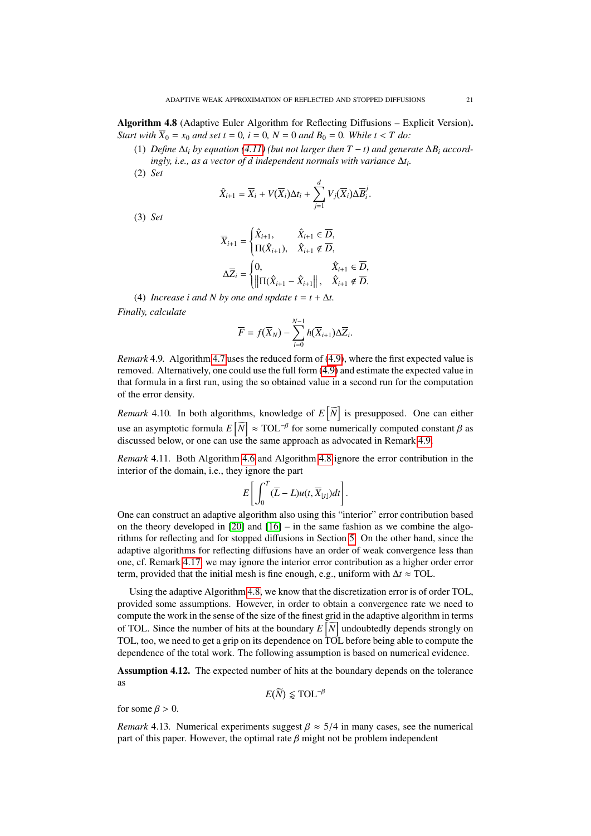Algorithm 4.8 (Adaptive Euler Algorithm for Reflecting Diffusions – Explicit Version). *Start with*  $\overline{X}_0 = x_0$  *and set*  $t = 0$ *,*  $i = 0$ *,*  $N = 0$  *and*  $B_0 = 0$ *. While*  $t < T$  *do:* 

- (1) *Define*  $\Delta t_i$  *by equation* [\(4.11\)](#page-18-1) (but not larger then  $T t$ ) and generate  $\Delta B_i$  *accord* $i$ *ngly, i.e., as a vector of d independent normals with variance*  $\Delta t_i$ .
- (2) *Set*

$$
\hat{X}_{i+1} = \overline{X}_i + V(\overline{X}_i)\Delta t_i + \sum_{j=1}^d V_j(\overline{X}_i)\Delta \overline{B}_i^j.
$$

(3) *Set*

$$
\overline{X}_{i+1} = \begin{cases}\n\hat{X}_{i+1}, & \hat{X}_{i+1} \in \overline{D}, \\
\Pi(\hat{X}_{i+1}), & \hat{X}_{i+1} \notin \overline{D},\n\end{cases}
$$
\n
$$
\Delta \overline{Z}_i = \begin{cases}\n0, & \hat{X}_{i+1} \in \overline{D}, \\
\|\Pi(\hat{X}_{i+1} - \hat{X}_{i+1})\|, & \hat{X}_{i+1} \notin \overline{D}.\n\end{cases}
$$

(4) *Increase i and N by one and update*  $t = t + \Delta t$ *. Finally, calculate*

$$
\overline{F} = f(\overline{X}_N) - \sum_{i=0}^{N-1} h(\overline{X}_{i+1}) \Delta \overline{Z}_i.
$$

<span id="page-20-0"></span>*Remark* 4.9*.* Algorithm [4.7](#page-19-0) uses the reduced form of [\(4.9\)](#page-17-1), where the first expected value is removed. Alternatively, one could use the full form [\(4.9\)](#page-17-1) and estimate the expected value in that formula in a first run, using the so obtained value in a second run for the computation of the error density.

*Remark* 4.10. In both algorithms, knowledge of  $E[\tilde{N}]$  is presupposed. One can either use an asymptotic formula  $E\left[\widetilde{N}\right] \approx \text{TOL}^{-\beta}$  for some numerically computed constant  $\beta$  as discussed below or one can use the same approach as advocated in Bemark 4.9 discussed below, or one can use the same approach as advocated in Remark [4.9.](#page-20-0)

*Remark* 4.11*.* Both Algorithm [4.6](#page-19-1) and Algorithm [4.8](#page-19-2) ignore the error contribution in the interior of the domain, i.e., they ignore the part

$$
E\left[\int_0^T (\overline{L}-L)u(t,\overline{X}_{\lfloor t \rfloor})dt\right].
$$

One can construct an adaptive algorithm also using this "interior" error contribution based on the theory developed in  $[20]$  and  $[16]$  – in the same fashion as we combine the algorithms for reflecting and for stopped diffusions in Section [5.](#page-24-0) On the other hand, since the adaptive algorithms for reflecting diffusions have an order of weak convergence less than one, cf. Remark [4.17,](#page-24-1) we may ignore the interior error contribution as a higher order error term, provided that the initial mesh is fine enough, e.g., uniform with  $\Delta t \approx \text{TOL}$ .

Using the adaptive Algorithm [4.8,](#page-19-2) we know that the discretization error is of order TOL, provided some assumptions. However, in order to obtain a convergence rate we need to compute the work in the sense of the size of the finest grid in the adaptive algorithm in terms of TOL. Since the number of hits at the boundary  $E\left[\widetilde{N}\right]$  undoubtedly depends strongly on TOL, too, we need to get a grip on its dependence on TOL before being able to compute the dependence of the total work. The following assumption is based on numerical evidence.

<span id="page-20-1"></span>Assumption 4.12. The expected number of hits at the boundary depends on the tolerance as

$$
E(\widetilde{N}) \lessapprox \text{TOL}^{-\beta}
$$

for some  $\beta > 0$ .

*Remark* 4.13*.* Numerical experiments suggest  $\beta \approx 5/4$  in many cases, see the numerical part of this paper. However, the optimal rate  $\beta$  might not be problem independent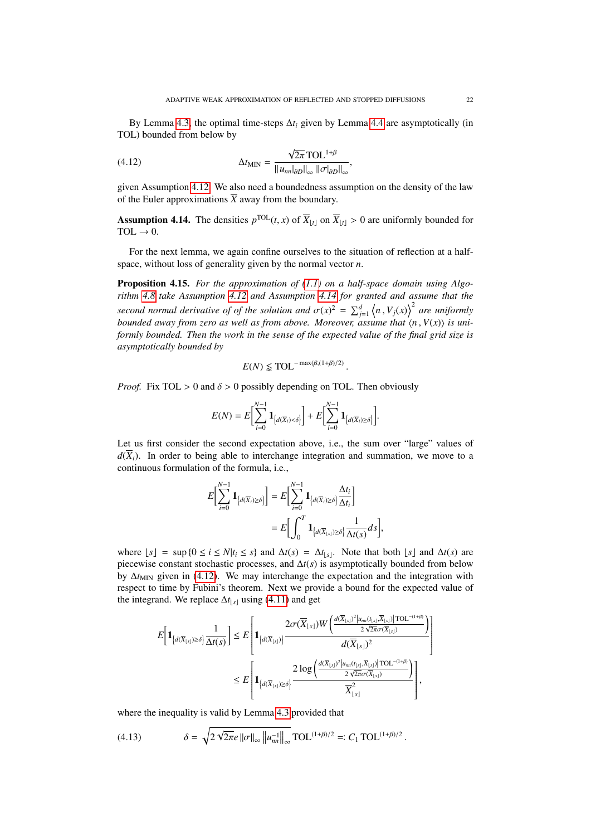By Lemma [4.3,](#page-18-2) the optimal time-steps  $\Delta t_i$  given by Lemma [4.4](#page-18-3) are asymptotically (in TOL) bounded from below by

<span id="page-21-2"></span>(4.12) 
$$
\Delta t_{\text{MIN}} = \frac{\sqrt{2\pi} \text{ TOL}^{1+\beta}}{\|u_{nn}|_{\partial D}\|_{\infty} \|\sigma|_{\partial D}\|_{\infty}},
$$

given Assumption [4.12.](#page-20-1) We also need a boundedness assumption on the density of the law of the Euler approximations  $\overline{X}$  away from the boundary.

<span id="page-21-1"></span>**Assumption 4.14.** The densities  $p^{\text{TOL}}(t, x)$  of  $\overline{X}_{\lfloor t \rfloor}$  on  $\overline{X}_{\lfloor t \rfloor} > 0$  are uniformly bounded for  $\text{TOL} \to 0$ TOL  $\rightarrow$  0.

For the next lemma, we again confine ourselves to the situation of reflection at a halfspace, without loss of generality given by the normal vector *n*.

<span id="page-21-0"></span>Proposition 4.15. *For the approximation of [\(1.1\)](#page-1-0) on a half-space domain using Algorithm [4.8](#page-19-2) take Assumption [4.12](#page-20-1) and Assumption [4.14](#page-21-1) for granted and assume that the second normal derivative of of the solution and*  $\sigma(x)^2 = \sum_{j=1}^d \langle n, V_j(x) \rangle^2$  are uniformly bounded away from zero as well as from above. Moreover, assume that  $\langle n, V(x) \rangle$  is uni*bounded away from zero as well as from above. Moreover, assume that*  $\langle n, V(x) \rangle$  *is uniformly bounded. Then the work in the sense of the expected value of the final grid size is asymptotically bounded by*

$$
E(N) \lessapprox \text{TOL}^{-\max(\beta,(1+\beta)/2)}
$$

*Proof.* Fix TOL  $> 0$  and  $\delta > 0$  possibly depending on TOL. Then obviously

$$
E(N) = E\bigg[\sum_{i=0}^{N-1} \mathbf{1}_{\big\{d(\overline{X}_i) < \delta\big\}}\bigg] + E\bigg[\sum_{i=0}^{N-1} \mathbf{1}_{\big\{d(\overline{X}_i) \geq \delta\big\}}\bigg].
$$

Let us first consider the second expectation above, i.e., the sum over "large" values of  $d(\overline{X}_i)$ . In order to being able to interchange integration and summation, we move to a continuous formulation of the formula, i.e.,

$$
E\left[\sum_{i=0}^{N-1} \mathbf{1}_{\left\{d(\overline{X}_i) \ge \delta\right\}}\right] = E\left[\sum_{i=0}^{N-1} \mathbf{1}_{\left\{d(\overline{X}_i) \ge \delta\right\}} \frac{\Delta t_i}{\Delta t_i}\right]
$$

$$
= E\left[\int_0^T \mathbf{1}_{\left\{d(\overline{X}_{\lfloor s\rfloor}) \ge \delta\right\}} \frac{1}{\Delta t(s)} ds\right]
$$

,

where  $\lfloor s \rfloor = \sup \{0 \le i \le N | t_i \le s\}$  and  $\Delta t(s) = \Delta t_{\lfloor s \rfloor}$ . Note that both  $\lfloor s \rfloor$  and  $\Delta t(s)$  are piecewise constant stochastic processes, and ∆*t*(*s*) is asymptotically bounded from below by  $\Delta t$ <sub>MIN</sub> given in [\(4.12\)](#page-21-2). We may interchange the expectation and the integration with respect to time by Fubini's theorem. Next we provide a bound for the expected value of the integrand. We replace  $\Delta t_{\lfloor s \rfloor}$  using [\(4.11\)](#page-18-1) and get

$$
E\left[\mathbf{1}_{\left\{d(\overline{X}_{\lfloor s\rfloor})\geq \delta\right\}}\frac{1}{\Delta t(s)}\right] \leq E\left[\mathbf{1}_{\left\{d(\overline{X}_{\lfloor s\rfloor})\right\}}\frac{2\sigma(\overline{X}_{\lfloor s\rfloor})W\left(\frac{d(\overline{X}_{\lfloor s\rfloor})^2|u_{mn}(t_{\lfloor s\rfloor},\overline{X}_{\lfloor s\rfloor})|\operatorname{TOL}^{-(1+\beta)}}{2\sqrt{2\pi}\sigma(\overline{X}_{\lfloor s\rfloor})}\right)}{d(\overline{X}_{\lfloor s\rfloor})^2}\right]
$$
  

$$
\leq E\left[\mathbf{1}_{\left\{d(\overline{X}_{\lfloor s\rfloor})\geq \delta\right\}}\frac{2\log\left(\frac{d(\overline{X}_{\lfloor s\rfloor})^2|u_{mn}(t_{\lfloor s\rfloor},\overline{X}_{\lfloor s\rfloor})|\operatorname{TOL}^{-(1+\beta)}}{2\sqrt{2\pi}\sigma(\overline{X}_{\lfloor s\rfloor})}\right)}{\overline{X}_{\lfloor s\rfloor}^2}\right],
$$

where the inequality is valid by Lemma [4.3](#page-18-2) provided that

<span id="page-21-3"></span>(4.13) 
$$
\delta = \sqrt{2 \sqrt{2\pi} e \, ||\sigma||_{\infty} \, ||u_{nn}^{-1}||_{\infty}} \, \text{TOL}^{(1+\beta)/2} =: C_1 \, \text{TOL}^{(1+\beta)/2}.
$$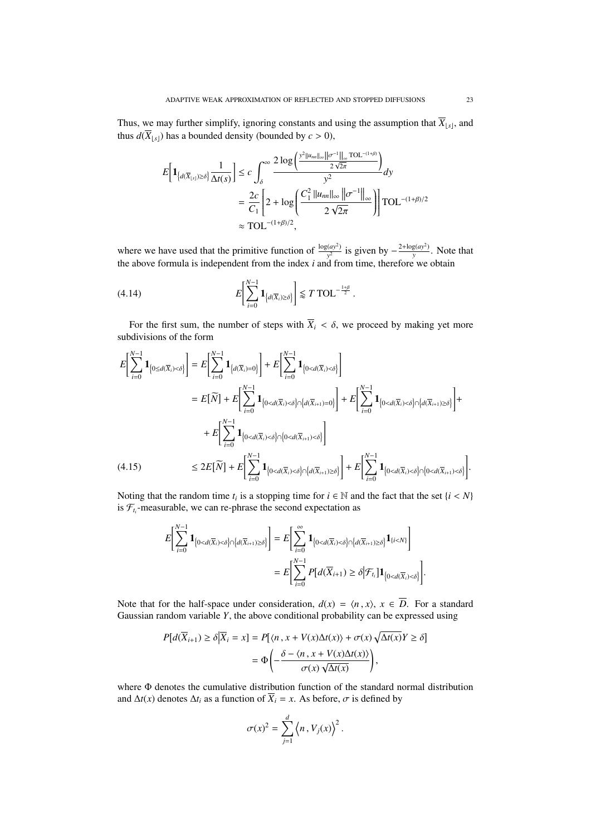Thus, we may further simplify, ignoring constants and using the assumption that  $X_{\lfloor s \rfloor}$ , and thus  $d(\overline{X}_{\lfloor s\rfloor})$  has a bounded density (bounded by  $c > 0$ ),

$$
E\left[\mathbf{1}_{\left\{d(\overline{X}_{\lfloor s\rfloor})\geq \delta\right\}}\frac{1}{\Delta t(s)}\right] \leq c \int_{\delta}^{\infty} \frac{2\log\left(\frac{y^2\|u_{mn}\|_{\infty}\|{\sigma}^{-1}\|_{\infty}TOL^{-(1+\beta)}}{2\sqrt{2\pi}}\right)}{y^2}dy
$$

$$
= \frac{2c}{C_1}\left[2 + \log\left(\frac{C_1^2\|u_{mn}\|_{\infty}\|{\sigma}^{-1}\|_{\infty}}{2\sqrt{2\pi}}\right)\right]TOL^{-(1+\beta)/2}
$$

$$
\approx TOL^{-(1+\beta)/2},
$$

where we have used that the primitive function of  $\frac{\log(a y^2)}{y^2}$  $y^2$  is given by  $-\frac{2+\log(ay^2)}{y}$  $\frac{g(dy)}{y}$ . Note that the above formula is independent from the index *i* and from time, therefore we obtain

<span id="page-22-1"></span>
$$
(4.14) \t E\bigg[\sum_{i=0}^{N-1} \mathbf{1}_{\big\{d(\overline{X}_i) \ge \delta\big\}}\bigg] \lessapprox T \text{TOL}^{-\frac{1+\beta}{2}}.
$$

For the first sum, the number of steps with  $\overline{X}_i < \delta$ , we proceed by making yet more subdivisions of the form

$$
E\left[\sum_{i=0}^{N-1} \mathbf{1}_{\{0 \le d(\overline{X}_i) < \delta\}}\right] = E\left[\sum_{i=0}^{N-1} \mathbf{1}_{\{d(\overline{X}_i) = 0\}}\right] + E\left[\sum_{i=0}^{N-1} \mathbf{1}_{\{0 < d(\overline{X}_i) < \delta\}}\right]
$$
\n
$$
= E[\widetilde{N}] + E\left[\sum_{i=0}^{N-1} \mathbf{1}_{\{0 < d(\overline{X}_i) < \delta\} \cap \{d(\overline{X}_{i+1}) = 0\}}\right] + E\left[\sum_{i=0}^{N-1} \mathbf{1}_{\{0 < d(\overline{X}_i) < \delta\} \cap \{d(\overline{X}_{i+1}) \ge \delta\}}\right] + E\left[\sum_{i=0}^{N-1} \mathbf{1}_{\{0 < d(\overline{X}_i) < \delta\}}\right] + E\left[\sum_{i=0}^{N-1} \mathbf{1}_{\{0 < d(\overline{X}_i) < \delta\}}\right] + E\left[\sum_{i=0}^{N-1} \mathbf{1}_{\{0 < d(\overline{X}_i) < \delta\}}\right] + E\left[\sum_{i=0}^{N-1} \mathbf{1}_{\{0 < d(\overline{X}_i) < \delta\}}\right] + E\left[\sum_{i=0}^{N-1} \mathbf{1}_{\{0 < d(\overline{X}_i) < \delta\}}\right] \cdot \left(\delta \sum_{i=0}^{N-1} \mathbf{1}_{\{0 < d(\overline{X}_i) < \delta\}}\right] + E\left[\sum_{i=0}^{N-1} \mathbf{1}_{\{0 < d(\overline{X}_i) < \delta\}}\right] + E\left[\sum_{i=0}^{N-1} \mathbf{1}_{\{0 < d(\overline{X}_i) < \delta\}}\right] + E\left[\sum_{i=0}^{N-1} \mathbf{1}_{\{0 < d(\overline{X}_i) < \delta\}}\right] + E\left[\sum_{i=0}^{N-1} \mathbf{1}_{\{0 < d(\overline{X}_i) < \delta\}}\right] +
$$

<span id="page-22-0"></span>Noting that the random time  $t_i$  is a stopping time for  $i \in \mathbb{N}$  and the fact that the set  $\{i < N\}$ is  $\mathcal{F}_{t_i}$ -measurable, we can re-phrase the second expectation as

$$
E\left[\sum_{i=0}^{N-1} \mathbf{1}_{\left\{0 < d(\overline{X}_i) < \delta\right\} \cap \left\{d(\overline{X}_{i+1}) \geq \delta\right\}}\right] = E\left[\sum_{i=0}^{\infty} \mathbf{1}_{\left\{0 < d(\overline{X}_i) < \delta\right\} \cap \left\{d(\overline{X}_{i+1}) \geq \delta\right\}} \mathbf{1}_{\left\{i < N\right\}}\right]
$$
\n
$$
= E\left[\sum_{i=0}^{N-1} P\left[d(\overline{X}_{i+1}) \geq \delta | \mathcal{F}_{t_i}\right] \mathbf{1}_{\left\{0 < d(\overline{X}_i) < \delta\right\}}\right]
$$

Note that for the half-space under consideration,  $d(x) = \langle n, x \rangle$ ,  $x \in \overline{D}$ . For a standard Gaussian random variable *Y*, the above conditional probability can be expressed using

$$
P[d(\overline{X}_{i+1}) \ge \delta | \overline{X}_i = x] = P[\langle n, x + V(x)\Delta t(x)\rangle + \sigma(x)\sqrt{\Delta t(x)}Y \ge \delta]
$$
  
=  $\Phi\left(-\frac{\delta - \langle n, x + V(x)\Delta t(x)\rangle}{\sigma(x)\sqrt{\Delta t(x)}}\right),$ 

where Φ denotes the cumulative distribution function of the standard normal distribution and  $\Delta t(x)$  denotes  $\Delta t_i$  as a function of  $\overline{X}_i = x$ . As before,  $\sigma$  is defined by

$$
\sigma(x)^2 = \sum_{j=1}^d \left\langle n, V_j(x) \right\rangle^2.
$$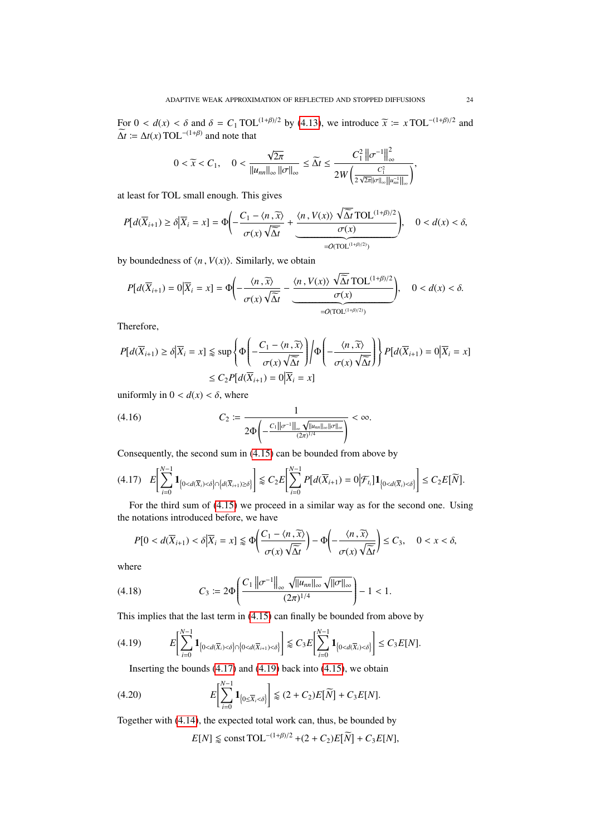For  $0 < d(x) < \delta$  and  $\delta = C_1 \text{TOL}^{(1+\beta)/2}$  by [\(4.13\)](#page-21-3), we introduce  $\widetilde{x} := x \text{TOL}^{-(1+\beta)/2}$  and  $\widetilde{\Lambda}t := \Lambda t(x) \text{TOL}^{-(1+\beta)}$  and note that  $\widetilde{\Delta t}$   $\coloneqq \Delta t(x) \text{TOL}^{-(1+\beta)}$  and note that

$$
0 < \widetilde{x} < C_1, \quad 0 < \frac{\sqrt{2\pi}}{\|u_{nn}\|_{\infty} \|\sigma\|_{\infty}} \leq \widetilde{\Delta t} \leq \frac{C_1^2 \left\| \sigma^{-1} \right\|_{\infty}^2}{2W \left( \frac{C_1^2}{2\sqrt{2\pi} \| \sigma \|_{\infty} \| u_{nn}^{-1} \|_{\infty}} \right)},
$$

at least for TOL small enough. This gives

$$
P[d(\overline{X}_{i+1}) \ge \delta | \overline{X}_i = x] = \Phi\left(-\frac{C_1 - \langle n, \overline{x} \rangle}{\sigma(x)\sqrt{\overline{\Delta}t}} + \underbrace{\frac{\langle n, V(x) \rangle \sqrt{\overline{\Delta}t} \text{TOL}^{(1+\beta)/2}}{\sigma(x)}}_{=O(\text{TOL}^{(1+\beta)/2})}\right), \quad 0 < d(x) < \delta,
$$

by boundedness of  $\langle n, V(x) \rangle$ . Similarly, we obtain

$$
P[d(\overline{X}_{i+1}) = 0 | \overline{X}_i = x] = \Phi\left(-\frac{\langle n, \overline{x} \rangle}{\sigma(x)\sqrt{\overline{\Delta}t}} - \underbrace{\frac{\langle n, V(x) \rangle \sqrt{\overline{\Delta}t} \text{ TOL}^{(1+\beta)/2}}{\sigma(x)}}_{=O(\text{TOL}^{(1+\beta)/2})}\right), \quad 0 < d(x) < \delta.
$$

Therefore,

$$
P[d(\overline{X}_{i+1}) \ge \delta | \overline{X}_i = x] \le \sup \left\{ \Phi\left(-\frac{C_1 - \langle n, \overline{x} \rangle}{\sigma(x)\sqrt{\overline{\Delta}t}}\right) \middle| \Phi\left(-\frac{\langle n, \overline{x} \rangle}{\sigma(x)\sqrt{\overline{\Delta}t}}\right) \right\} P[d(\overline{X}_{i+1}) = 0 | \overline{X}_i = x]
$$
  

$$
\le C_2 P[d(\overline{X}_{i+1}) = 0 | \overline{X}_i = x]
$$

uniformly in  $0 < d(x) < \delta$ , where

(4.16) 
$$
C_2 := \frac{1}{2\Phi\left(-\frac{C_1 ||\sigma^{-1}||_{\infty} \sqrt{||u_{nn}||_{\infty} ||\sigma||_{\infty}}}{(2\pi)^{1/4}}\right)} < \infty.
$$

Consequently, the second sum in [\(4.15\)](#page-22-0) can be bounded from above by

<span id="page-23-0"></span>
$$
(4.17) \quad E\left[\sum_{i=0}^{N-1} \mathbf{1}_{\left\{0 < d(\overline{X}_i) < \delta\right\} \cap \left\{d(\overline{X}_{i+1}) \geq \delta\right\}}\right] \lessapprox C_2 E\left[\sum_{i=0}^{N-1} P\left[d(\overline{X}_{i+1}) = 0 \middle| \mathcal{F}_{t_i}\right] \mathbf{1}_{\left\{0 < d(\overline{X}_i) < \delta\right\}}\right] \leq C_2 E\left[\widetilde{N}\right].
$$

For the third sum of [\(4.15\)](#page-22-0) we proceed in a similar way as for the second one. Using the notations introduced before, we have

$$
P[0 < d(\overline{X}_{i+1}) < \delta | \overline{X}_i = x] \leq \Phi\left(\frac{C_1 - \langle n, \overline{x} \rangle}{\sigma(x)\sqrt{\overline{\Delta}t}}\right) - \Phi\left(-\frac{\langle n, \overline{x} \rangle}{\sigma(x)\sqrt{\overline{\Delta}t}}\right) \leq C_3, \quad 0 < x < \delta,
$$

where

(4.18) 
$$
C_3 := 2\Phi\left(\frac{C_1 \|\sigma^{-1}\|_{\infty} \sqrt{\|u_{nn}\|_{\infty}} \sqrt{\|\sigma\|_{\infty}}}{(2\pi)^{1/4}}\right) - 1 < 1.
$$

This implies that the last term in [\(4.15\)](#page-22-0) can finally be bounded from above by

$$
(4.19) \hspace{1cm} E\Biggl[\sum_{i=0}^{N-1} \mathbf{1}_{\left\{0
$$

<span id="page-23-1"></span>Inserting the bounds  $(4.17)$  and  $(4.19)$  back into  $(4.15)$ , we obtain

(4.20) 
$$
E\left[\sum_{i=0}^{N-1} \mathbf{1}_{\left\{0 \leq \overline{X}_i < \delta\right\}}\right] \lessapprox (2 + C_2) E[\widetilde{N}] + C_3 E[N].
$$

Together with [\(4.14\)](#page-22-1), the expected total work can, thus, be bounded by

$$
E[N] \lessapprox \text{const} \text{TOL}^{-(1+\beta)/2} + (2+C_2)E[\widetilde{N}] + C_3E[N],
$$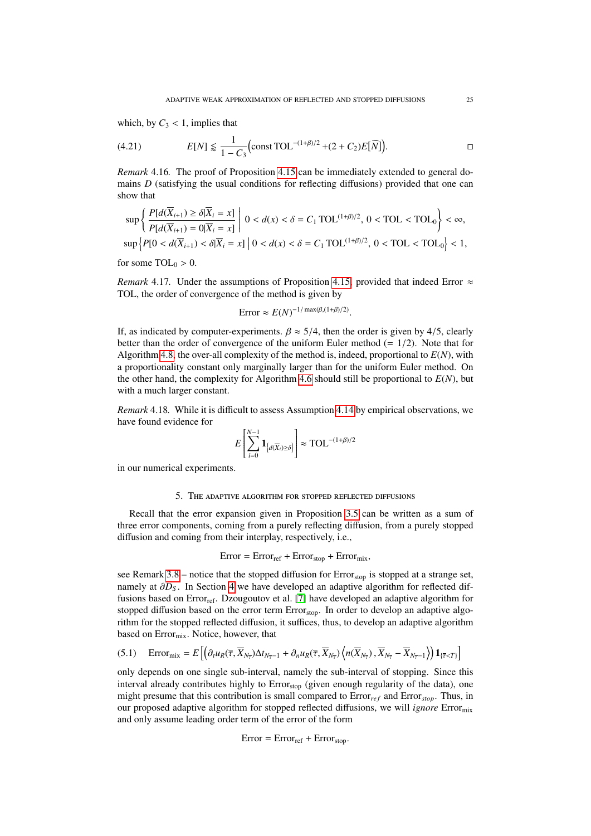which, by  $C_3 < 1$ , implies that

(4.21) 
$$
E[N] \leq \frac{1}{1 - C_3} \Big( \text{const } \text{TOL}^{-(1+\beta)/2} + (2 + C_2) E[\widetilde{N}] \Big).
$$

*Remark* 4.16*.* The proof of Proposition [4.15](#page-21-0) can be immediately extended to general domains *D* (satisfying the usual conditions for reflecting diffusions) provided that one can show that

$$
\sup\left\{\frac{P[d(\overline{X}_{i+1}) \ge \delta|\overline{X}_i = x]}{P[d(\overline{X}_{i+1}) = 0|\overline{X}_i = x]} \middle| 0 < d(x) < \delta = C_1 \text{ TOL}^{(1+\beta)/2}, 0 < \text{TOL} < \text{TOL}_0 \right\} < \infty,
$$
\n
$$
\sup\left\{P[0 < d(\overline{X}_{i+1}) < \delta|\overline{X}_i = x] \middle| 0 < d(x) < \delta = C_1 \text{ TOL}^{(1+\beta)/2}, 0 < \text{TOL} < \text{TOL}_0 \right\} < 1,
$$

for some  $TOL_0 > 0$ .

<span id="page-24-1"></span>*Remark* 4.17*.* Under the assumptions of Proposition [4.15,](#page-21-0) provided that indeed Error  $\approx$ TOL, the order of convergence of the method is given by

Error 
$$
\approx E(N)^{-1/\max(\beta,(1+\beta)/2)}
$$
.

If, as indicated by computer-experiments.  $\beta \approx 5/4$ , then the order is given by 4/5, clearly better than the order of convergence of the uniform Euler method  $(= 1/2)$ . Note that for Algorithm [4.8,](#page-19-2) the over-all complexity of the method is, indeed, proportional to  $E(N)$ , with a proportionality constant only marginally larger than for the uniform Euler method. On the other hand, the complexity for Algorithm [4.6](#page-19-1) should still be proportional to  $E(N)$ , but with a much larger constant.

*Remark* 4.18*.* While it is difficult to assess Assumption [4.14](#page-21-1) by empirical observations, we have found evidence for

$$
E\left[\sum_{i=0}^{N-1} \mathbf{1}_{\left\{d(\overline{X}_i) \ge \delta\right\}}\right] \approx \text{TOL}^{-(1+\beta)/2}
$$

in our numerical experiments.

### 5. THE ADAPTIVE ALGORITHM FOR STOPPED REFLECTED DIFFUSIONS

<span id="page-24-0"></span>Recall that the error expansion given in Proposition [3.5](#page-8-0) can be written as a sum of three error components, coming from a purely reflecting diffusion, from a purely stopped diffusion and coming from their interplay, respectively, i.e.,

$$
Error = Error_{ref} + Error_{stop} + Error_{mix},
$$

see Remark  $3.8$  – notice that the stopped diffusion for  $Error<sub>stop</sub>$  is stopped at a strange set, namely at  $\partial D_S$ . In Section [4](#page-14-0) we have developed an adaptive algorithm for reflected dif-fusions based on Error<sub>ref</sub>. Dzougoutov et al. [\[7\]](#page-43-8) have developed an adaptive algorithm for stopped diffusion based on the error term Error<sub>stop</sub>. In order to develop an adaptive algorithm for the stopped reflected diffusion, it suffices, thus, to develop an adaptive algorithm based on Error<sub>mix</sub>. Notice, however, that

$$
(5.1) \quad \text{Error}_{\text{mix}} = E\left[ \left( \partial_t u_R(\overline{\tau}, \overline{X}_{N_{\overline{\tau}}}) \Delta t_{N_{\overline{\tau}}-1} + \partial_n u_R(\overline{\tau}, \overline{X}_{N_{\overline{\tau}}}) \left\langle n(\overline{X}_{N_{\overline{\tau}}}), \overline{X}_{N_{\overline{\tau}}} - \overline{X}_{N_{\overline{\tau}}-1} \right\rangle \right) \mathbf{1}_{\{\overline{\tau} < T\}} \right]
$$

only depends on one single sub-interval, namely the sub-interval of stopping. Since this interval already contributes highly to Error<sub>stop</sub> (given enough regularity of the data), one might presume that this contribution is small compared to  $Error_{ref}$  and  $Error_{stop}$ . Thus, in our proposed adaptive algorithm for stopped reflected diffusions, we will *ignore* Errormix and only assume leading order term of the error of the form

$$
Error = Error_{ref} + Error_{stop}.
$$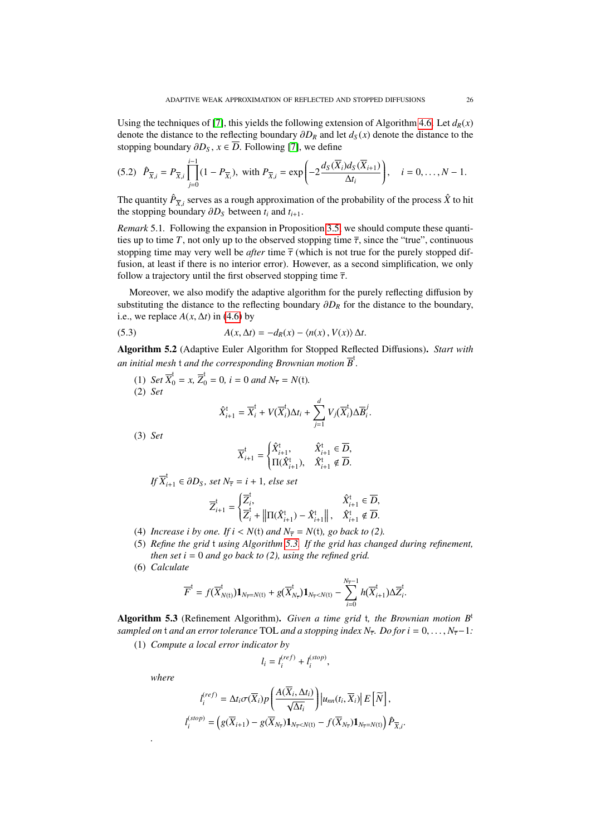Using the techniques of [\[7\]](#page-43-8), this yields the following extension of Algorithm [4.6.](#page-19-1) Let  $d_R(x)$ denote the distance to the reflecting boundary <sup>∂</sup>*D<sup>R</sup>* and let *<sup>d</sup><sup>S</sup>* (*x*) denote the distance to the stopping boundary  $\partial D_S$ ,  $x \in \overline{D}$ . Following [\[7\]](#page-43-8), we define

$$
(5.2) \ \ \hat{P}_{\overline{X},i} = P_{\overline{X},i} \prod_{j=0}^{i-1} (1 - P_{\overline{X}_i}), \text{ with } P_{\overline{X},i} = \exp\left(-2 \frac{d_S(\overline{X}_i) d_S(\overline{X}_{i+1})}{\Delta t_i}\right), \quad i = 0, \ldots, N-1.
$$

The quantity  $\hat{P}_{\overline{X}i}$  serves as a rough approximation of the probability of the process  $\hat{X}$  to hit *X*,*i* serves as a rough approximation the stopping boundary  $\partial D_S$  between  $t_i$  and  $t_{i+1}$ .

*Remark* 5.1*.* Following the expansion in Proposition [3.5,](#page-8-0) we should compute these quantities up to time *T*, not only up to the observed stopping time  $\overline{\tau}$ , since the "true", continuous stopping time may very well be *after* time  $\overline{\tau}$  (which is not true for the purely stopped diffusion, at least if there is no interior error). However, as a second simplification, we only follow a trajectory until the first observed stopping time  $\bar{\tau}$ .

Moreover, we also modify the adaptive algorithm for the purely reflecting diffusion by substituting the distance to the reflecting boundary <sup>∂</sup>*D<sup>R</sup>* for the distance to the boundary, i.e., we replace  $A(x, \Delta t)$  in [\(4.6\)](#page-16-1) by

(5.3) 
$$
A(x, \Delta t) = -d_R(x) - \langle n(x), V(x) \rangle \Delta t.
$$

<span id="page-25-1"></span>Algorithm 5.2 (Adaptive Euler Algorithm for Stopped Reflected Diffusions). *Start with an initial mesh* t *and the corresponding Brownian motion B* t *.*

(1) *Set*  $\overline{X}_0^t = x$ ,  $\overline{Z}_0^t = 0$ ,  $i = 0$  and  $N_{\overline{z}} = N(t)$ . (2) *Set*  $\hat{X}_{i+1}^{\dagger} = \overline{X}_{i}^{\dagger} + V(\overline{X}_{i}^{\dagger})$  $\sum_{i=1}^{d} \Delta t_i + \sum_{i=1}^{d}$ *j*=1  $V_j(\overline{X}_i^{\text{t}})$  $\sum_{i}^{t}$ )∆ $\overline{B}_{i}^{j}$ *i* .

(3) *Set*

$$
\overline{X}_{i+1}^{\mathfrak{t}} = \begin{cases} \hat{X}_{i+1}^{\mathfrak{t}}, & \hat{X}_{i+1}^{\mathfrak{t}} \in \overline{D}, \\ \Pi(\hat{X}_{i+1}^{\mathfrak{t}}), & \hat{X}_{i+1}^{\mathfrak{t}} \notin \overline{D}. \end{cases}
$$

*If*  $\overline{X}_{i+1}^t$  ∈ ∂D<sub>S</sub>, set  $N_{\overline{\tau}} = i + 1$ , else set

$$
\overline{Z}_{i+1}^\text{t} = \begin{cases} \overline{Z}_{i}^\text{t}, & \hat{X}_{i+1}^\text{t} \in \overline{D}, \\ \overline{Z}_{i}^\text{t} + \left\| \Pi(\hat{X}_{i+1}^\text{t}) - \hat{X}_{i+1}^\text{t} \right\|, & \hat{X}_{i+1}^\text{t} \notin \overline{D}. \end{cases}
$$

- (4) *Increase i by one. If*  $i < N(t)$  *and*  $N_{\overline{r}} = N(t)$ *, go back to (2).*
- (5) *Refine the grid* t *using Algorithm [5.3.](#page-25-0) If the grid has changed during refinement, then set i* = 0 *and go back to (2), using the refined grid.*
- (6) *Calculate*

$$
\overline{F}^t = f(\overline{X}_{N(t)}^t) \mathbf{1}_{N_{\overline{\tau}} = N(t)} + g(\overline{X}_{N_{\overline{\tau}}}^t) \mathbf{1}_{N_{\overline{\tau}} < N(t)} - \sum_{i=0}^{N_{\overline{\tau}} - 1} h(\overline{X}_{i+1}^t) \Delta \overline{Z}_i^t
$$

<span id="page-25-0"></span>Algorithm 5.3 (Refinement Algorithm). *Given a time grid* t*, the Brownian motion B*<sup>t</sup> *sampled on* t *and an error tolerance* TOL *and a stopping index N*<sub>τ</sub>. Do for  $i = 0, \ldots, N_{\overline{r}}-1$ *:* 

(1) *Compute a local error indicator by*

$$
l_i = l_i^{(ref)} + l_i^{(stop)},
$$

*where*

*.*

$$
I_i^{(ref)} = \Delta t_i \sigma(\overline{X}_i) p\left(\frac{A(\overline{X}_i, \Delta t_i)}{\sqrt{\Delta t_i}}\right) \Big| u_{nn}(t_i, \overline{X}_i) \Big| E\left[\widetilde{N}\right],
$$
  

$$
I_i^{(stop)} = \left(g(\overline{X}_{i+1}) - g(\overline{X}_{N_{\overline{\tau}}}) \mathbf{1}_{N_{\overline{\tau}} < N(t)} - f(\overline{X}_{N_{\overline{\tau}}}) \mathbf{1}_{N_{\overline{\tau}} = N(t)}\right) \hat{P}_{\overline{X}, i}.
$$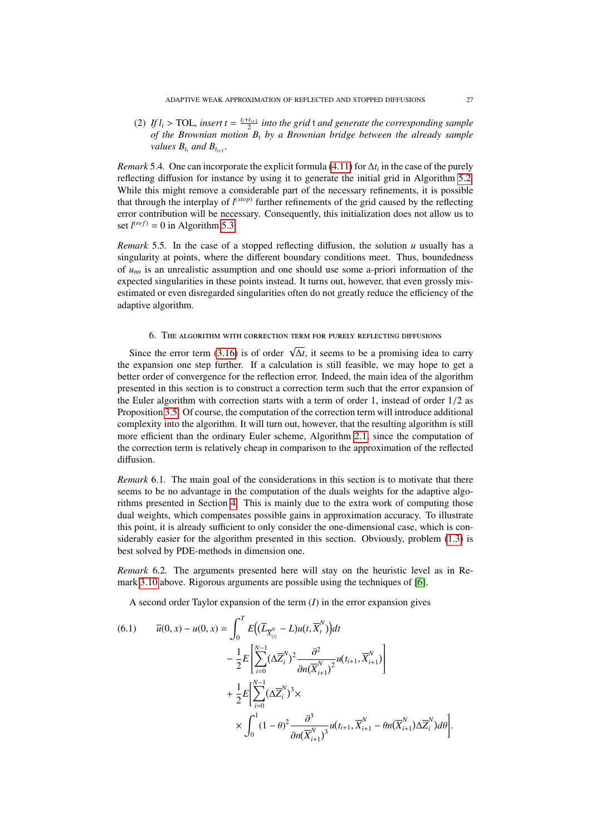(2) If  $l_i > \text{TOL}$ , insert  $t = \frac{l_i + l_{i+1}}{2}$  into the grid t and generate the corresponding sample<br>of the Brownian motion B, by a Brownian bridge between the already sample *of the Brownian motion B<sup>t</sup> by a Brownian bridge between the already sample values*  $B_{t_i}$  *and*  $B_{t_{i+1}}$ *.* 

*Remark* 5.4*.* One can incorporate the explicit formula [\(4.11\)](#page-18-1) for ∆*t<sup>i</sup>* in the case of the purely reflecting diffusion for instance by using it to generate the initial grid in Algorithm [5.2.](#page-25-1) While this might remove a considerable part of the necessary refinements, it is possible that through the interplay of *l* (*stop*) further refinements of the grid caused by the reflecting error contribution will be necessary. Consequently, this initialization does not allow us to set  $l<sup>(ref)</sup> = 0$  in Algorithm [5.3.](#page-25-0)

*Remark* 5.5. In the case of a stopped reflecting diffusion, the solution  $u$  usually has a singularity at points, where the different boundary conditions meet. Thus, boundedness of *unn* is an unrealistic assumption and one should use some a-priori information of the expected singularities in these points instead. It turns out, however, that even grossly misestimated or even disregarded singularities often do not greatly reduce the efficiency of the adaptive algorithm.

### 6. THE ALGORITHM WITH CORRECTION TERM FOR PURELY REFLECTING DIFFUSIONS

<span id="page-26-0"></span>Since the error term [\(3.16\)](#page-11-2) is of order  $\sqrt{\Delta t}$ , it seems to be a promising idea to carry the expansion one step further. If a calculation is still feasible, we may hope to get a better order of convergence for the reflection error. Indeed, the main idea of the algorithm presented in this section is to construct a correction term such that the error expansion of the Euler algorithm with correction starts with a term of order 1, instead of order  $1/2$  as Proposition [3.5.](#page-8-0) Of course, the computation of the correction term will introduce additional complexity into the algorithm. It will turn out, however, that the resulting algorithm is still more efficient than the ordinary Euler scheme, Algorithm [2.1,](#page-4-0) since the computation of the correction term is relatively cheap in comparison to the approximation of the reflected diffusion.

*Remark* 6.1. The main goal of the considerations in this section is to motivate that there seems to be no advantage in the computation of the duals weights for the adaptive algorithms presented in Section [4.](#page-14-0) This is mainly due to the extra work of computing those dual weights, which compensates possible gains in approximation accuracy. To illustrate this point, it is already sufficient to only consider the one-dimensional case, which is considerably easier for the algorithm presented in this section. Obviously, problem [\(1.3\)](#page-2-1) is best solved by PDE-methods in dimension one.

*Remark* 6.2*.* The arguments presented here will stay on the heuristic level as in Remark [3.10](#page-11-4) above. Rigorous arguments are possible using the techniques of [\[6\]](#page-43-4).

A second order Taylor expansion of the term  $(I)$  in the error expansion gives

<span id="page-26-1"></span>
$$
(6.1) \qquad \overline{u}(0,x) - u(0,x) = \int_0^T E\Big((\overline{L}_{\overline{X}_{[t]}^N} - L)u(t, \overline{X}_t^N)\Big)dt - \frac{1}{2}E\Big[\sum_{i=0}^{N-1} (\Delta \overline{Z}_i^N)^2 \frac{\partial^2}{\partial n(\overline{X}_{i+1}^N)^2} u(t_{i+1}, \overline{X}_{i+1}^N)\Big] + \frac{1}{2}E\Big[\sum_{i=0}^{N-1} (\Delta \overline{Z}_i^N)^3 \times \times \int_0^1 (1-\theta)^2 \frac{\partial^3}{\partial n(\overline{X}_{i+1}^N)^3} u(t_{i+1}, \overline{X}_{i+1}^N - \theta n(\overline{X}_{i+1}^N) \Delta \overline{Z}_i^N)d\theta\Big].
$$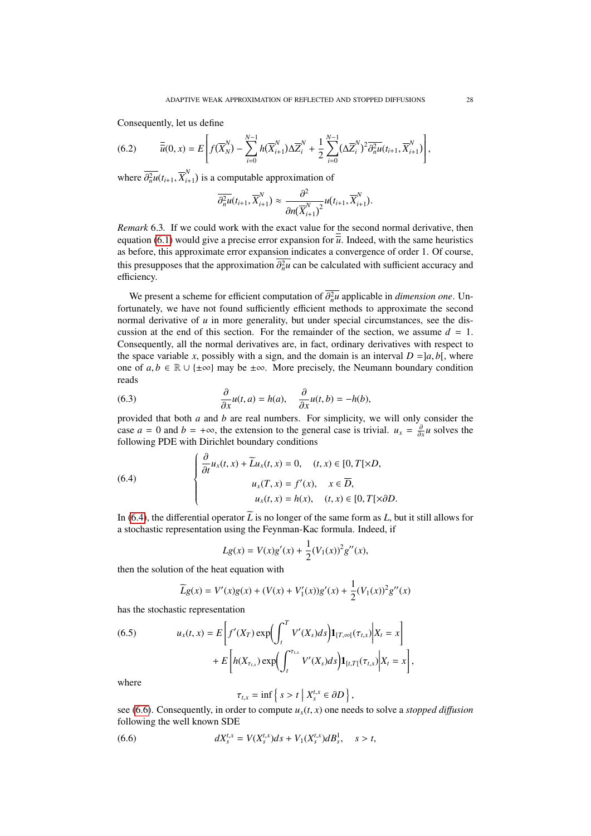Consequently, let us define

<span id="page-27-2"></span>(6.2) 
$$
\overline{\overline{u}}(0,x) = E\left[f(\overline{X}_{N}^{N}) - \sum_{i=0}^{N-1} h(\overline{X}_{i+1}^{N}) \Delta \overline{Z}_{i}^{N} + \frac{1}{2} \sum_{i=0}^{N-1} (\Delta \overline{Z}_{i}^{N})^{2} \overline{\partial_{n}^{2} u}(t_{i+1}, \overline{X}_{i+1}^{N})\right],
$$

where  $\overline{\partial_n^2 u}(t_{i+1}, \overline{X}_{i+1}^N)$  $\binom{n}{i+1}$  is a computable approximation of

$$
\overline{\partial_n^2 u}(t_{i+1}, \overline{X}_{i+1}^N) \approx \frac{\partial^2}{\partial n(\overline{X}_{i+1}^N)^2} u(t_{i+1}, \overline{X}_{i+1}^N).
$$

*Remark* 6.3*.* If we could work with the exact value for the second normal derivative, then equation [\(6.1\)](#page-26-1) would give a precise error expansion for  $\overline{u}$ . Indeed, with the same heuristics as before, this approximate error expansion indicates a convergence of order 1. Of course, this presupposes that the approximation  $\partial_n^2 u$  can be calculated with sufficient accuracy and efficiency efficiency.

We present a scheme for efficient computation of  $\partial_n^2 u$  applicable in *dimension one*. Un-<br>tunately we have not found sufficiently efficient methods to approximate the second fortunately, we have not found sufficiently efficient methods to approximate the second normal derivative of *u* in more generality, but under special circumstances, see the discussion at the end of this section. For the remainder of the section, we assume  $d = 1$ . Consequently, all the normal derivatives are, in fact, ordinary derivatives with respect to the space variable *x*, possibly with a sign, and the domain is an interval  $D = [a, b]$ , where one of  $a, b \in \mathbb{R} \cup \{\pm \infty\}$  may be  $\pm \infty$ . More precisely, the Neumann boundary condition reads

(6.3) 
$$
\frac{\partial}{\partial x}u(t,a) = h(a), \quad \frac{\partial}{\partial x}u(t,b) = -h(b),
$$

 $\frac{\partial x}{\partial x}$  *ox*<sup>2</sup> *n*(*a)*,  $\frac{\partial x}{\partial x}$  *n*(*a*<sup>*)*</sup>, *n*(*a*<sup>*)*</sup>, *n*(*a*<sup>*)*</sup>, *n*(*a*<sup>*)*</sup>, *n*(*a*<sub>*i*</sub>)</sub> *n*(*a*<sub>*j*</sub>), *n*(*a*<sub>*j*</sub>), *n*(*a*<sub>*j*</sub>), *n*(*a*<sub>*j*</sub>), *n*(*a*<sub>*j*</sub>), *n*(*a*<sub>*j*</sub>), *n*(*a*<sub>*j*</sub> case *a* = 0 and *b* = +∞, the extension to the general case is trivial.  $u_x = \frac{\partial}{\partial x} u$  solves the following PDE with Dirichlet boundary conditions following PDE with Dirichlet boundary conditions

(6.4)  

$$
\begin{cases}\n\frac{\partial}{\partial t}u_x(t,x) + \widetilde{L}u_x(t,x) = 0, & (t,x) \in [0, T[ \times D, \\ u_x(T,x) = f'(x), & x \in \overline{D}, \\ u_x(t,x) = h(x), & (t,x) \in [0, T[ \times \partial D. \end{cases}
$$

In [\(6.4\)](#page-27-0), the differential operator  $\widetilde{L}$  is no longer of the same form as *L*, but it still allows for a stochastic representation using the Feynman-Kac formula. Indeed, if

<span id="page-27-0"></span>
$$
Lg(x) = V(x)g'(x) + \frac{1}{2}(V_1(x))^2 g''(x),
$$

then the solution of the heat equation with

$$
\widetilde{L}g(x) = V'(x)g(x) + (V(x) + V'_1(x))g'(x) + \frac{1}{2}(V_1(x))^2g''(x)
$$

has the stochastic representation

<span id="page-27-3"></span>(6.5) 
$$
u_x(t,x) = E\left[f'(X_T) \exp\left(\int_t^T V'(X_s) ds\right) \mathbf{1}_{[T,\infty[}(\tau_{t,x}) \Big| X_t = x\right] + E\left[h(X_{\tau_{t,x}}) \exp\left(\int_t^{\tau_{t,x}} V'(X_s) ds\right) \mathbf{1}_{[t,T]}(\tau_{t,x}) \Big| X_t = x\right],
$$

where

<span id="page-27-1"></span>
$$
\tau_{t,x} = \inf \left\{ s > t \mid X_s^{t,x} \in \partial D \right\},\
$$

 $\tau_{t,x} = \inf \{ s > t \mid X_s^{t,x} \in \partial D \}$ ,<br>see [\(6.6\)](#page-27-1). Consequently, in order to compute *u<sub>x</sub>*(*t*, *x*) one needs to solve a *stopped diffusion*<br>following the well known SDE following the well known SDE

(6.6) 
$$
dX_s^{t,x} = V(X_s^{t,x})ds + V_1(X_s^{t,x})dB_s^1, \quad s > t,
$$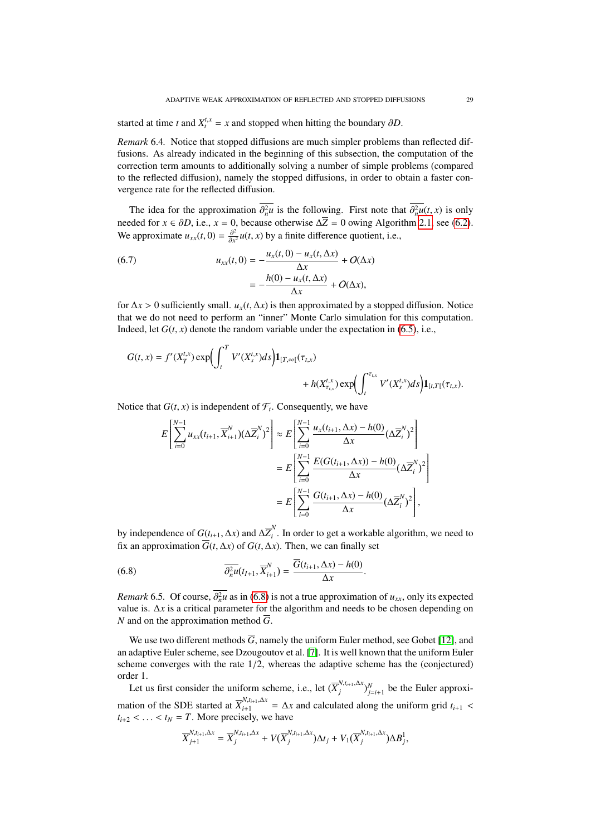started at time *t* and  $X_t^{t,x} = x$  and stopped when hitting the boundary  $\partial D$ .

*Remark* 6.4*.* Notice that stopped diffusions are much simpler problems than reflected diffusions. As already indicated in the beginning of this subsection, the computation of the correction term amounts to additionally solving a number of simple problems (compared to the reflected diffusion), namely the stopped diffusions, in order to obtain a faster convergence rate for the reflected diffusion.

The idea for the approximation  $\partial_n^2 u$  is the following. First note that  $\partial_n^2 u(t, x)$  is only and for  $x \in \partial D$  i.e.,  $x = 0$ , because otherwise  $\Delta \overline{Z} = 0$  over  $\Delta$ loorithm 2.1, see (6.2). needed for *x* ∈  $\partial D$ , i.e., *x* = 0, because otherwise  $\Delta \overline{Z}$  = 0 owing Algorithm [2.1,](#page-4-0) see [\(6.2\)](#page-27-2). We approximate  $u_{xx}(t, 0) = \frac{\partial^2}{\partial x^2}$  $\frac{\partial^2}{\partial x^2} u(t, x)$  by a finite difference quotient, i.e.,

<span id="page-28-1"></span>(6.7) 
$$
u_{xx}(t,0) = -\frac{u_x(t,0) - u_x(t,\Delta x)}{\Delta x} + O(\Delta x)
$$

$$
= -\frac{h(0) - u_x(t,\Delta x)}{\Delta x} + O(\Delta x),
$$

for <sup>∆</sup>*<sup>x</sup>* > 0 sufficiently small. *<sup>u</sup>x*(*t*, <sup>∆</sup>*x*) is then approximated by a stopped diffusion. Notice that we do not need to perform an "inner" Monte Carlo simulation for this computation. Indeed, let  $G(t, x)$  denote the random variable under the expectation in [\(6.5\)](#page-27-3), i.e.,

$$
G(t,x) = f'(X_T^{t,x}) \exp \left( \int_t^T V'(X_s^{t,x}) ds \right) \mathbf{1}_{[T,\infty[}(\tau_{t,x}) + h(X_{\tau_{t,x}}^{t,x}) \exp \left( \int_t^{\tau_{t,x}} V'(X_s^{t,x}) ds \right) \mathbf{1}_{[t,T[}(\tau_{t,x}).
$$

Notice that  $G(t, x)$  is independent of  $\mathcal{F}_t$ . Consequently, we have

$$
E\left[\sum_{i=0}^{N-1} u_{xx}(t_{i+1}, \overline{X}_{i+1}^N)(\Delta \overline{Z}_i^N)^2\right] \approx E\left[\sum_{i=0}^{N-1} \frac{u_x(t_{i+1}, \Delta x) - h(0)}{\Delta x} (\Delta \overline{Z}_i^N)^2\right]
$$
  
= 
$$
E\left[\sum_{i=0}^{N-1} \frac{E(G(t_{i+1}, \Delta x)) - h(0)}{\Delta x} (\Delta \overline{Z}_i^N)^2\right]
$$
  
= 
$$
E\left[\sum_{i=0}^{N-1} \frac{G(t_{i+1}, \Delta x) - h(0)}{\Delta x} (\Delta \overline{Z}_i^N)^2\right],
$$

by independence of *G*( $t_{i+1}$ ,  $\Delta x$ ) and  $\Delta \overline{Z}_i^N$ <br>fix an approximation  $\overline{G}(t, \Delta x)$  of  $G(t, \Delta x)$  $\hat{i}$ . In order to get a workable algorithm, we need to fix an approximation  $\overline{G}(t, \Delta x)$  of  $G(t, \Delta x)$ . Then, we can finally set

<span id="page-28-0"></span>(6.8) 
$$
\overline{\partial_n^2 u}(t_{I+1}, \overline{X}_{i+1}^N) = \frac{\overline{G}(t_{i+1}, \Delta x) - h(0)}{\Delta x}
$$

*Remark* 6.5. Of course,  $\partial_n^2 u$  as in [\(6.8\)](#page-28-0) is not a true approximation of  $u_{xx}$ , only its expected value is  $\Delta x$  is a critical parameter for the algorithm and needs to be chosen depending on value is. ∆*x* is a critical parameter for the algorithm and needs to be chosen depending on *N* and on the approximation method *G*.

We use two different methods  $\overline{G}$ , namely the uniform Euler method, see Gobet [\[12\]](#page-43-12), and an adaptive Euler scheme, see Dzougoutov et al. [\[7\]](#page-43-8). It is well known that the uniform Euler scheme converges with the rate 1/2, whereas the adaptive scheme has the (conjectured) order 1.

Let us first consider the uniform scheme, i.e., let  $(\overline{X}_j^{N,t_{i+1},\Delta x})_{j=i+1}^N$  be the Euler approximation of the SDE started at  $\overline{X}_{i+1}^{N,t_{i+1},\Delta x} = \Delta x$  and calculated along the uniform grid  $t_{i+1} < t_{i+1} < t_{i+1} < \Delta x$  $t_{i+2}$  < ... <  $t_N = T$ . More precisely, we have

$$
\overline{X}_{j+1}^{N,t_{i+1},\Delta x} = \overline{X}_{j}^{N,t_{i+1},\Delta x} + V(\overline{X}_{j}^{N,t_{i+1},\Delta x})\Delta t_{j} + V_{1}(\overline{X}_{j}^{N,t_{i+1},\Delta x})\Delta B_{j}^{1},
$$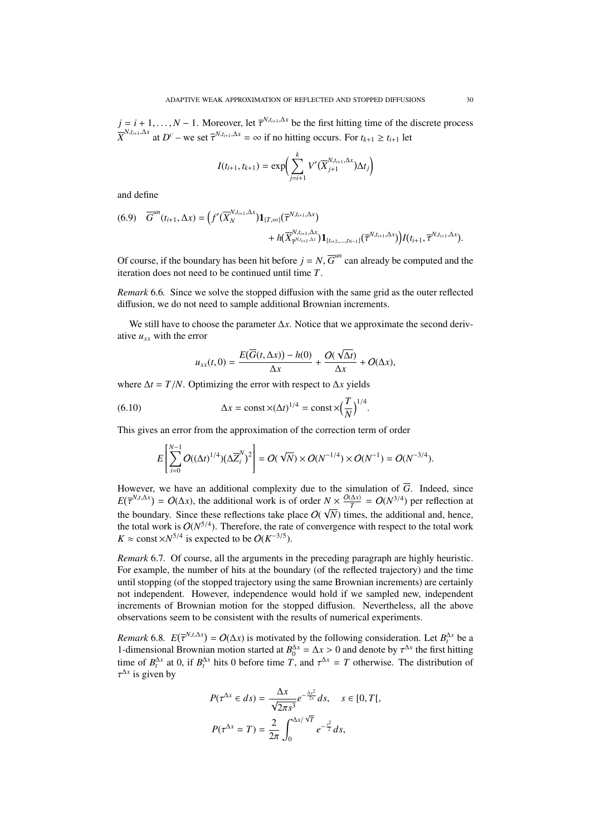$j = i + 1, ..., N - 1$ . Moreover, let  $\overline{\tau}^{N,t_{i+1},\Delta x}$  be the first hitting time of the  $\overline{X}^{N,t_{i+1},\Delta x}$  at  $D^c$  – we set  $\overline{\tau}^{N,t_{i+1},\Delta x} = \infty$  if no hitting occurs. For  $t_{k+1} \ge t_{i+1}$  let  $N$ ,*t*<sub>*i*+1</sub>,∆*x*</sup> be the first hitting time of the discrete process

$$
I(t_{i+1}, t_{k+1}) = \exp\left(\sum_{j=i+1}^{k} V'(\overline{X}_{j+1}^{N, t_{i+1}, \Delta x}) \Delta t_j\right)
$$

and define

$$
(6.9) \quad \overline{G}^{un}(t_{i+1}, \Delta x) = \Big(f'(\overline{X}_{N}^{N,t_{i+1}, \Delta x})\mathbf{1}_{\{T,\infty\}}(\overline{\tau}^{N,t_{i+1}, \Delta x}) + h(\overline{X}_{\overline{\tau}^{N,t_{i+1}, \Delta x}}^{N,t_{i+1}, \Delta x})\mathbf{1}_{\{t_{i+2},...,t_{N-1}\}}(\overline{\tau}^{N,t_{i+1}, \Delta x})\Big)f(t_{i+1}, \overline{\tau}^{N,t_{i+1}, \Delta x}).
$$

Of course, if the boundary has been hit before  $j = N$ ,  $\overline{G}^{un}$  can already be computed and the iteration does not need to be continued until time *T*.

*Remark* 6.6*.* Since we solve the stopped diffusion with the same grid as the outer reflected diffusion, we do not need to sample additional Brownian increments.

We still have to choose the parameter ∆*x*. Notice that we approximate the second derivative  $u_{xx}$  with the error

$$
u_{xx}(t,0) = \frac{E(\overline{G}(t,\Delta x)) - h(0)}{\Delta x} + \frac{O(\sqrt{\Delta t})}{\Delta x} + O(\Delta x),
$$

where  $\Delta t = T/N$ . Optimizing the error with respect to  $\Delta x$  yields

(6.10) 
$$
\Delta x = \text{const} \times (\Delta t)^{1/4} = \text{const} \times \left(\frac{T}{N}\right)^{1/4}
$$

This gives an error from the approximation of the correction term of order

$$
E\left[\sum_{i=0}^{N-1} O((\Delta t)^{1/4})(\Delta \overline{Z}_{i}^{N})^{2}\right] = O(\sqrt{N}) \times O(N^{-1/4}) \times O(N^{-1}) = O(N^{-3/4}).
$$

However, we have an additional complexity due to the simulation of  $\overline{G}$ . Indeed, since  $E(\overline{\tau}^{N,t,\Delta x}) = O(\Delta x)$ , the additional work is of order  $N \times \frac{O(\Delta x)}{T}$ the boundary. Since these reflections take place  $O(\sqrt{N})$  times, the additional and, hence,  $N \times \frac{O(\Delta x)}{T} = O(N^{3/4})$  per reflection at the total work is  $O(N^{5/4})$ . Therefore, the rate of convergence with respect to the total work  $K \approx$  const  $\times N^{5/4}$  is expected to be  $O(K^{-3/5})$ .

*Remark* 6.7*.* Of course, all the arguments in the preceding paragraph are highly heuristic. For example, the number of hits at the boundary (of the reflected trajectory) and the time until stopping (of the stopped trajectory using the same Brownian increments) are certainly not independent. However, independence would hold if we sampled new, independent increments of Brownian motion for the stopped diffusion. Nevertheless, all the above observations seem to be consistent with the results of numerical experiments.

*Remark* 6.8*.*  $E(\bar{\tau}^{N,t,\Delta x}) = O(\Delta x)$  is motivated by the following consideration. Let  $B_t^{\Delta x}$  be a 1-dimensional Brownian motion started at  $B_0^{\Delta x} = \Delta x > 0$  and denote by  $\tau^{\Delta x}$  the first hitting time of  $B_{\alpha}^{\Delta x}$  at 0 if  $B_{\alpha}^{\Delta x}$  hits 0 hefore time  $T$  and  $\tau^{\Delta x} = T$  otherwise. The distribution of time of  $B_t^{\Delta x}$  at 0, if  $B_t^{\Delta x}$  hits 0 before time *T*, and  $\tau^{\Delta x} = T$  otherwise. The distribution of  $\tau^{\Delta x}$  is given by ∆*x* is given by

$$
P(\tau^{\Delta x} \in ds) = \frac{\Delta x}{\sqrt{2\pi s^3}} e^{-\frac{\Delta x^2}{2s}} ds, \quad s \in [0, T[,
$$

$$
P(\tau^{\Delta x} = T) = \frac{2}{2\pi} \int_0^{\Delta x/\sqrt{T}} e^{-\frac{s^2}{2}} ds,
$$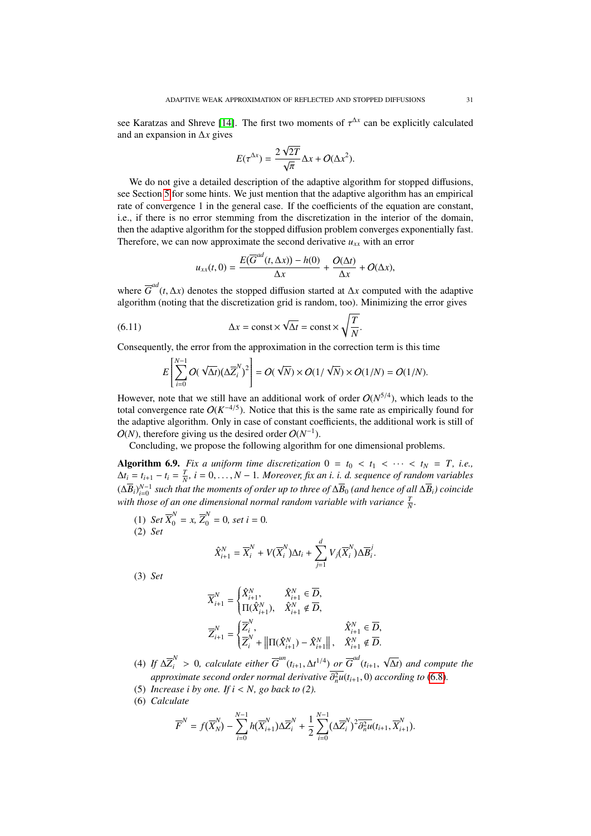see Karatzas and Shreve [\[14\]](#page-43-13). The first two moments of  $\tau^{\Delta x}$  can be explicitly calculated<br>and an expansion in  $\Delta x$  gives and an expansion in ∆*x* gives

$$
E(\tau^{\Delta x}) = \frac{2\sqrt{2T}}{\sqrt{\pi}}\Delta x + O(\Delta x^2).
$$

We do not give a detailed description of the adaptive algorithm for stopped diffusions, see Section [5](#page-24-0) for some hints. We just mention that the adaptive algorithm has an empirical rate of convergence 1 in the general case. If the coefficients of the equation are constant, i.e., if there is no error stemming from the discretization in the interior of the domain, then the adaptive algorithm for the stopped diffusion problem converges exponentially fast. Therefore, we can now approximate the second derivative  $u_{xx}$  with an error

$$
u_{xx}(t,0) = \frac{E(\overline{G}^{ad}(t,\Delta x)) - h(0)}{\Delta x} + \frac{O(\Delta t)}{\Delta x} + O(\Delta x),
$$

where  $\overline{G}^{ad}(t, \Delta x)$  denotes the stopped diffusion started at  $\Delta x$  computed with the adaptive algorithm (poting that the discretization grid is random too). Minimizing the error gives algorithm (noting that the discretization grid is random, too). Minimizing the error gives

(6.11) 
$$
\Delta x = \text{const} \times \sqrt{\Delta t} = \text{const} \times \sqrt{\frac{T}{N}}
$$

Consequently, the error from the approximation in the correction term is this time

$$
E\left[\sum_{i=0}^{N-1} O(\sqrt{\Delta t})(\Delta \overline{Z}_{i}^{N})^{2}\right] = O(\sqrt{N}) \times O(1/\sqrt{N}) \times O(1/N) = O(1/N).
$$

However, note that we still have an additional work of order  $O(N^{5/4})$ , which leads to the total convergence rate  $O(K^{-4/5})$ . Notice that this is the same rate as empirically found for the adaptive algorithm. Only in case of constant coefficients, the additional work is still of  $O(N)$ , therefore giving us the desired order  $O(N^{-1})$ .

Concluding, we propose the following algorithm for one dimensional problems.

<span id="page-30-0"></span>Algorithm 6.9. *Fix a uniform time discretization*  $0 = t_0 < t_1 < \cdots < t_N = T$ , *i.e.*,  $\Delta t_i = t_{i+1} - t_i = \frac{T}{N}$ ,  $i = 0, \ldots, N-1$ . Moreover, fix an *i. i. d. sequence of random variables*<br> $(\Delta \overline{P})^{N-1}$  and the the mean varie of ruby and these of  $\Delta \overline{P}$  (and have of  $\epsilon^{II}(\Delta \overline{P})$  eximides  $(\Delta \overline{B}_i)_{i=0}^{N-1}$  such that the moments of order up to three of  $\Delta \overline{B}_0$  (and hence of all  $\Delta \overline{B}_i$ ) coincide with those of an one dimensional normal random variable with variance  $\frac{T}{N}$ .

(1) *Set*  $\overline{X}_0^N = x$ ,  $\overline{Z}_0^N = 0$ , *set*  $i = 0$ . (2) *Set*

$$
\hat{X}_{i+1}^N = \overline{X}_i^N + V(\overline{X}_i^N)\Delta t_i + \sum_{j=1}^d V_j(\overline{X}_i^N)\Delta \overline{B}_i^j.
$$

(3) *Set*

$$
\begin{aligned} \overline{X}_{i+1}^N &= \begin{cases} \hat{X}_{i+1}^N, & \hat{X}_{i+1}^N \in \overline{D}, \\ \Pi(\hat{X}_{i+1}^N), & \hat{X}_{i+1}^N \notin \overline{D}, \end{cases} \\ \overline{Z}_{i+1}^N &= \begin{cases} \overline{Z}_i^N, & \hat{X}_{i+1}^N \in \overline{D}, \\ \overline{Z}_i^N + \left\| \Pi(\hat{X}_{i+1}^N) - \hat{X}_{i+1}^N \right\|, & \hat{X}_{i+1}^N \notin \overline{D}. \end{cases} \end{aligned}
$$

- (4) *If*  $\Delta \overline{Z}_i^N > 0$ , calculate either  $\overline{G}^{un}(t_{i+1}, \Delta t^{1/4})$  or  $\overline{G}^{ad}(t_{i+1}, \Delta t^{1/4})$ ∆*t*) *and compute the approximate second order normal derivative*  $\partial_n^2 u(t_{i+1}, 0)$  *according to* [\(6.8\)](#page-28-0)*.*<br>*Increase i by one, If i < N, go back to* (2)
- (5) *Increase i by one. If*  $i < N$ *, go back to (2).*
- (6) *Calculate*

$$
\overline{F}^N = f(\overline{X}_N^N) - \sum_{i=0}^{N-1} h(\overline{X}_{i+1}^N) \Delta \overline{Z}_i^N + \frac{1}{2} \sum_{i=0}^{N-1} (\Delta \overline{Z}_i^N)^2 \overline{\partial_n^2 u}(t_{i+1}, \overline{X}_{i+1}^N).
$$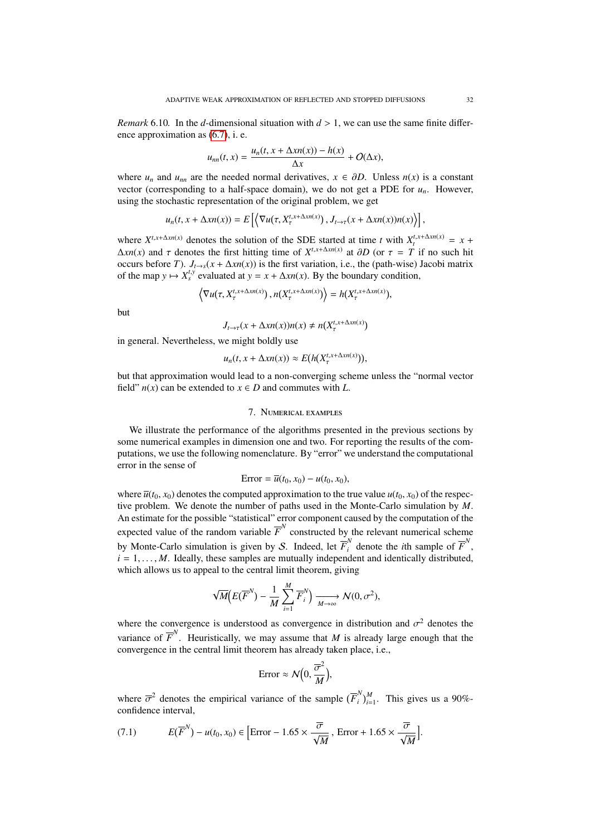*Remark* 6.10. In the *d*-dimensional situation with  $d > 1$ , we can use the same finite difference approximation as [\(6.7\)](#page-28-1), i. e.

$$
u_{nn}(t,x) = \frac{u_n(t,x + \Delta x n(x)) - h(x)}{\Delta x} + O(\Delta x),
$$

where  $u_n$  and  $u_{nn}$  are the needed normal derivatives,  $x \in \partial D$ . Unless  $n(x)$  is a constant vector (corresponding to a half-space domain), we do not get a PDE for  $u_n$ . However, using the stochastic representation of the original problem, we get

$$
u_n(t, x + \Delta x n(x)) = E\left[\left\langle \nabla u(\tau, X_\tau^{t, x + \Delta x n(x)}), J_{t \to \tau}(x + \Delta x n(x)) n(x) \right\rangle\right],
$$

where  $X^{t,x+\Delta x n(x)}$  denotes the solution of the SDE started at time *t* with  $X_t^{t,x+\Delta x n(x)} = x +$  $\Delta xn(x)$  and  $\tau$  denotes the first hitting time of  $X^{t,x+\Delta xn(x)}$  at  $\partial D$  (or  $\tau = T$  if no such hit occurs before *T*).  $J_{t\rightarrow s}(x + \Delta xn(x))$  is the first variation, i.e., the (path-wise) Jacobi matrix of the map  $y \mapsto X_s^{t,y}$  evaluated at  $y = x + \Delta x n(x)$ . By the boundary condition,

$$
\left\langle \nabla u(\tau, X_{\tau}^{t,x+\Delta x n(x)}) , n(X_{\tau}^{t,x+\Delta x n(x)}) \right\rangle = h(X_{\tau}^{t,x+\Delta x n(x)}),
$$

but

$$
J_{t\to\tau}(x+\Delta x n(x))n(x)\neq n(X_{\tau}^{t,x+\Delta x n(x)})
$$

in general. Nevertheless, we might boldly use

$$
u_n(t, x + \Delta x n(x)) \approx E(h(X^{t, x + \Delta x n(x)}_7)),
$$

but that approximation would lead to a non-converging scheme unless the "normal vector field"  $n(x)$  can be extended to  $x \in D$  and commutes with *L*.

## 7. NUMERICAL EXAMPLES

<span id="page-31-0"></span>We illustrate the performance of the algorithms presented in the previous sections by some numerical examples in dimension one and two. For reporting the results of the computations, we use the following nomenclature. By "error" we understand the computational error in the sense of

$$
Error = \overline{u}(t_0, x_0) - u(t_0, x_0),
$$

where  $\overline{u}(t_0, x_0)$  denotes the computed approximation to the true value  $u(t_0, x_0)$  of the respective problem. We denote the number of paths used in the Monte-Carlo simulation by M tive problem. We denote the number of paths used in the Monte-Carlo simulation by *M*. An estimate for the possible "statistical" error component caused by the computation of the expected value of the random variable  $\overline{F}^N$  constructed by the relevant numerical scheme by Monte-Carlo simulation is given by S. Indeed, let  $\overline{F}_i^N$  denote the *i*th sample of  $\overline{F}^N$ ,  $i = 1, \ldots, M$ . Ideally, these samples are mutually independent and identically distributed, which allows us to appeal to the central limit theorem, giving

$$
\sqrt{M}\left(E(\overline{F}^{N}) - \frac{1}{M} \sum_{i=1}^{M} \overline{F}_{i}^{N}\right) \xrightarrow[M \to \infty]{} N(0, \sigma^{2}),
$$

where the convergence is understood as convergence in distribution and  $\sigma^2$  denotes the set of  $\overline{F}^N$ . He stated the set of the distribution and  $\sigma^2$ variance of  $\overline{F}^N$ . Heuristically, we may assume that *M* is already large enough that the convergence in the central limit theorem has already taken place, i.e.,

$$
\text{Error} \approx \mathcal{N}\Big(0, \frac{\overline{\sigma}^2}{M}\Big),
$$

where  $\overline{\sigma}^2$  denotes the empirical variance of the sample  $(\overline{F}_i^N)$  $\binom{N}{i}$ <sub>*i*</sub><sup>*M*</sup><sub>i=1</sub>. This gives us a 90%confidence interval,

<span id="page-31-1"></span>(7.1) 
$$
E(\overline{F}^{N}) - u(t_{0}, x_{0}) \in \left[ \text{Error} - 1.65 \times \frac{\overline{\sigma}}{\sqrt{M}} , \text{ Error} + 1.65 \times \frac{\overline{\sigma}}{\sqrt{M}} \right].
$$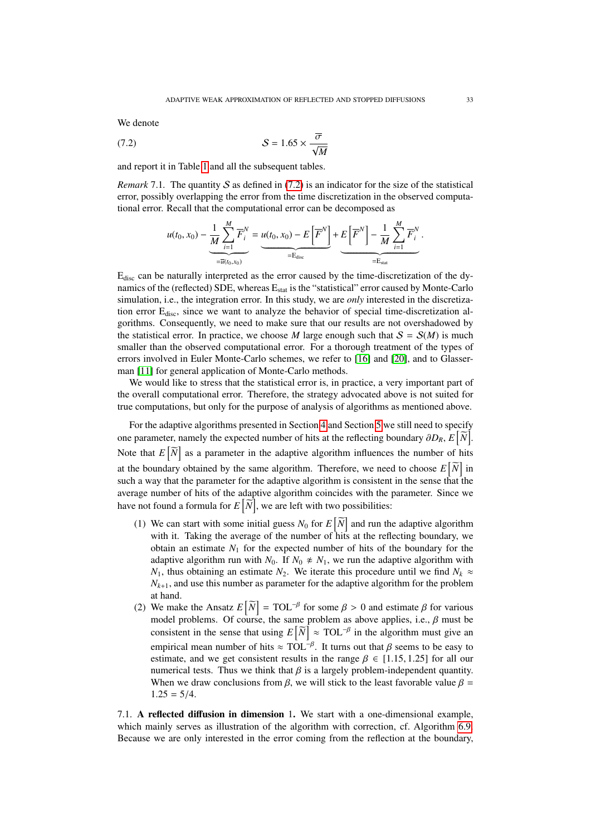We denote

$$
(7.2) \t\t S = 1.65 \times \frac{\overline{\sigma}}{\sqrt{M}}
$$

and report it in Table [1](#page-33-0) and all the subsequent tables.

*Remark* 7.1. The quantity S as defined in  $(7.2)$  is an indicator for the size of the statistical error, possibly overlapping the error from the time discretization in the observed computational error. Recall that the computational error can be decomposed as

<span id="page-32-1"></span>
$$
u(t_0, x_0) - \underbrace{\frac{1}{M} \sum_{i=1}^M \overline{F}_i^N}_{= \overline{u}(t_0, x_0)} = \underbrace{u(t_0, x_0) - E\left[\overline{F}^N\right]}_{= E_{disc}} + \underbrace{E\left[\overline{F}^N\right] - \frac{1}{M} \sum_{i=1}^M \overline{F}_i^N}_{= E_{stat}}.
$$

Edisc can be naturally interpreted as the error caused by the time-discretization of the dynamics of the (reflected) SDE, whereas  $E_{stat}$  is the "statistical" error caused by Monte-Carlo simulation, i.e., the integration error. In this study, we are *only* interested in the discretization error  $E_{\text{disc}}$ , since we want to analyze the behavior of special time-discretization algorithms. Consequently, we need to make sure that our results are not overshadowed by the statistical error. In practice, we choose *M* large enough such that  $S = S(M)$  is much smaller than the observed computational error. For a thorough treatment of the types of errors involved in Euler Monte-Carlo schemes, we refer to [\[16\]](#page-43-10) and [\[20\]](#page-44-2), and to Glasserman [\[11\]](#page-43-14) for general application of Monte-Carlo methods.

We would like to stress that the statistical error is, in practice, a very important part of the overall computational error. Therefore, the strategy advocated above is not suited for true computations, but only for the purpose of analysis of algorithms as mentioned above.

For the adaptive algorithms presented in Section [4](#page-14-0) and Section [5](#page-24-0) we still need to specify one parameter, namely the expected number of hits at the reflecting boundary  $\partial D_R$ ,  $E\left[\widetilde{N}\right]$ . Note that  $E[\tilde{N}]$  as a parameter in the adaptive algorithm influences the number of hits at the boundary obtained by the same algorithm. Therefore, we need to choose  $E\left[\widetilde{N}\right]$  in such a way that the parameter for the adaptive algorithm is consistent in the sense that the average number of hits of the adaptive algorithm coincides with the parameter. Since we have not found a formula for  $E\left[\widetilde{N}\right]$ , we are left with two possibilities:

- (1) We can start with some initial guess  $N_0$  for  $E\left[\widetilde{N}\right]$  and run the adaptive algorithm with it. Taking the average of the number of hits at the reflecting boundary, we obtain an estimate  $N_1$  for the expected number of hits of the boundary for the adaptive algorithm run with  $N_0$ . If  $N_0 \not\approx N_1$ , we run the adaptive algorithm with *N*<sub>1</sub>, thus obtaining an estimate *N*<sub>2</sub>. We iterate this procedure until we find  $N_k \approx$  $N_{k+1}$ , and use this number as parameter for the adaptive algorithm for the problem at hand.
- (2) We make the Ansatz  $E[\tilde{N}] = TOL^{-\beta}$  for some  $\beta > 0$  and estimate  $\beta$  for various model problems. Of course, the same problem as above applies i.e.  $\beta$  must be model problems. Of course, the same problem as above applies, i.e.,  $\beta$  must be consistent in the sense that using  $E[\overline{N}] \approx \text{TOL}^{-\beta}$  in the algorithm must give an empirical mean number of hits  $\approx \text{TOL}^{-\beta}$ . It turns out that  $\beta$  seems to be easy to estimate and we get consistent results in the range  $\beta \in [1, 1.5, 1.25]$  for all our estimate, and we get consistent results in the range  $\beta \in [1.15, 1.25]$  for all our numerical tests. Thus we think that  $\beta$  is a largely problem-independent quantity. When we draw conclusions from  $\beta$ , we will stick to the least favorable value  $\beta$  $1.25 = 5/4.$

<span id="page-32-0"></span>7.1. A reflected diffusion in dimension 1. We start with a one-dimensional example, which mainly serves as illustration of the algorithm with correction, cf. Algorithm [6.9.](#page-30-0) Because we are only interested in the error coming from the reflection at the boundary,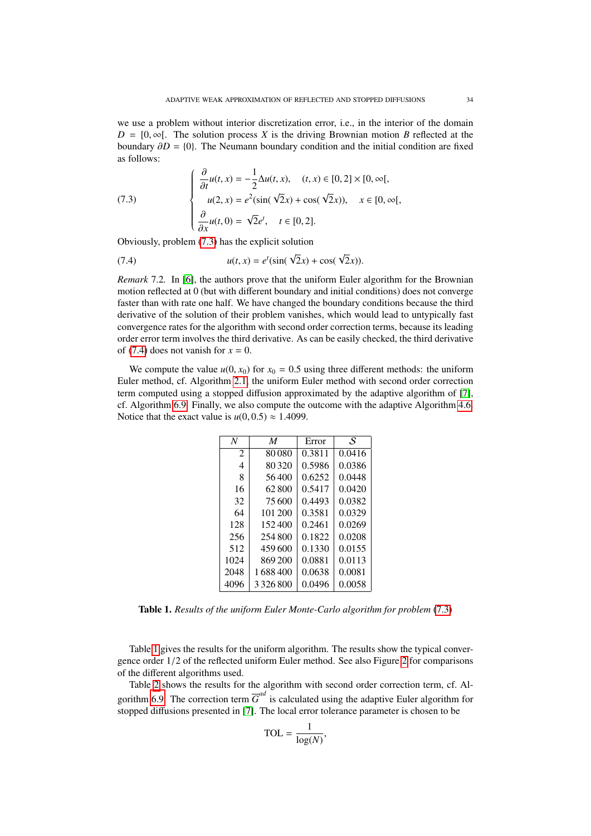we use a problem without interior discretization error, i.e., in the interior of the domain  $D = [0, \infty]$ . The solution process *X* is the driving Brownian motion *B* reflected at the boundary  $\partial D = \{0\}$ . The Neumann boundary condition and the initial condition are fixed as follows:

<span id="page-33-1"></span>(7.3)  
\n
$$
\begin{cases}\n\frac{\partial}{\partial t}u(t, x) = -\frac{1}{2}\Delta u(t, x), & (t, x) \in [0, 2] \times [0, \infty[, \\
u(2, x) = e^{2}(\sin(\sqrt{2}x) + \cos(\sqrt{2}x)), & x \in [0, \infty[, \\
\frac{\partial}{\partial x}u(t, 0) = \sqrt{2}e^{t}, & t \in [0, 2].\n\end{cases}
$$
\nObviously, problem (7.3) has the explicit solution

<span id="page-33-2"></span>(7.4) 
$$
u(t, x) = e^{t}(\sin(\sqrt{2}x) + \cos(\sqrt{2}x)).
$$

*Remark* 7.2*.* In [\[6\]](#page-43-4), the authors prove that the uniform Euler algorithm for the Brownian motion reflected at 0 (but with different boundary and initial conditions) does not converge faster than with rate one half. We have changed the boundary conditions because the third derivative of the solution of their problem vanishes, which would lead to untypically fast convergence rates for the algorithm with second order correction terms, because its leading order error term involves the third derivative. As can be easily checked, the third derivative of [\(7.4\)](#page-33-2) does not vanish for  $x = 0$ .

We compute the value  $u(0, x_0)$  for  $x_0 = 0.5$  using three different methods: the uniform Euler method, cf. Algorithm [2.1,](#page-4-0) the uniform Euler method with second order correction term computed using a stopped diffusion approximated by the adaptive algorithm of [\[7\]](#page-43-8), cf. Algorithm [6.9.](#page-30-0) Finally, we also compute the outcome with the adaptive Algorithm [4.6.](#page-19-1) Notice that the exact value is  $u(0, 0.5) \approx 1.4099$ .

| M       | Error  | S.     |
|---------|--------|--------|
| 80080   | 0.3811 | 0.0416 |
| 80320   | 0.5986 | 0.0386 |
| 56400   | 0.6252 | 0.0448 |
| 62800   | 0.5417 | 0.0420 |
| 75600   | 0.4493 | 0.0382 |
| 101 200 | 0.3581 | 0.0329 |
| 152.400 | 0.2461 | 0.0269 |
| 254800  | 0.1822 | 0.0208 |
| 459600  | 0.1330 | 0.0155 |
| 869 200 | 0.0881 | 0.0113 |
| 1688400 | 0.0638 | 0.0081 |
| 3326800 | 0.0496 | 0.0058 |
|         |        |        |

<span id="page-33-0"></span>Table 1. *Results of the uniform Euler Monte-Carlo algorithm for problem* [\(7.3\)](#page-33-1)

Table [1](#page-33-0) gives the results for the uniform algorithm. The results show the typical convergence order 1/2 of the reflected uniform Euler method. See also Figure [2](#page-34-0) for comparisons of the different algorithms used.

Table [2](#page-34-1) shows the results for the algorithm with second order correction term, cf. Al-gorithm [6.9.](#page-30-0) The correction term  $\overline{G}^{ad}$  is calculated using the adaptive Euler algorithm for stopped diffusions presented in [\[7\]](#page-43-8). The local error tolerance parameter is chosen to be

$$
TOL = \frac{1}{\log(N)},
$$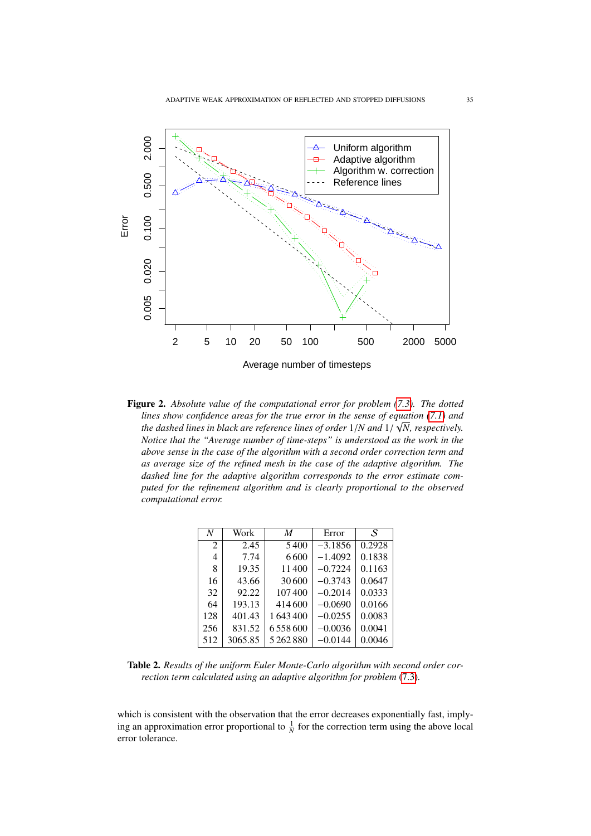

<span id="page-34-0"></span>Figure 2. *Absolute value of the computational error for problem [\(7.3\)](#page-33-1). The dotted lines show confidence areas for the true error in the sense of equation [\(7.1\)](#page-31-1)* **and**  $\overline{a}$ *the dashed lines in black are reference lines of order* <sup>1</sup>/*N and* <sup>1</sup>/ *N, respectively. Notice that the "Average number of time-steps" is understood as the work in the above sense in the case of the algorithm with a second order correction term and as average size of the refined mesh in the case of the adaptive algorithm. The dashed line for the adaptive algorithm corresponds to the error estimate computed for the refinement algorithm and is clearly proportional to the observed computational error.*

| N              | Work    | M       | Error     | S      |
|----------------|---------|---------|-----------|--------|
| $\overline{2}$ | 2.45    | 5400    | $-3.1856$ | 0.2928 |
| 4              | 7.74    | 6600    | $-1.4092$ | 0.1838 |
| 8              | 19.35   | 11400   | $-0.7224$ | 0.1163 |
| 16             | 43.66   | 30600   | $-0.3743$ | 0.0647 |
| 32             | 92.22   | 107400  | $-0.2014$ | 0.0333 |
| 64             | 193.13  | 414600  | $-0.0690$ | 0.0166 |
| 128            | 401.43  | 1643400 | $-0.0255$ | 0.0083 |
| 256            | 831.52  | 6558600 | $-0.0036$ | 0.0041 |
| 512            | 3065.85 | 5262880 | $-0.0144$ | 0.0046 |
|                |         |         |           |        |

<span id="page-34-1"></span>Table 2. *Results of the uniform Euler Monte-Carlo algorithm with second order correction term calculated using an adaptive algorithm for problem* [\(7.3\)](#page-33-1)*.*

which is consistent with the observation that the error decreases exponentially fast, implying an approximation error proportional to  $\frac{1}{N}$  for the correction term using the above local error tolerance.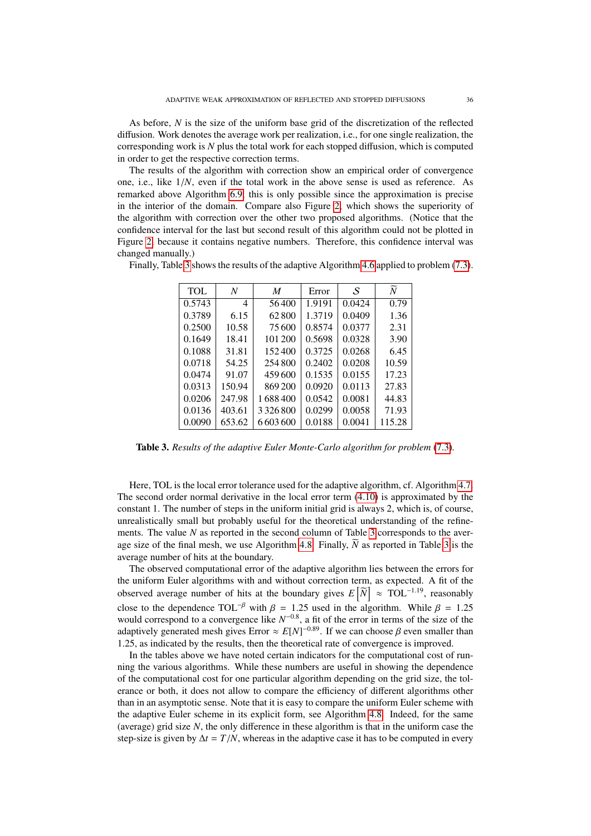As before, *N* is the size of the uniform base grid of the discretization of the reflected diffusion. Work denotes the average work per realization, i.e., for one single realization, the corresponding work is *N* plus the total work for each stopped diffusion, which is computed in order to get the respective correction terms.

The results of the algorithm with correction show an empirical order of convergence one, i.e., like 1/*N*, even if the total work in the above sense is used as reference. As remarked above Algorithm [6.9,](#page-30-0) this is only possible since the approximation is precise in the interior of the domain. Compare also Figure [2,](#page-34-0) which shows the superiority of the algorithm with correction over the other two proposed algorithms. (Notice that the confidence interval for the last but second result of this algorithm could not be plotted in Figure [2,](#page-34-0) because it contains negative numbers. Therefore, this confidence interval was changed manually.)

| TOL    | N      | M             | Error  | S      | $\overline{N}$ |
|--------|--------|---------------|--------|--------|----------------|
| 0.5743 | 4      | 56400         | 1.9191 | 0.0424 | 0.79           |
| 0.3789 | 6.15   | 62800         | 1.3719 | 0.0409 | 1.36           |
| 0.2500 | 10.58  | 75 600        | 0.8574 | 0.0377 | 2.31           |
| 0.1649 | 18.41  | 101 200       | 0.5698 | 0.0328 | 3.90           |
| 0.1088 | 31.81  | 152400        | 0.3725 | 0.0268 | 6.45           |
| 0.0718 | 54.25  | 254800        | 0.2402 | 0.0208 | 10.59          |
| 0.0474 | 91.07  | 459600        | 0.1535 | 0.0155 | 17.23          |
| 0.0313 | 150.94 | 869 200       | 0.0920 | 0.0113 | 27.83          |
| 0.0206 | 247.98 | 1688400       | 0.0542 | 0.0081 | 44.83          |
| 0.0136 | 403.61 | 3 3 2 6 8 0 0 | 0.0299 | 0.0058 | 71.93          |
| 0.0090 | 653.62 | 6603600       | 0.0188 | 0.0041 | 115.28         |

Finally, Table [3](#page-35-0) shows the results of the adaptive Algorithm [4.6](#page-19-1) applied to problem [\(7.3\)](#page-33-1).

<span id="page-35-0"></span>Table 3. *Results of the adaptive Euler Monte-Carlo algorithm for problem* [\(7.3\)](#page-33-1)*.*

Here, TOL is the local error tolerance used for the adaptive algorithm, cf. Algorithm [4.7.](#page-19-0) The second order normal derivative in the local error term [\(4.10\)](#page-18-0) is approximated by the constant 1. The number of steps in the uniform initial grid is always 2, which is, of course, unrealistically small but probably useful for the theoretical understanding of the refinements. The value *N* as reported in the second column of Table [3](#page-35-0) corresponds to the aver-age size of the final mesh, we use Algorithm [4.8.](#page-19-2) Finally,  $\widetilde{N}$  as reported in Table [3](#page-35-0) is the average number of hits at the boundary.

The observed computational error of the adaptive algorithm lies between the errors for the uniform Euler algorithms with and without correction term, as expected. A fit of the observed average number of hits at the boundary gives  $E\left[\widetilde{N}\right] \approx \text{TOL}^{-1.19}$ , reasonably close to the dependence TOL<sup>-β</sup> with  $\beta = 1.25$  used in the algorithm. While  $\beta = 1.25$ would correspond to a convergence like  $N^{-0.8}$ , a fit of the error in terms of the size of the adaptively generated mesh gives Error  $\approx E[N]^{-0.89}$ . If we can choose  $\beta$  even smaller than 1.25, as indicated by the results, then the theoretical rate of convergence is improved <sup>1</sup>.25, as indicated by the results, then the theoretical rate of convergence is improved.

In the tables above we have noted certain indicators for the computational cost of running the various algorithms. While these numbers are useful in showing the dependence of the computational cost for one particular algorithm depending on the grid size, the tolerance or both, it does not allow to compare the efficiency of different algorithms other than in an asymptotic sense. Note that it is easy to compare the uniform Euler scheme with the adaptive Euler scheme in its explicit form, see Algorithm [4.8.](#page-19-2) Indeed, for the same (average) grid size *N*, the only difference in these algorithm is that in the uniform case the step-size is given by  $\Delta t = T/N$ , whereas in the adaptive case it has to be computed in every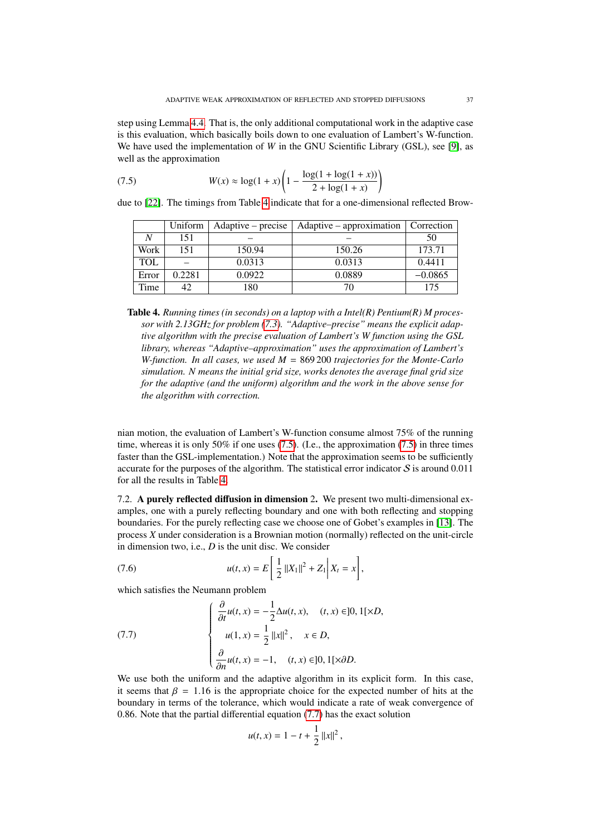step using Lemma [4.4.](#page-18-3) That is, the only additional computational work in the adaptive case is this evaluation, which basically boils down to one evaluation of Lambert's W-function. We have used the implementation of *W* in the GNU Scientific Library (GSL), see [\[9\]](#page-43-15), as well as the approximation

(7.5) 
$$
W(x) \approx \log(1+x) \left(1 - \frac{\log(1+\log(1+x))}{2+\log(1+x)}\right)
$$

due to [\[22\]](#page-44-3). The timings from Table [4](#page-36-1) indicate that for a one-dimensional reflected Brow-

<span id="page-36-2"></span>

|            | Uniform | Adaptive – precise | Adaptive – approximation | Correction |
|------------|---------|--------------------|--------------------------|------------|
|            | 151     |                    |                          | 50         |
| Work       | 151     | 150.94             | 150.26                   | 173.71     |
| <b>TOL</b> |         | 0.0313             | 0.0313                   | 0.4411     |
| Error      | 0.2281  | 0.0922             | 0.0889                   | $-0.0865$  |
| Time       | 42      | 180                | 70                       | 175        |

<span id="page-36-1"></span>Table 4. *Running times (in seconds) on a laptop with a Intel(R) Pentium(R) M processor with 2.13GHz for problem [\(7.3\)](#page-33-1). "Adaptive–precise" means the explicit adaptive algorithm with the precise evaluation of Lambert's W function using the GSL library, whereas "Adaptive–approximation" uses the approximation of Lambert's W-function. In all cases, we used M* = 869 200 *trajectories for the Monte-Carlo simulation. N means the initial grid size, works denotes the average final grid size for the adaptive (and the uniform) algorithm and the work in the above sense for the algorithm with correction.*

nian motion, the evaluation of Lambert's W-function consume almost 75% of the running time, whereas it is only 50% if one uses  $(7.5)$ . (I.e., the approximation  $(7.5)$  in three times faster than the GSL-implementation.) Note that the approximation seems to be sufficiently accurate for the purposes of the algorithm. The statistical error indicator  $S$  is around 0.011 for all the results in Table [4.](#page-36-1)

<span id="page-36-0"></span>7.2. A purely reflected diffusion in dimension 2. We present two multi-dimensional examples, one with a purely reflecting boundary and one with both reflecting and stopping boundaries. For the purely reflecting case we choose one of Gobet's examples in [\[13\]](#page-43-5). The process *X* under consideration is a Brownian motion (normally) reflected on the unit-circle in dimension two, i.e., *D* is the unit disc. We consider

(7.6) 
$$
u(t,x) = E\left[\frac{1}{2}||X_1||^2 + Z_1\right|X_t = x\right],
$$

which satisfies the Neumann problem

<span id="page-36-3"></span>(7.7) 
$$
\begin{cases} \frac{\partial}{\partial t}u(t,x) = -\frac{1}{2}\Delta u(t,x), & (t,x) \in ]0,1[\times D, \\ u(1,x) = \frac{1}{2}||x||^2, & x \in D, \\ \frac{\partial}{\partial n}u(t,x) = -1, & (t,x) \in ]0,1[\times \partial D. \end{cases}
$$

 $\left(\frac{\partial n^{(1)}(x)}{\partial n^{(2)}(x)}\right)$  (*o*, *x*) = 10, 11, (*o*, *x*) = 10, 11, (*o*, *x*) = 10, 12, 02. it seems that  $\beta = 1.16$  is the appropriate choice for the expected number of hits at the boundary in terms of the tolerance, which would indicate a rate of weak convergence of <sup>0</sup>.86. Note that the partial differential equation [\(7.7\)](#page-36-3) has the exact solution

$$
u(t,x) = 1 - t + \frac{1}{2} ||x||^2,
$$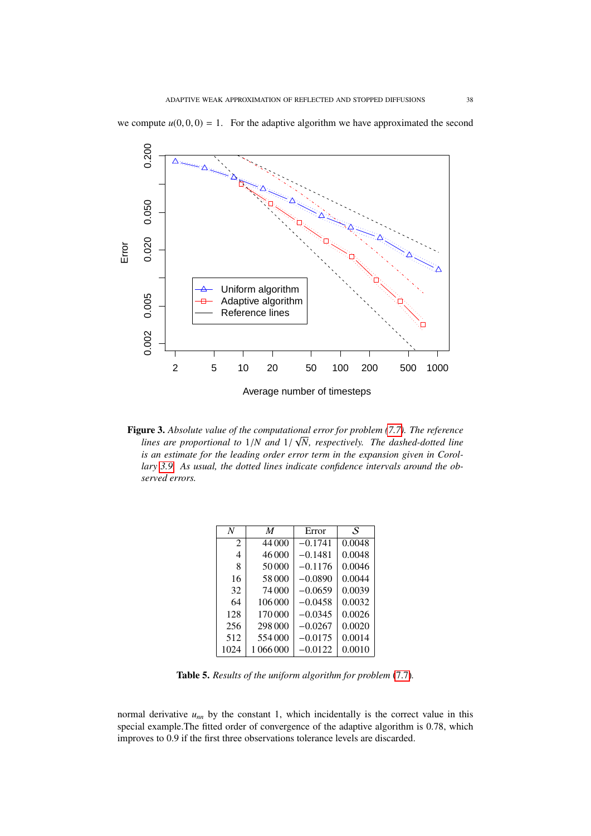

we compute  $u(0, 0, 0) = 1$ . For the adaptive algorithm we have approximated the second

**Figure 3.** Absolute value of the computational error for problem [\(7.7\)](#page-36-3). The reference *lines are proportional to* <sup>1</sup>/*N and* <sup>1</sup>/ *N, respectively. The dashed-dotted line is an estimate for the leading order error term in the expansion given in Corollary [3.9.](#page-11-1) As usual, the dotted lines indicate confidence intervals around the observed errors.*

| N                           | M         | Error     | S      |
|-----------------------------|-----------|-----------|--------|
| $\mathcal{D}_{\mathcal{L}}$ | 44 000    | $-0.1741$ | 0.0048 |
| 4                           | 46 000    | $-0.1481$ | 0.0048 |
| 8                           | 50000     | $-0.1176$ | 0.0046 |
| 16                          | 58000     | $-0.0890$ | 0.0044 |
| 32                          | 74 000    | $-0.0659$ | 0.0039 |
| 64                          | 106000    | $-0.0458$ | 0.0032 |
| 128                         | 170000    | $-0.0345$ | 0.0026 |
| 256                         | 298 000   | $-0.0267$ | 0.0020 |
| 512                         | 554000    | $-0.0175$ | 0.0014 |
| 1024                        | 1 066 000 | $-0.0122$ | 0.0010 |
|                             |           |           |        |

Table 5. *Results of the uniform algorithm for problem* [\(7.7\)](#page-36-3)*.*

normal derivative  $u_{nn}$  by the constant 1, which incidentally is the correct value in this special example.The fitted order of convergence of the adaptive algorithm is 0.78, which improves to 0.9 if the first three observations tolerance levels are discarded.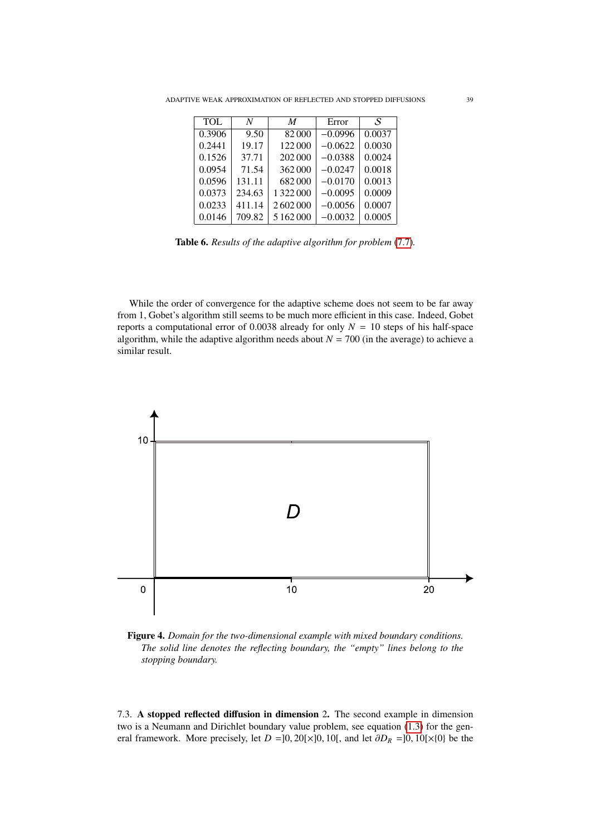| <b>TOL</b> | N      | M         | Error     | .S     |
|------------|--------|-----------|-----------|--------|
| 0.3906     | 9.50   | 82000     | $-0.0996$ | 0.0037 |
| 0.2441     | 19.17  | 122000    | $-0.0622$ | 0.0030 |
| 0.1526     | 37.71  | 202000    | $-0.0388$ | 0.0024 |
| 0.0954     | 71.54  | 362000    | $-0.0247$ | 0.0018 |
| 0.0596     | 131.11 | 682000    | $-0.0170$ | 0.0013 |
| 0.0373     | 234.63 | 1 322 000 | $-0.0095$ | 0.0009 |
| 0.0233     | 411.14 | 2602000   | $-0.0056$ | 0.0007 |
| 0.0146     | 709.82 | 5 162 000 | $-0.0032$ | 0.0005 |
|            |        |           |           |        |

Table 6. *Results of the adaptive algorithm for problem* [\(7.7\)](#page-36-3)*.*

While the order of convergence for the adaptive scheme does not seem to be far away from 1, Gobet's algorithm still seems to be much more efficient in this case. Indeed, Gobet reports a computational error of 0.0038 already for only  $N = 10$  steps of his half-space algorithm, while the adaptive algorithm needs about  $N = 700$  (in the average) to achieve a similar result.



<span id="page-38-0"></span>Figure 4. *Domain for the two-dimensional example with mixed boundary conditions. The solid line denotes the reflecting boundary, the "empty" lines belong to the stopping boundary.*

7.3. A stopped reflected diffusion in dimension 2. The second example in dimension two is a Neumann and Dirichlet boundary value problem, see equation [\(1.3\)](#page-2-1) for the general framework. More precisely, let  $D = ]0, 20[\times]0, 10[$ , and let  $\partial D_R = ]0, 10[\times]0$  be the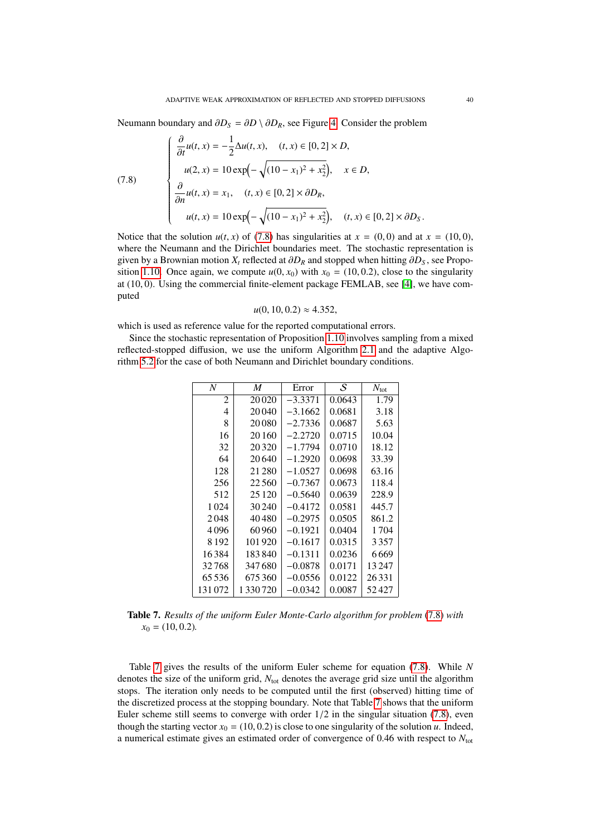Neumann boundary and  $\partial D_S = \partial D \setminus \partial D_R$ , see Figure [4.](#page-38-0) Consider the problem

<span id="page-39-0"></span>(7.8)  
\n
$$
\begin{cases}\n\frac{\partial}{\partial t}u(t, x) = -\frac{1}{2}\Delta u(t, x), \quad (t, x) \in [0, 2] \times D, \\
u(2, x) = 10 \exp\left(-\sqrt{(10 - x_1)^2 + x_2^2}\right), \quad x \in D, \\
\frac{\partial}{\partial n}u(t, x) = x_1, \quad (t, x) \in [0, 2] \times \partial D_R, \\
u(t, x) = 10 \exp\left(-\sqrt{(10 - x_1)^2 + x_2^2}\right), \quad (t, x) \in [0, 2] \times \partial D_S.\n\end{cases}
$$

Notice that the solution  $u(t, x)$  of [\(7.8\)](#page-39-0) has singularities at  $x = (0, 0)$  and at  $x = (10, 0)$ , where the Neumann and the Dirichlet boundaries meet. The stochastic representation is given by a Brownian motion  $X_t$  reflected at  $\partial D_R$  and stopped when hitting  $\partial D_S$ , see Propo-sition [1.10.](#page-3-1) Once again, we compute  $u(0, x_0)$  with  $x_0 = (10, 0.2)$ , close to the singularity at (10, 0). Using the commercial finite-element package FEMLAB, see [\[4\]](#page-43-16), we have computed

$$
u(0, 10, 0.2) \approx 4.352,
$$

which is used as reference value for the reported computational errors.

Since the stochastic representation of Proposition [1.10](#page-3-1) involves sampling from a mixed reflected-stopped diffusion, we use the uniform Algorithm [2.1](#page-4-0) and the adaptive Algorithm [5.2](#page-25-1) for the case of both Neumann and Dirichlet boundary conditions.

| N       | M         | Error     | S      | $N_{\text{tot}}$ |
|---------|-----------|-----------|--------|------------------|
| 2       | 20020     | $-3.3371$ | 0.0643 | 1.79             |
| 4       | 20040     | $-3.1662$ | 0.0681 | 3.18             |
| 8       | 20080     | $-2.7336$ | 0.0687 | 5.63             |
| 16      | 20160     | $-2.2720$ | 0.0715 | 10.04            |
| 32      | 20 3 20   | $-1.7794$ | 0.0710 | 18.12            |
| 64      | 20.640    | $-1.2920$ | 0.0698 | 33.39            |
| 128     | 21 280    | $-1.0527$ | 0.0698 | 63.16            |
| 256     | 22560     | $-0.7367$ | 0.0673 | 118.4            |
| 512     | 25 1 20   | $-0.5640$ | 0.0639 | 228.9            |
| 1 0 2 4 | 30 240    | $-0.4172$ | 0.0581 | 445.7            |
| 2048    | 40480     | $-0.2975$ | 0.0505 | 861.2            |
| 4096    | 60 960    | $-0.1921$ | 0.0404 | 1704             |
| 8 1 9 2 | 101920    | $-0.1617$ | 0.0315 | 3357             |
| 16384   | 183840    | $-0.1311$ | 0.0236 | 6669             |
| 32768   | 347680    | $-0.0878$ | 0.0171 | 13 247           |
| 65536   | 675360    | $-0.0556$ | 0.0122 | 26331            |
| 131072  | 1 330 720 | $-0.0342$ | 0.0087 | 52427            |

<span id="page-39-1"></span>Table 7. *Results of the uniform Euler Monte-Carlo algorithm for problem* [\(7.8\)](#page-39-0) *with*  $x_0 = (10, 0.2)$ .

Table [7](#page-39-1) gives the results of the uniform Euler scheme for equation [\(7.8\)](#page-39-0). While *N* denotes the size of the uniform grid,  $N_{tot}$  denotes the average grid size until the algorithm stops. The iteration only needs to be computed until the first (observed) hitting time of the discretized process at the stopping boundary. Note that Table [7](#page-39-1) shows that the uniform Euler scheme still seems to converge with order  $1/2$  in the singular situation  $(7.8)$ , even though the starting vector  $x_0 = (10, 0.2)$  is close to one singularity of the solution *u*. Indeed, a numerical estimate gives an estimated order of convergence of 0.46 with respect to *<sup>N</sup>*tot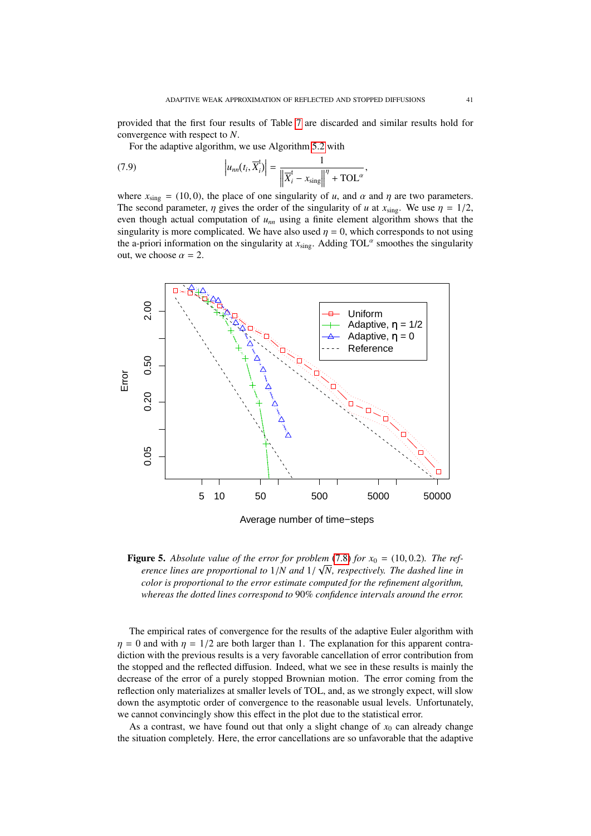provided that the first four results of Table [7](#page-39-1) are discarded and similar results hold for convergence with respect to *N*.

For the adaptive algorithm, we use Algorithm [5.2](#page-25-1) with

(7.9) 
$$
\left| u_{nn}(t_i, \overline{X}_i^t) \right| = \frac{1}{\left\| \overline{X}_i^t - x_{\text{sing}} \right\|^{\eta} + \text{TOL}^{\alpha}},
$$

where  $x_{\text{sing}} = (10, 0)$ , the place of one singularity of *u*, and  $\alpha$  and  $\eta$  are two parameters.<br>The second parameter *n* gives the order of the singularity of *u* at *x* . We use  $n = 1/2$ . The second parameter,  $\eta$  gives the order of the singularity of *u* at  $x_{\text{sing}}$ . We use  $\eta = 1/2$ , even though actual computation of  $u_{nn}$  using a finite element algorithm shows that the singularity is more complicated. We have also used  $\eta = 0$ , which corresponds to not using the a-priori information on the singularity at  $x_{\text{sing}}$ . Adding TOL<sup> $\alpha$ </sup> smoothes the singularity out, we choose  $\alpha = 2$ .



Figure 5. *Absolute value of the error for problem* [\(7.8\)](#page-39-0) *for x*<sup>0</sup> <sup>=</sup> (10, <sup>0</sup>.2)*. The ref-*√ *erence lines are proportional to* <sup>1</sup>/*N and* <sup>1</sup>/ *N, respectively. The dashed line in color is proportional to the error estimate computed for the refinement algorithm, whereas the dotted lines correspond to* 90% *confidence intervals around the error.*

The empirical rates of convergence for the results of the adaptive Euler algorithm with  $\eta = 0$  and with  $\eta = 1/2$  are both larger than 1. The explanation for this apparent contradiction with the previous results is a very favorable cancellation of error contribution from the stopped and the reflected diffusion. Indeed, what we see in these results is mainly the decrease of the error of a purely stopped Brownian motion. The error coming from the reflection only materializes at smaller levels of TOL, and, as we strongly expect, will slow down the asymptotic order of convergence to the reasonable usual levels. Unfortunately, we cannot convincingly show this effect in the plot due to the statistical error.

As a contrast, we have found out that only a slight change of  $x_0$  can already change the situation completely. Here, the error cancellations are so unfavorable that the adaptive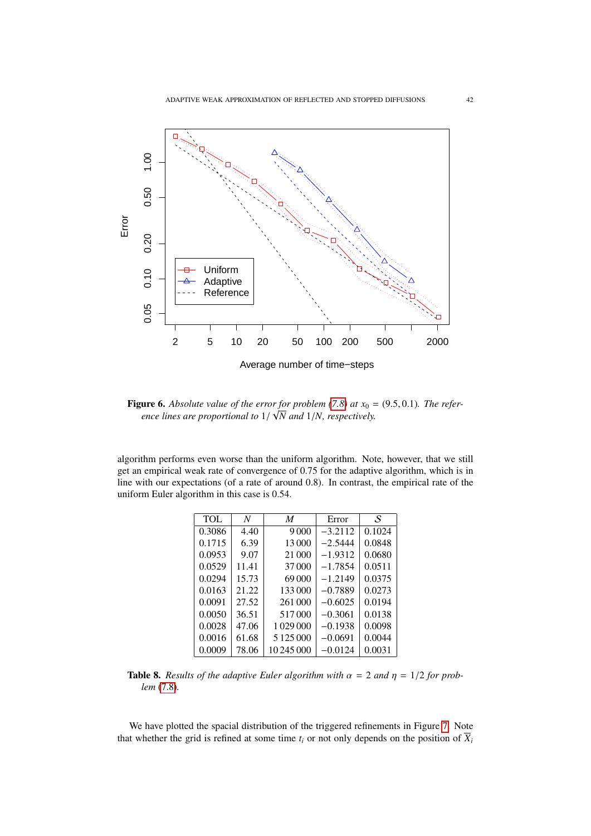

**Figure 6.** Absolute value of the error for problem [\(7.8\)](#page-39-0) at  $x_0 = (9.5, 0.1)$ *. The refer-*<br>*•* ance lines are proportional to  $1/\sqrt{N}$  and  $1/N$  respectively *ence lines are proportional to* <sup>1</sup>/ *N and* <sup>1</sup>/*N, respectively.*

algorithm performs even worse than the uniform algorithm. Note, however, that we still get an empirical weak rate of convergence of 0.75 for the adaptive algorithm, which is in line with our expectations (of a rate of around 0.8). In contrast, the empirical rate of the uniform Euler algorithm in this case is 0.54.

| <b>TOL</b> | N     | M          | Error     | S      |
|------------|-------|------------|-----------|--------|
| 0.3086     | 4.40  | 9000       | $-3.2112$ | 0.1024 |
| 0.1715     | 6.39  | 13000      | $-2.5444$ | 0.0848 |
| 0.0953     | 9.07  | 21 000     | $-1.9312$ | 0.0680 |
| 0.0529     | 11.41 | 37000      | $-1.7854$ | 0.0511 |
| 0.0294     | 15.73 | 69000      | $-1.2149$ | 0.0375 |
| 0.0163     | 21.22 | 133000     | $-0.7889$ | 0.0273 |
| 0.0091     | 27.52 | 261 000    | $-0.6025$ | 0.0194 |
| 0.0050     | 36.51 | 517000     | $-0.3061$ | 0.0138 |
| 0.0028     | 47.06 | 1029000    | $-0.1938$ | 0.0098 |
| 0.0016     | 61.68 |            | $-0.0691$ | 0.0044 |
| 0.0009     | 78.06 | 10 245 000 | $-0.0124$ | 0.0031 |
|            |       |            |           |        |

**Table 8.** *Results of the adaptive Euler algorithm with*  $\alpha = 2$  *and*  $\eta = 1/2$  *for problem* [\(7.8\)](#page-39-0)*.*

We have plotted the spacial distribution of the triggered refinements in Figure [7.](#page-42-1) Note that whether the grid is refined at some time  $t_i$  or not only depends on the position of  $\overline{X}_i$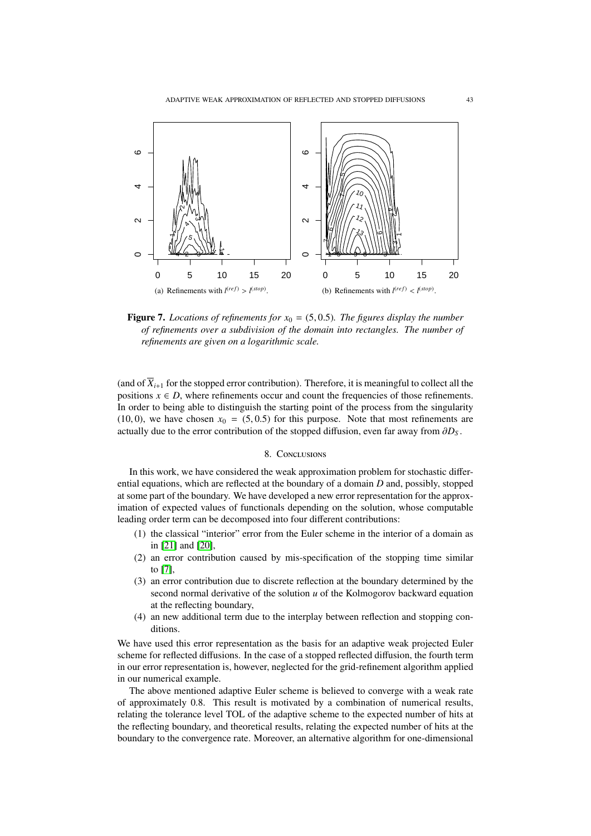

<span id="page-42-1"></span>**Figure 7.** *Locations of refinements for*  $x_0 = (5, 0.5)$ *. The figures display the number of refinements over a subdivision of the domain into rectangles. The number of refinements are given on a logarithmic scale.*

(and of  $\overline{X}_{i+1}$  for the stopped error contribution). Therefore, it is meaningful to collect all the positions  $x \in D$ , where refinements occur and count the frequencies of those refinements. In order to being able to distinguish the starting point of the process from the singularity  $(10, 0)$ , we have chosen  $x_0 = (5, 0.5)$  for this purpose. Note that most refinements are actually due to the error contribution of the stopped diffusion, even far away from <sup>∂</sup>*D<sup>S</sup>* .

# 8. CONCLUSIONS

<span id="page-42-0"></span>In this work, we have considered the weak approximation problem for stochastic differential equations, which are reflected at the boundary of a domain *D* and, possibly, stopped at some part of the boundary. We have developed a new error representation for the approximation of expected values of functionals depending on the solution, whose computable leading order term can be decomposed into four different contributions:

- (1) the classical "interior" error from the Euler scheme in the interior of a domain as in [\[21\]](#page-44-4) and [\[20\]](#page-44-2),
- (2) an error contribution caused by mis-specification of the stopping time similar to [\[7\]](#page-43-8),
- (3) an error contribution due to discrete reflection at the boundary determined by the second normal derivative of the solution *u* of the Kolmogorov backward equation at the reflecting boundary,
- (4) an new additional term due to the interplay between reflection and stopping conditions.

We have used this error representation as the basis for an adaptive weak projected Euler scheme for reflected diffusions. In the case of a stopped reflected diffusion, the fourth term in our error representation is, however, neglected for the grid-refinement algorithm applied in our numerical example.

The above mentioned adaptive Euler scheme is believed to converge with a weak rate of approximately 0.8. This result is motivated by a combination of numerical results, relating the tolerance level TOL of the adaptive scheme to the expected number of hits at the reflecting boundary, and theoretical results, relating the expected number of hits at the boundary to the convergence rate. Moreover, an alternative algorithm for one-dimensional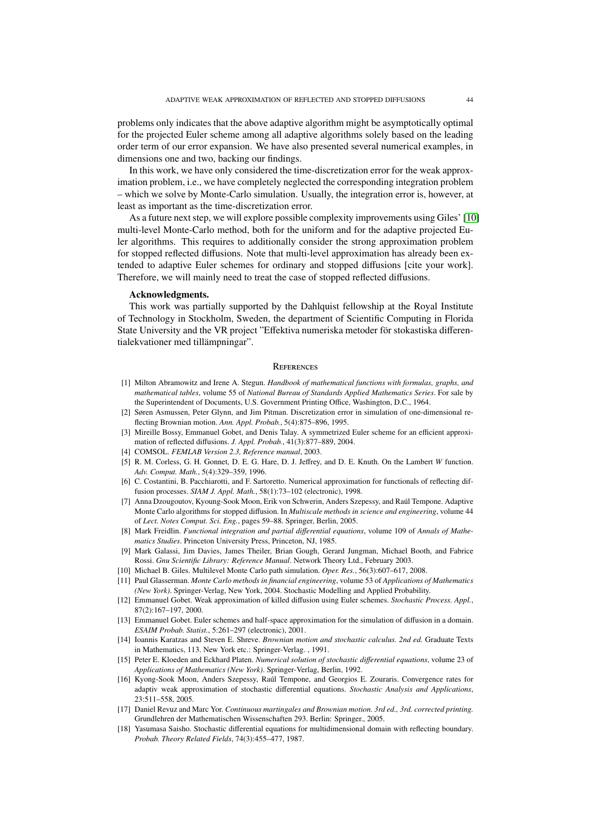problems only indicates that the above adaptive algorithm might be asymptotically optimal for the projected Euler scheme among all adaptive algorithms solely based on the leading order term of our error expansion. We have also presented several numerical examples, in dimensions one and two, backing our findings.

In this work, we have only considered the time-discretization error for the weak approximation problem, i.e., we have completely neglected the corresponding integration problem – which we solve by Monte-Carlo simulation. Usually, the integration error is, however, at least as important as the time-discretization error.

As a future next step, we will explore possible complexity improvements using Giles' [\[10\]](#page-43-17) multi-level Monte-Carlo method, both for the uniform and for the adaptive projected Euler algorithms. This requires to additionally consider the strong approximation problem for stopped reflected diffusions. Note that multi-level approximation has already been extended to adaptive Euler schemes for ordinary and stopped diffusions [cite your work]. Therefore, we will mainly need to treat the case of stopped reflected diffusions.

### Acknowledgments.

This work was partially supported by the Dahlquist fellowship at the Royal Institute of Technology in Stockholm, Sweden, the department of Scientific Computing in Florida State University and the VR project "Effektiva numeriska metoder för stokastiska differentialekvationer med tillämpningar".

#### **REFRENCES**

- <span id="page-43-0"></span>[1] Milton Abramowitz and Irene A. Stegun. *Handbook of mathematical functions with formulas, graphs, and mathematical tables*, volume 55 of *National Bureau of Standards Applied Mathematics Series*. For sale by the Superintendent of Documents, U.S. Government Printing Office, Washington, D.C., 1964.
- <span id="page-43-7"></span>[2] Søren Asmussen, Peter Glynn, and Jim Pitman. Discretization error in simulation of one-dimensional reflecting Brownian motion. *Ann. Appl. Probab.*, 5(4):875–896, 1995.
- <span id="page-43-6"></span>[3] Mireille Bossy, Emmanuel Gobet, and Denis Talay. A symmetrized Euler scheme for an efficient approximation of reflected diffusions. *J. Appl. Probab.*, 41(3):877–889, 2004.
- <span id="page-43-16"></span>[4] COMSOL. *FEMLAB Version 2.3, Reference manual*, 2003.
- <span id="page-43-11"></span>[5] R. M. Corless, G. H. Gonnet, D. E. G. Hare, D. J. Jeffrey, and D. E. Knuth. On the Lambert *W* function. *Adv. Comput. Math.*, 5(4):329–359, 1996.
- <span id="page-43-4"></span>[6] C. Costantini, B. Pacchiarotti, and F. Sartoretto. Numerical approximation for functionals of reflecting diffusion processes. *SIAM J. Appl. Math.*, 58(1):73–102 (electronic), 1998.
- <span id="page-43-8"></span>[7] Anna Dzougoutov, Kyoung-Sook Moon, Erik von Schwerin, Anders Szepessy, and Raul Tempone. Adaptive ´ Monte Carlo algorithms for stopped diffusion. In *Multiscale methods in science and engineering*, volume 44 of *Lect. Notes Comput. Sci. Eng.*, pages 59–88. Springer, Berlin, 2005.
- <span id="page-43-3"></span>[8] Mark Freidlin. *Functional integration and partial di*ff*erential equations*, volume 109 of *Annals of Mathematics Studies*. Princeton University Press, Princeton, NJ, 1985.
- <span id="page-43-15"></span>[9] Mark Galassi, Jim Davies, James Theiler, Brian Gough, Gerard Jungman, Michael Booth, and Fabrice Rossi. *Gnu Scientific Library: Reference Manual*. Network Theory Ltd., February 2003.
- <span id="page-43-17"></span>[10] Michael B. Giles. Multilevel Monte Carlo path simulation. *Oper. Res.*, 56(3):607–617, 2008.
- <span id="page-43-14"></span>[11] Paul Glasserman. *Monte Carlo methods in financial engineering*, volume 53 of *Applications of Mathematics (New York)*. Springer-Verlag, New York, 2004. Stochastic Modelling and Applied Probability.
- <span id="page-43-12"></span>[12] Emmanuel Gobet. Weak approximation of killed diffusion using Euler schemes. *Stochastic Process. Appl.*, 87(2):167–197, 2000.
- <span id="page-43-5"></span>[13] Emmanuel Gobet. Euler schemes and half-space approximation for the simulation of diffusion in a domain. *ESAIM Probab. Statist.*, 5:261–297 (electronic), 2001.
- <span id="page-43-13"></span>[14] Ioannis Karatzas and Steven E. Shreve. *Brownian motion and stochastic calculus. 2nd ed.* Graduate Texts in Mathematics, 113. New York etc.: Springer-Verlag. , 1991.
- <span id="page-43-9"></span>[15] Peter E. Kloeden and Eckhard Platen. *Numerical solution of stochastic di*ff*erential equations*, volume 23 of *Applications of Mathematics (New York)*. Springer-Verlag, Berlin, 1992.
- <span id="page-43-10"></span>[16] Kyong-Sook Moon, Anders Szepessy, Raul Tempone, and Georgios E. Zouraris. Convergence rates for ´ adaptiv weak approximation of stochastic differential equations. *Stochastic Analysis and Applications*, 23:511–558, 2005.
- <span id="page-43-1"></span>[17] Daniel Revuz and Marc Yor. *Continuous martingales and Brownian motion. 3rd ed., 3rd. corrected printing.* Grundlehren der Mathematischen Wissenschaften 293. Berlin: Springer., 2005.
- <span id="page-43-2"></span>[18] Yasumasa Saisho. Stochastic differential equations for multidimensional domain with reflecting boundary. *Probab. Theory Related Fields*, 74(3):455–477, 1987.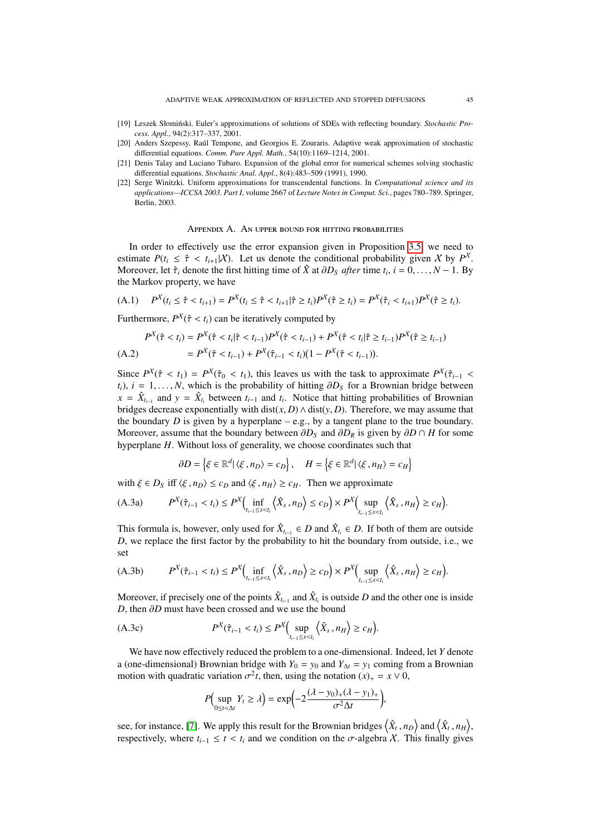- <span id="page-44-1"></span>[19] Leszek Słomiński. Euler's approximations of solutions of SDEs with reflecting boundary. *Stochastic Process. Appl.*, 94(2):317–337, 2001.
- <span id="page-44-2"></span>[20] Anders Szepessy, Raúl Tempone, and Georgios E. Zouraris. Adaptive weak approximation of stochastic differential equations. *Comm. Pure Appl. Math.*, 54(10):1169–1214, 2001.
- <span id="page-44-4"></span>[21] Denis Talay and Luciano Tubaro. Expansion of the global error for numerical schemes solving stochastic differential equations. *Stochastic Anal. Appl.*, 8(4):483–509 (1991), 1990.
- <span id="page-44-3"></span>[22] Serge Winitzki. Uniform approximations for transcendental functions. In *Computational science and its applications—ICCSA 2003. Part I*, volume 2667 of *Lecture Notes in Comput. Sci.*, pages 780–789. Springer, Berlin, 2003.

APPENDIX A. AN UPPER BOUND FOR HITTING PROBABILITIES

<span id="page-44-0"></span>In order to effectively use the error expansion given in Proposition [3.5,](#page-8-0) we need to estimate  $P(t_i \leq \hat{\tau} < t_{i+1}|\mathcal{X})$ . Let us denote the conditional probability given X by  $P^X$ .<br>Moreover let  $\hat{\tau}$ , denote the first bitting time of  $\hat{Y}$  at  $\partial D_{\varepsilon}$  after time t,  $i = 0$ ,  $N = 1$ . By Moreover, let  $\hat{\tau}_i$  denote the first hitting time of  $\hat{X}$  at  $\partial D_S$  *after* time  $t_i$ ,  $i = 0, ..., N - 1$ . By the Markov property, we have the Markov property, we have

<span id="page-44-6"></span>(A.1) 
$$
P^X(t_i \leq \hat{\tau} < t_{i+1}) = P^X(t_i \leq \hat{\tau} < t_{i+1} | \hat{\tau} \geq t_i) P^X(\hat{\tau} \geq t_i) = P^X(\hat{\tau}_i < t_{i+1}) P^X(\hat{\tau} \geq t_i).
$$

Furthermore,  $P^X(\hat{\tau} < t_i)$  can be iteratively computed by

$$
P^{X}(\hat{\tau} < t_{i}) = P^{X}(\hat{\tau} < t_{i} | \hat{\tau} < t_{i-1}) P^{X}(\hat{\tau} < t_{i-1}) + P^{X}(\hat{\tau} < t_{i} | \hat{\tau} \geq t_{i-1}) P^{X}(\hat{\tau} \geq t_{i-1})
$$
\n
$$
= P^{X}(\hat{\tau} < t_{i-1}) + P^{X}(\hat{\tau}_{i-1} < t_{i}) (1 - P^{X}(\hat{\tau} < t_{i-1})).
$$
\n(A.2)

Since  $P^X(\hat{\tau} < t_1) = P^X(\hat{\tau}_0 < t_1)$ , this leaves us with the task to approximate  $P^X(\hat{\tau}_{i-1} < t_1)$ ,  $i = 1$   $N$ , which is the probability of bitting  $\partial D_5$  for a Brownian bridge between  $t_i$ ,  $i = 1, \ldots, N$ , which is the probability of hitting  $\partial D_S$  for a Brownian bridge between  $x = \hat{X}_{t_{i-1}}$  and  $y = \hat{X}_{t_i}$  between  $t_{i-1}$  and  $t_i$ . Notice that hitting probabilities of Brownian bridges decrease exponentially with dist( $x$ , *D*)  $\wedge$  dist( $y$ , *D*). Therefore, we may assume that the boundary *D* is given by a hyperplane – e.g., by a tangent plane to the true boundary. Moreover, assume that the boundary between  $\partial D_S$  and  $\partial D_R$  is given by  $\partial D \cap H$  for some hyperplane *H*. Without loss of generality, we choose coordinates such that

<span id="page-44-5"></span>
$$
\partial D = \left\{ \xi \in \mathbb{R}^d \middle| \langle \xi, n_D \rangle = c_D \right\}, \quad H = \left\{ \xi \in \mathbb{R}^d \middle| \langle \xi, n_H \rangle = c_H \right\}
$$

with  $\xi \in D_S$  iff  $\langle \xi, n_D \rangle \leq c_D$  and  $\langle \xi, n_H \rangle \geq c_H$ . Then we approximate

$$
(A.3a) \tP^X(\hat{\tau}_{i-1} < t_i) \le P^X\Big(\inf_{t_{i-1} \le s < t_i} \Big\langle \hat{X}_s, n_D \Big\rangle \le c_D\Big) \times P^X\Big(\sup_{t_{i-1} \le s < t_i} \Big\langle \hat{X}_s, n_H \Big\rangle \ge c_H\Big).
$$

This formula is, however, only used for  $\hat{X}_{t_{i-1}} \in D$  and  $\hat{X}_{t_i} \in D$ . If both of them are outside *D*, we replace the first factor by the probability to hit the boundary from outside, i.e., we set

$$
(A.3b) \tP^X(\hat{\tau}_{i-1} < t_i) \le P^X\Big(\inf_{t_{i-1} \le s < t_i} \left\langle \hat{X}_s \, , n_D \right\rangle \ge c_D\Big) \times P^X\Big(\sup_{t_{i-1} \le s < t_i} \left\langle \hat{X}_s \, , n_H \right\rangle \ge c_H\Big).
$$

Moreover, if precisely one of the points  $\hat{X}_{t_{i-1}}$  and  $\hat{X}_{t_i}$  is outside *D* and the other one is inside *D*, then ∂*D* must have been crossed and we use the bound

$$
(A.3c) \tP^X(\hat{\tau}_{i-1} < t_i) \le P^X\Big(\sup_{t_{i-1} \le s < t_i} \Big\langle \hat{X}_s \, , n_H \Big\rangle \ge c_H\Big).
$$

We have now effectively reduced the problem to a one-dimensional. Indeed, let *Y* denote a (one-dimensional) Brownian bridge with  $Y_0 = y_0$  and  $Y_{\Delta t} = y_1$  coming from a Brownian motion with quadratic variation  $\sigma^2 t$ , then, using the notation  $(x)_+ = x \vee 0$ ,

$$
P\Big(\sup_{0\leq t<\Delta t}Y_t\geq\lambda\Big)=\exp\Bigl(-2\frac{(\lambda-y_0)_+(\lambda-y_1)_+}{\sigma^2\Delta t}\Bigr),
$$

see, for instance, [\[7\]](#page-43-8). We apply this result for the Brownian bridges  $\langle \hat{X}_t, n_D \rangle$  and  $\langle \hat{X}_t, n_H \rangle$ , respectively, where  $t, \leq t \leq t$  and we condition on the  $\sigma$  algebra X. This finally gives respectively, where  $t_{i-1} \leq t < t_i$  and we condition on the  $\sigma$ -algebra X. This finally gives